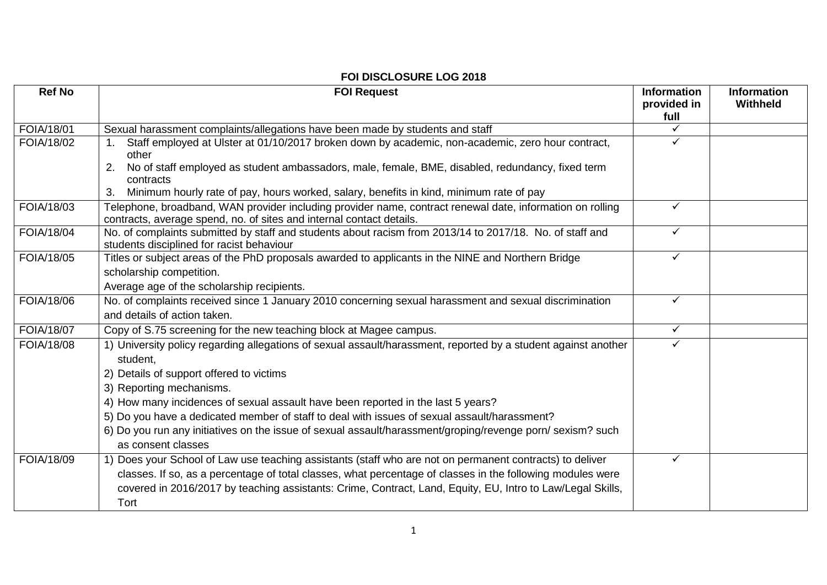| <b>Ref No</b>     | <b>FOI Request</b>                                                                                                                                                                                                                                                                                                                           | <b>Information</b><br>provided in<br>full | <b>Information</b><br>Withheld |
|-------------------|----------------------------------------------------------------------------------------------------------------------------------------------------------------------------------------------------------------------------------------------------------------------------------------------------------------------------------------------|-------------------------------------------|--------------------------------|
| FOIA/18/01        | Sexual harassment complaints/allegations have been made by students and staff                                                                                                                                                                                                                                                                | ✓                                         |                                |
| FOIA/18/02        | Staff employed at Ulster at 01/10/2017 broken down by academic, non-academic, zero hour contract,<br>other<br>No of staff employed as student ambassadors, male, female, BME, disabled, redundancy, fixed term<br>2.                                                                                                                         | $\checkmark$                              |                                |
|                   | contracts<br>Minimum hourly rate of pay, hours worked, salary, benefits in kind, minimum rate of pay<br>3.                                                                                                                                                                                                                                   |                                           |                                |
| <b>FOIA/18/03</b> | Telephone, broadband, WAN provider including provider name, contract renewal date, information on rolling<br>contracts, average spend, no. of sites and internal contact details.                                                                                                                                                            | $\checkmark$                              |                                |
| FOIA/18/04        | No. of complaints submitted by staff and students about racism from 2013/14 to 2017/18. No. of staff and<br>students disciplined for racist behaviour                                                                                                                                                                                        | $\checkmark$                              |                                |
| FOIA/18/05        | Titles or subject areas of the PhD proposals awarded to applicants in the NINE and Northern Bridge<br>scholarship competition.                                                                                                                                                                                                               | $\checkmark$                              |                                |
|                   | Average age of the scholarship recipients.                                                                                                                                                                                                                                                                                                   |                                           |                                |
| FOIA/18/06        | No. of complaints received since 1 January 2010 concerning sexual harassment and sexual discrimination<br>and details of action taken.                                                                                                                                                                                                       | $\checkmark$                              |                                |
| FOIA/18/07        | Copy of S.75 screening for the new teaching block at Magee campus.                                                                                                                                                                                                                                                                           | $\checkmark$                              |                                |
| FOIA/18/08        | 1) University policy regarding allegations of sexual assault/harassment, reported by a student against another<br>student.<br>2) Details of support offered to victims<br>3) Reporting mechanisms.                                                                                                                                           | $\checkmark$                              |                                |
|                   | 4) How many incidences of sexual assault have been reported in the last 5 years?<br>5) Do you have a dedicated member of staff to deal with issues of sexual assault/harassment?<br>6) Do you run any initiatives on the issue of sexual assault/harassment/groping/revenge porn/ sexism? such<br>as consent classes                         |                                           |                                |
| FOIA/18/09        | 1) Does your School of Law use teaching assistants (staff who are not on permanent contracts) to deliver<br>classes. If so, as a percentage of total classes, what percentage of classes in the following modules were<br>covered in 2016/2017 by teaching assistants: Crime, Contract, Land, Equity, EU, Intro to Law/Legal Skills,<br>Tort | $\checkmark$                              |                                |

## **FOI DISCLOSURE LOG 2018**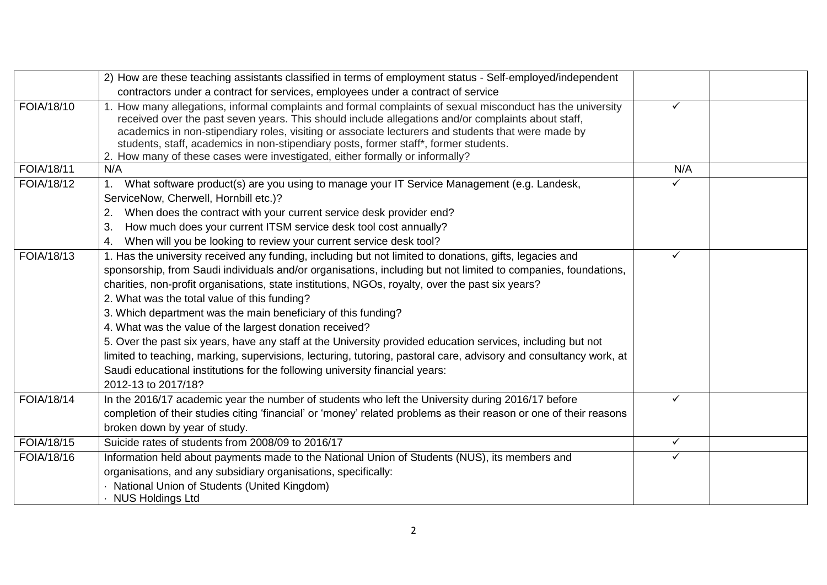|                   | 2) How are these teaching assistants classified in terms of employment status - Self-employed/independent                                                                                                                                                                                                                                                                                                                                                                                                                                                                                                                                                                                                                                                                                                                                            |              |  |
|-------------------|------------------------------------------------------------------------------------------------------------------------------------------------------------------------------------------------------------------------------------------------------------------------------------------------------------------------------------------------------------------------------------------------------------------------------------------------------------------------------------------------------------------------------------------------------------------------------------------------------------------------------------------------------------------------------------------------------------------------------------------------------------------------------------------------------------------------------------------------------|--------------|--|
|                   | contractors under a contract for services, employees under a contract of service                                                                                                                                                                                                                                                                                                                                                                                                                                                                                                                                                                                                                                                                                                                                                                     |              |  |
| FOIA/18/10        | How many allegations, informal complaints and formal complaints of sexual misconduct has the university<br>received over the past seven years. This should include allegations and/or complaints about staff,<br>academics in non-stipendiary roles, visiting or associate lecturers and students that were made by<br>students, staff, academics in non-stipendiary posts, former staff*, former students.<br>2. How many of these cases were investigated, either formally or informally?                                                                                                                                                                                                                                                                                                                                                          | ✓            |  |
| FOIA/18/11        | N/A                                                                                                                                                                                                                                                                                                                                                                                                                                                                                                                                                                                                                                                                                                                                                                                                                                                  | N/A          |  |
| FOIA/18/12        | What software product(s) are you using to manage your IT Service Management (e.g. Landesk,<br>$1_{-}$<br>ServiceNow, Cherwell, Hornbill etc.)?<br>When does the contract with your current service desk provider end?<br>2.<br>How much does your current ITSM service desk tool cost annually?<br>3.<br>When will you be looking to review your current service desk tool?<br>4.                                                                                                                                                                                                                                                                                                                                                                                                                                                                    |              |  |
| FOIA/18/13        | 1. Has the university received any funding, including but not limited to donations, gifts, legacies and<br>sponsorship, from Saudi individuals and/or organisations, including but not limited to companies, foundations,<br>charities, non-profit organisations, state institutions, NGOs, royalty, over the past six years?<br>2. What was the total value of this funding?<br>3. Which department was the main beneficiary of this funding?<br>4. What was the value of the largest donation received?<br>5. Over the past six years, have any staff at the University provided education services, including but not<br>limited to teaching, marking, supervisions, lecturing, tutoring, pastoral care, advisory and consultancy work, at<br>Saudi educational institutions for the following university financial years:<br>2012-13 to 2017/18? |              |  |
| FOIA/18/14        | In the 2016/17 academic year the number of students who left the University during 2016/17 before<br>completion of their studies citing 'financial' or 'money' related problems as their reason or one of their reasons<br>broken down by year of study.                                                                                                                                                                                                                                                                                                                                                                                                                                                                                                                                                                                             | $\checkmark$ |  |
| <b>FOIA/18/15</b> | Suicide rates of students from 2008/09 to 2016/17                                                                                                                                                                                                                                                                                                                                                                                                                                                                                                                                                                                                                                                                                                                                                                                                    | ✓            |  |
| FOIA/18/16        | Information held about payments made to the National Union of Students (NUS), its members and<br>organisations, and any subsidiary organisations, specifically:<br>· National Union of Students (United Kingdom)<br><b>NUS Holdings Ltd</b>                                                                                                                                                                                                                                                                                                                                                                                                                                                                                                                                                                                                          | ✓            |  |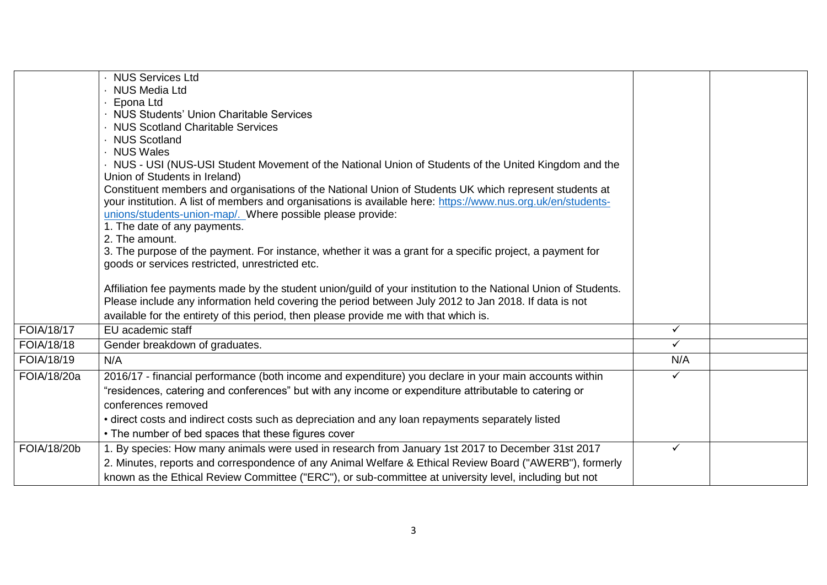|             | · NUS Services Ltd                                                                                                                                           |              |  |
|-------------|--------------------------------------------------------------------------------------------------------------------------------------------------------------|--------------|--|
|             | · NUS Media Ltd                                                                                                                                              |              |  |
|             | · Epona Ltd                                                                                                                                                  |              |  |
|             | · NUS Students' Union Charitable Services                                                                                                                    |              |  |
|             | • NUS Scotland Charitable Services                                                                                                                           |              |  |
|             | · NUS Scotland                                                                                                                                               |              |  |
|             | · NUS Wales                                                                                                                                                  |              |  |
|             | . NUS - USI (NUS-USI Student Movement of the National Union of Students of the United Kingdom and the                                                        |              |  |
|             | Union of Students in Ireland)                                                                                                                                |              |  |
|             | Constituent members and organisations of the National Union of Students UK which represent students at                                                       |              |  |
|             | your institution. A list of members and organisations is available here: https://www.nus.org.uk/en/students-                                                 |              |  |
|             | unions/students-union-map/. Where possible please provide:                                                                                                   |              |  |
|             | 1. The date of any payments.                                                                                                                                 |              |  |
|             | 2. The amount.                                                                                                                                               |              |  |
|             | 3. The purpose of the payment. For instance, whether it was a grant for a specific project, a payment for<br>goods or services restricted, unrestricted etc. |              |  |
|             |                                                                                                                                                              |              |  |
|             | Affiliation fee payments made by the student union/guild of your institution to the National Union of Students.                                              |              |  |
|             | Please include any information held covering the period between July 2012 to Jan 2018. If data is not                                                        |              |  |
|             | available for the entirety of this period, then please provide me with that which is.                                                                        |              |  |
| FOIA/18/17  | EU academic staff                                                                                                                                            | $\checkmark$ |  |
| FOIA/18/18  | Gender breakdown of graduates.                                                                                                                               | $\checkmark$ |  |
| FOIA/18/19  | N/A                                                                                                                                                          | N/A          |  |
| FOIA/18/20a | 2016/17 - financial performance (both income and expenditure) you declare in your main accounts within                                                       | ✓            |  |
|             | "residences, catering and conferences" but with any income or expenditure attributable to catering or                                                        |              |  |
|             | conferences removed                                                                                                                                          |              |  |
|             | • direct costs and indirect costs such as depreciation and any loan repayments separately listed                                                             |              |  |
|             | • The number of bed spaces that these figures cover                                                                                                          |              |  |
| FOIA/18/20b | 1. By species: How many animals were used in research from January 1st 2017 to December 31st 2017                                                            | ✓            |  |
|             |                                                                                                                                                              |              |  |
|             | 2. Minutes, reports and correspondence of any Animal Welfare & Ethical Review Board ("AWERB"), formerly                                                      |              |  |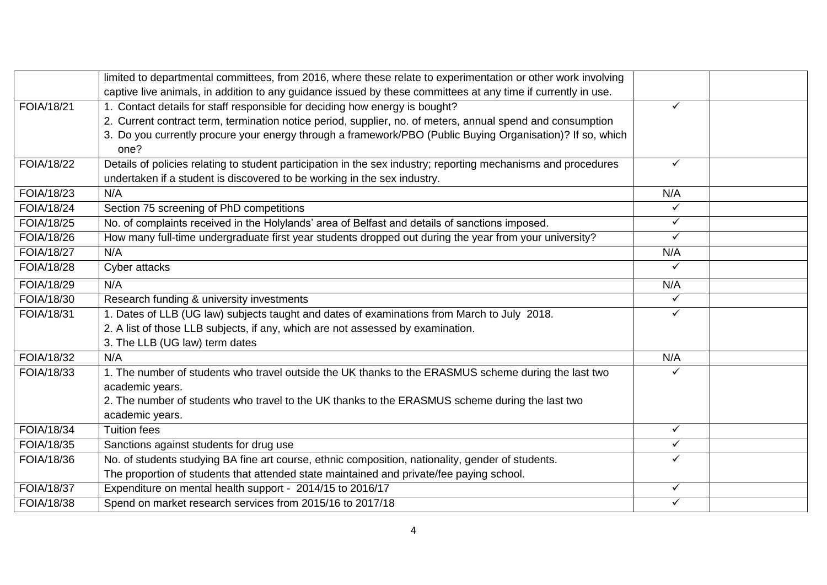|                   | limited to departmental committees, from 2016, where these relate to experimentation or other work involving   |              |  |
|-------------------|----------------------------------------------------------------------------------------------------------------|--------------|--|
|                   | captive live animals, in addition to any guidance issued by these committees at any time if currently in use.  |              |  |
| FOIA/18/21        | 1. Contact details for staff responsible for deciding how energy is bought?                                    | ✓            |  |
|                   | 2. Current contract term, termination notice period, supplier, no. of meters, annual spend and consumption     |              |  |
|                   | 3. Do you currently procure your energy through a framework/PBO (Public Buying Organisation)? If so, which     |              |  |
|                   | one?                                                                                                           |              |  |
| FOIA/18/22        | Details of policies relating to student participation in the sex industry; reporting mechanisms and procedures | ✓            |  |
|                   | undertaken if a student is discovered to be working in the sex industry.                                       |              |  |
| <b>FOIA/18/23</b> | N/A                                                                                                            | N/A          |  |
| FOIA/18/24        | Section 75 screening of PhD competitions                                                                       | ✓            |  |
| <b>FOIA/18/25</b> | No. of complaints received in the Holylands' area of Belfast and details of sanctions imposed.                 | $\checkmark$ |  |
| FOIA/18/26        | How many full-time undergraduate first year students dropped out during the year from your university?         | ✓            |  |
| <b>FOIA/18/27</b> | N/A                                                                                                            | N/A          |  |
| <b>FOIA/18/28</b> | Cyber attacks                                                                                                  | ✓            |  |
| FOIA/18/29        | N/A                                                                                                            | N/A          |  |
| FOIA/18/30        | Research funding & university investments                                                                      | $\checkmark$ |  |
| FOIA/18/31        | 1. Dates of LLB (UG law) subjects taught and dates of examinations from March to July 2018.                    | ✓            |  |
|                   | 2. A list of those LLB subjects, if any, which are not assessed by examination.                                |              |  |
|                   | 3. The LLB (UG law) term dates                                                                                 |              |  |
| FOIA/18/32        | N/A                                                                                                            | N/A          |  |
| FOIA/18/33        | 1. The number of students who travel outside the UK thanks to the ERASMUS scheme during the last two           |              |  |
|                   | academic years.                                                                                                |              |  |
|                   | 2. The number of students who travel to the UK thanks to the ERASMUS scheme during the last two                |              |  |
|                   | academic years.                                                                                                |              |  |
| FOIA/18/34        | <b>Tuition fees</b>                                                                                            | $\checkmark$ |  |
| FOIA/18/35        | Sanctions against students for drug use                                                                        | ✓            |  |
| FOIA/18/36        | No. of students studying BA fine art course, ethnic composition, nationality, gender of students.              | $\checkmark$ |  |
|                   | The proportion of students that attended state maintained and private/fee paying school.                       |              |  |
| FOIA/18/37        | Expenditure on mental health support - 2014/15 to 2016/17                                                      | $\checkmark$ |  |
| FOIA/18/38        | Spend on market research services from 2015/16 to 2017/18                                                      | ✓            |  |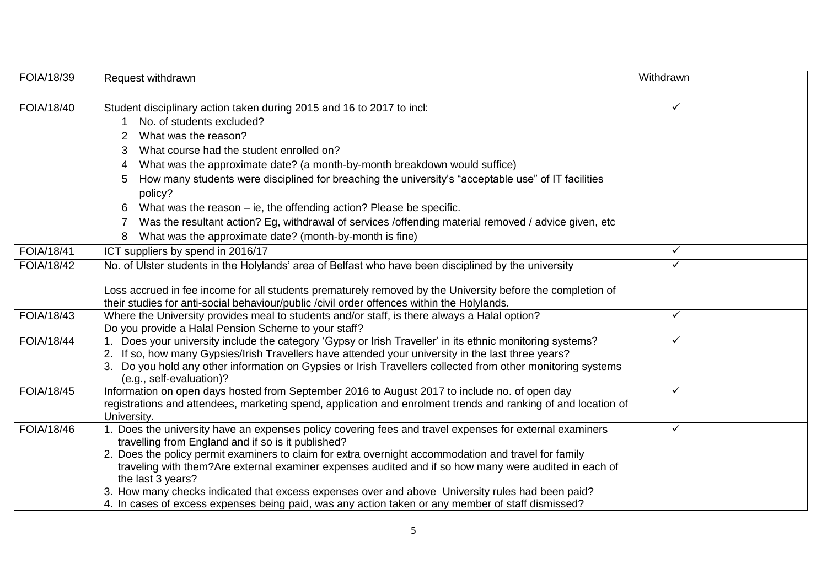| FOIA/18/39 | Request withdrawn                                                                                                                                             | Withdrawn    |  |
|------------|---------------------------------------------------------------------------------------------------------------------------------------------------------------|--------------|--|
|            |                                                                                                                                                               | ✓            |  |
| FOIA/18/40 | Student disciplinary action taken during 2015 and 16 to 2017 to incl:                                                                                         |              |  |
|            | No. of students excluded?                                                                                                                                     |              |  |
|            | What was the reason?                                                                                                                                          |              |  |
|            | What course had the student enrolled on?<br>3                                                                                                                 |              |  |
|            | What was the approximate date? (a month-by-month breakdown would suffice)                                                                                     |              |  |
|            | How many students were disciplined for breaching the university's "acceptable use" of IT facilities<br>5                                                      |              |  |
|            | policy?                                                                                                                                                       |              |  |
|            | What was the reason – ie, the offending action? Please be specific.                                                                                           |              |  |
|            | Was the resultant action? Eg, withdrawal of services /offending material removed / advice given, etc                                                          |              |  |
|            | What was the approximate date? (month-by-month is fine)                                                                                                       |              |  |
| FOIA/18/41 | ICT suppliers by spend in 2016/17                                                                                                                             | $\checkmark$ |  |
| FOIA/18/42 | No. of Ulster students in the Holylands' area of Belfast who have been disciplined by the university                                                          |              |  |
|            |                                                                                                                                                               |              |  |
|            | Loss accrued in fee income for all students prematurely removed by the University before the completion of                                                    |              |  |
|            | their studies for anti-social behaviour/public /civil order offences within the Holylands.                                                                    |              |  |
| FOIA/18/43 | Where the University provides meal to students and/or staff, is there always a Halal option?                                                                  | $\checkmark$ |  |
|            | Do you provide a Halal Pension Scheme to your staff?                                                                                                          |              |  |
| FOIA/18/44 | 1. Does your university include the category 'Gypsy or Irish Traveller' in its ethnic monitoring systems?                                                     | ✓            |  |
|            | If so, how many Gypsies/Irish Travellers have attended your university in the last three years?                                                               |              |  |
|            | Do you hold any other information on Gypsies or Irish Travellers collected from other monitoring systems<br>(e.g., self-evaluation)?                          |              |  |
| FOIA/18/45 | Information on open days hosted from September 2016 to August 2017 to include no. of open day                                                                 | ✓            |  |
|            | registrations and attendees, marketing spend, application and enrolment trends and ranking of and location of                                                 |              |  |
|            | University.                                                                                                                                                   |              |  |
| FOIA/18/46 | 1. Does the university have an expenses policy covering fees and travel expenses for external examiners<br>travelling from England and if so is it published? | ✓            |  |
|            | 2. Does the policy permit examiners to claim for extra overnight accommodation and travel for family                                                          |              |  |
|            | traveling with them? Are external examiner expenses audited and if so how many were audited in each of                                                        |              |  |
|            | the last 3 years?                                                                                                                                             |              |  |
|            | 3. How many checks indicated that excess expenses over and above University rules had been paid?                                                              |              |  |
|            | 4. In cases of excess expenses being paid, was any action taken or any member of staff dismissed?                                                             |              |  |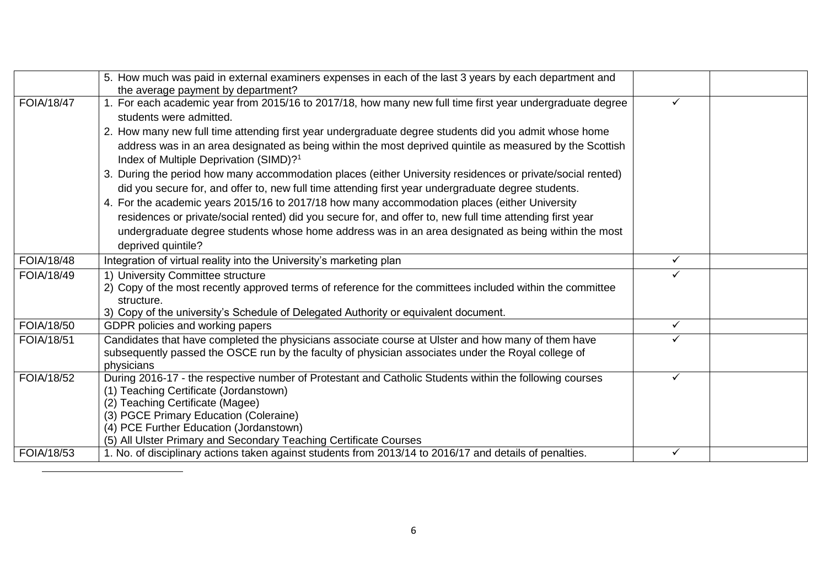|            | 5. How much was paid in external examiners expenses in each of the last 3 years by each department and<br>the average payment by department?                   |              |  |
|------------|----------------------------------------------------------------------------------------------------------------------------------------------------------------|--------------|--|
| FOIA/18/47 | For each academic year from 2015/16 to 2017/18, how many new full time first year undergraduate degree<br>students were admitted.                              | ✓            |  |
|            | 2. How many new full time attending first year undergraduate degree students did you admit whose home                                                          |              |  |
|            | address was in an area designated as being within the most deprived quintile as measured by the Scottish<br>Index of Multiple Deprivation (SIMD)? <sup>1</sup> |              |  |
|            | 3. During the period how many accommodation places (either University residences or private/social rented)                                                     |              |  |
|            | did you secure for, and offer to, new full time attending first year undergraduate degree students.                                                            |              |  |
|            | 4. For the academic years 2015/16 to 2017/18 how many accommodation places (either University                                                                  |              |  |
|            | residences or private/social rented) did you secure for, and offer to, new full time attending first year                                                      |              |  |
|            | undergraduate degree students whose home address was in an area designated as being within the most                                                            |              |  |
|            | deprived quintile?                                                                                                                                             |              |  |
| FOIA/18/48 | Integration of virtual reality into the University's marketing plan                                                                                            | $\checkmark$ |  |
| FOIA/18/49 | 1) University Committee structure                                                                                                                              | ✓            |  |
|            | 2) Copy of the most recently approved terms of reference for the committees included within the committee                                                      |              |  |
|            | structure.                                                                                                                                                     |              |  |
|            | 3) Copy of the university's Schedule of Delegated Authority or equivalent document.                                                                            |              |  |
| FOIA/18/50 | GDPR policies and working papers                                                                                                                               | $\checkmark$ |  |
| FOIA/18/51 | Candidates that have completed the physicians associate course at Ulster and how many of them have                                                             |              |  |
|            | subsequently passed the OSCE run by the faculty of physician associates under the Royal college of                                                             |              |  |
| FOIA/18/52 | physicians<br>During 2016-17 - the respective number of Protestant and Catholic Students within the following courses                                          | $\checkmark$ |  |
|            | (1) Teaching Certificate (Jordanstown)                                                                                                                         |              |  |
|            | (2) Teaching Certificate (Magee)                                                                                                                               |              |  |
|            | (3) PGCE Primary Education (Coleraine)                                                                                                                         |              |  |
|            | (4) PCE Further Education (Jordanstown)                                                                                                                        |              |  |
|            | (5) All Ulster Primary and Secondary Teaching Certificate Courses                                                                                              |              |  |
| FOIA/18/53 | 1. No. of disciplinary actions taken against students from 2013/14 to 2016/17 and details of penalties.                                                        | ✓            |  |

 $\overline{a}$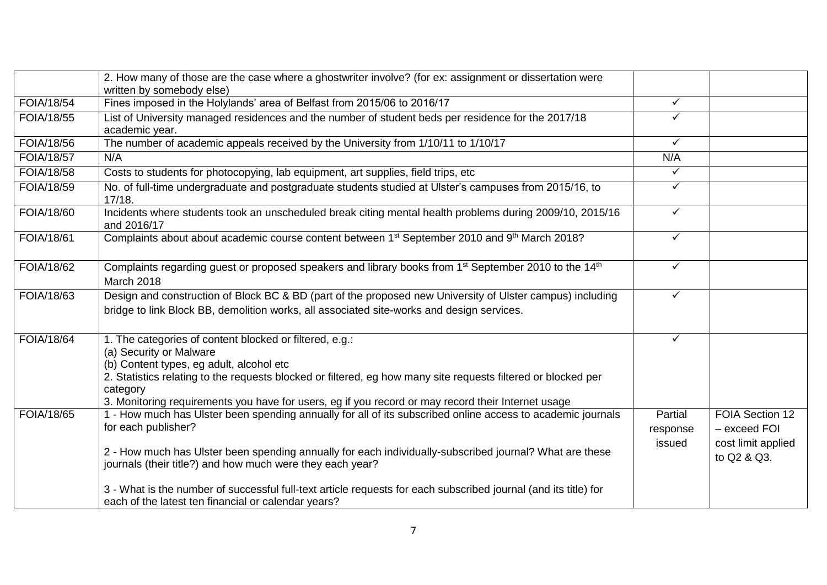|                   | 2. How many of those are the case where a ghostwriter involve? (for ex: assignment or dissertation were<br>written by somebody else)                                                                                                                                                                                                                              |                               |                                                                      |
|-------------------|-------------------------------------------------------------------------------------------------------------------------------------------------------------------------------------------------------------------------------------------------------------------------------------------------------------------------------------------------------------------|-------------------------------|----------------------------------------------------------------------|
| <b>FOIA/18/54</b> | Fines imposed in the Holylands' area of Belfast from 2015/06 to 2016/17                                                                                                                                                                                                                                                                                           | $\checkmark$                  |                                                                      |
| FOIA/18/55        | List of University managed residences and the number of student beds per residence for the 2017/18<br>academic year.                                                                                                                                                                                                                                              | $\checkmark$                  |                                                                      |
| FOIA/18/56        | The number of academic appeals received by the University from 1/10/11 to 1/10/17                                                                                                                                                                                                                                                                                 | $\checkmark$                  |                                                                      |
| FOIA/18/57        | N/A                                                                                                                                                                                                                                                                                                                                                               | N/A                           |                                                                      |
| FOIA/18/58        | Costs to students for photocopying, lab equipment, art supplies, field trips, etc                                                                                                                                                                                                                                                                                 | $\checkmark$                  |                                                                      |
| FOIA/18/59        | No. of full-time undergraduate and postgraduate students studied at Ulster's campuses from 2015/16, to<br>17/18.                                                                                                                                                                                                                                                  | $\checkmark$                  |                                                                      |
| FOIA/18/60        | Incidents where students took an unscheduled break citing mental health problems during 2009/10, 2015/16<br>and 2016/17                                                                                                                                                                                                                                           | $\checkmark$                  |                                                                      |
| FOIA/18/61        | Complaints about about academic course content between 1 <sup>st</sup> September 2010 and 9 <sup>th</sup> March 2018?                                                                                                                                                                                                                                             | $\checkmark$                  |                                                                      |
| FOIA/18/62        | Complaints regarding guest or proposed speakers and library books from 1 <sup>st</sup> September 2010 to the 14 <sup>th</sup><br><b>March 2018</b>                                                                                                                                                                                                                | $\checkmark$                  |                                                                      |
| <b>FOIA/18/63</b> | Design and construction of Block BC & BD (part of the proposed new University of Ulster campus) including<br>bridge to link Block BB, demolition works, all associated site-works and design services.                                                                                                                                                            | $\checkmark$                  |                                                                      |
| <b>FOIA/18/64</b> | 1. The categories of content blocked or filtered, e.g.:<br>(a) Security or Malware<br>(b) Content types, eg adult, alcohol etc<br>2. Statistics relating to the requests blocked or filtered, eg how many site requests filtered or blocked per<br>category<br>3. Monitoring requirements you have for users, eg if you record or may record their Internet usage | $\checkmark$                  |                                                                      |
| <b>FOIA/18/65</b> | 1 - How much has Ulster been spending annually for all of its subscribed online access to academic journals<br>for each publisher?<br>2 - How much has Ulster been spending annually for each individually-subscribed journal? What are these<br>journals (their title?) and how much were they each year?                                                        | Partial<br>response<br>issued | FOIA Section 12<br>- exceed FOI<br>cost limit applied<br>to Q2 & Q3. |
|                   | 3 - What is the number of successful full-text article requests for each subscribed journal (and its title) for<br>each of the latest ten financial or calendar years?                                                                                                                                                                                            |                               |                                                                      |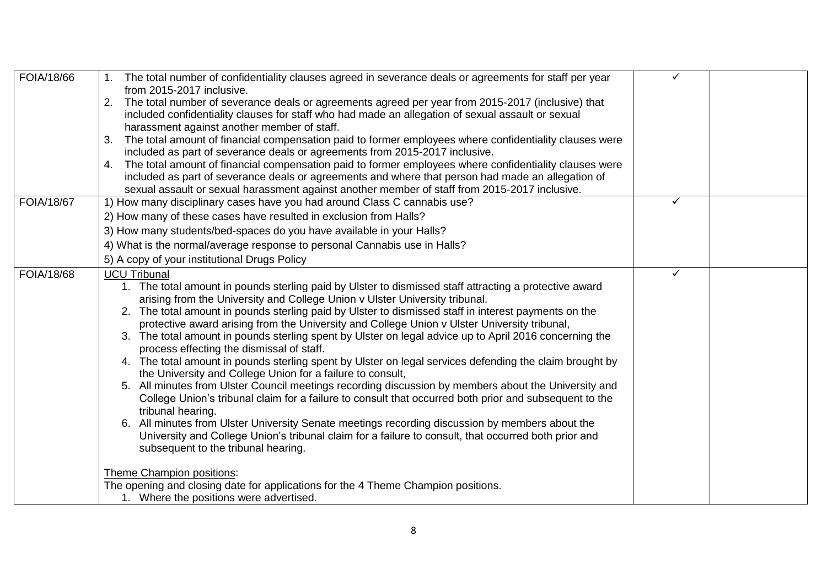| FOIA/18/66        | 1. The total number of confidentiality clauses agreed in severance deals or agreements for staff per year                                           | ✓            |  |
|-------------------|-----------------------------------------------------------------------------------------------------------------------------------------------------|--------------|--|
|                   | from 2015-2017 inclusive.                                                                                                                           |              |  |
|                   | The total number of severance deals or agreements agreed per year from 2015-2017 (inclusive) that<br>2.                                             |              |  |
|                   | included confidentiality clauses for staff who had made an allegation of sexual assault or sexual                                                   |              |  |
|                   | harassment against another member of staff.                                                                                                         |              |  |
|                   | The total amount of financial compensation paid to former employees where confidentiality clauses were<br>3.                                        |              |  |
|                   | included as part of severance deals or agreements from 2015-2017 inclusive.                                                                         |              |  |
|                   | The total amount of financial compensation paid to former employees where confidentiality clauses were<br>4.                                        |              |  |
|                   | included as part of severance deals or agreements and where that person had made an allegation of                                                   |              |  |
|                   | sexual assault or sexual harassment against another member of staff from 2015-2017 inclusive.                                                       |              |  |
| <b>FOIA/18/67</b> | 1) How many disciplinary cases have you had around Class C cannabis use?                                                                            | $\checkmark$ |  |
|                   | 2) How many of these cases have resulted in exclusion from Halls?                                                                                   |              |  |
|                   | 3) How many students/bed-spaces do you have available in your Halls?                                                                                |              |  |
|                   | 4) What is the normal/average response to personal Cannabis use in Halls?                                                                           |              |  |
|                   | 5) A copy of your institutional Drugs Policy                                                                                                        |              |  |
| FOIA/18/68        | <b>UCU Tribunal</b>                                                                                                                                 | ✓            |  |
|                   | 1. The total amount in pounds sterling paid by Ulster to dismissed staff attracting a protective award                                              |              |  |
|                   | arising from the University and College Union v Ulster University tribunal.                                                                         |              |  |
|                   | The total amount in pounds sterling paid by Ulster to dismissed staff in interest payments on the<br>2.                                             |              |  |
|                   | protective award arising from the University and College Union v Ulster University tribunal,                                                        |              |  |
|                   | 3. The total amount in pounds sterling spent by Ulster on legal advice up to April 2016 concerning the<br>process effecting the dismissal of staff. |              |  |
|                   | 4. The total amount in pounds sterling spent by Ulster on legal services defending the claim brought by                                             |              |  |
|                   | the University and College Union for a failure to consult,                                                                                          |              |  |
|                   | 5. All minutes from Ulster Council meetings recording discussion by members about the University and                                                |              |  |
|                   | College Union's tribunal claim for a failure to consult that occurred both prior and subsequent to the                                              |              |  |
|                   | tribunal hearing.                                                                                                                                   |              |  |
|                   | All minutes from Ulster University Senate meetings recording discussion by members about the<br>6.                                                  |              |  |
|                   | University and College Union's tribunal claim for a failure to consult, that occurred both prior and                                                |              |  |
|                   | subsequent to the tribunal hearing.                                                                                                                 |              |  |
|                   | Theme Champion positions:                                                                                                                           |              |  |
|                   | The opening and closing date for applications for the 4 Theme Champion positions.                                                                   |              |  |
|                   | 1. Where the positions were advertised.                                                                                                             |              |  |
|                   |                                                                                                                                                     |              |  |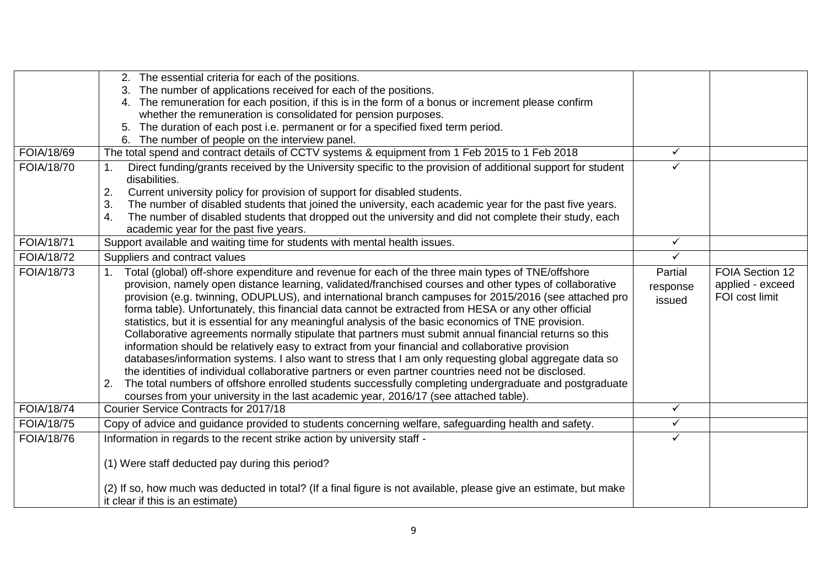|                   | 2. The essential criteria for each of the positions.                                                                                                                                                                                                                                                                                                                                                                                                                                                                                                                                                                                                                                                                                                                                                                                                                                                                                                                                                                                                                                                                                                                            |                               |                                                       |
|-------------------|---------------------------------------------------------------------------------------------------------------------------------------------------------------------------------------------------------------------------------------------------------------------------------------------------------------------------------------------------------------------------------------------------------------------------------------------------------------------------------------------------------------------------------------------------------------------------------------------------------------------------------------------------------------------------------------------------------------------------------------------------------------------------------------------------------------------------------------------------------------------------------------------------------------------------------------------------------------------------------------------------------------------------------------------------------------------------------------------------------------------------------------------------------------------------------|-------------------------------|-------------------------------------------------------|
|                   | The number of applications received for each of the positions.                                                                                                                                                                                                                                                                                                                                                                                                                                                                                                                                                                                                                                                                                                                                                                                                                                                                                                                                                                                                                                                                                                                  |                               |                                                       |
|                   | 4. The remuneration for each position, if this is in the form of a bonus or increment please confirm                                                                                                                                                                                                                                                                                                                                                                                                                                                                                                                                                                                                                                                                                                                                                                                                                                                                                                                                                                                                                                                                            |                               |                                                       |
|                   | whether the remuneration is consolidated for pension purposes.                                                                                                                                                                                                                                                                                                                                                                                                                                                                                                                                                                                                                                                                                                                                                                                                                                                                                                                                                                                                                                                                                                                  |                               |                                                       |
|                   | The duration of each post i.e. permanent or for a specified fixed term period.<br>5.                                                                                                                                                                                                                                                                                                                                                                                                                                                                                                                                                                                                                                                                                                                                                                                                                                                                                                                                                                                                                                                                                            |                               |                                                       |
|                   | 6. The number of people on the interview panel.                                                                                                                                                                                                                                                                                                                                                                                                                                                                                                                                                                                                                                                                                                                                                                                                                                                                                                                                                                                                                                                                                                                                 |                               |                                                       |
| FOIA/18/69        | The total spend and contract details of CCTV systems & equipment from 1 Feb 2015 to 1 Feb 2018                                                                                                                                                                                                                                                                                                                                                                                                                                                                                                                                                                                                                                                                                                                                                                                                                                                                                                                                                                                                                                                                                  | $\checkmark$                  |                                                       |
| FOIA/18/70        | Direct funding/grants received by the University specific to the provision of additional support for student<br>disabilities.                                                                                                                                                                                                                                                                                                                                                                                                                                                                                                                                                                                                                                                                                                                                                                                                                                                                                                                                                                                                                                                   | ✓                             |                                                       |
|                   | 2.<br>Current university policy for provision of support for disabled students.                                                                                                                                                                                                                                                                                                                                                                                                                                                                                                                                                                                                                                                                                                                                                                                                                                                                                                                                                                                                                                                                                                 |                               |                                                       |
|                   | The number of disabled students that joined the university, each academic year for the past five years.<br>3.                                                                                                                                                                                                                                                                                                                                                                                                                                                                                                                                                                                                                                                                                                                                                                                                                                                                                                                                                                                                                                                                   |                               |                                                       |
|                   | The number of disabled students that dropped out the university and did not complete their study, each<br>4.<br>academic year for the past five years.                                                                                                                                                                                                                                                                                                                                                                                                                                                                                                                                                                                                                                                                                                                                                                                                                                                                                                                                                                                                                          |                               |                                                       |
| <b>FOIA/18/71</b> | Support available and waiting time for students with mental health issues.                                                                                                                                                                                                                                                                                                                                                                                                                                                                                                                                                                                                                                                                                                                                                                                                                                                                                                                                                                                                                                                                                                      | $\checkmark$                  |                                                       |
| FOIA/18/72        | Suppliers and contract values                                                                                                                                                                                                                                                                                                                                                                                                                                                                                                                                                                                                                                                                                                                                                                                                                                                                                                                                                                                                                                                                                                                                                   | $\checkmark$                  |                                                       |
| FOIA/18/73        | Total (global) off-shore expenditure and revenue for each of the three main types of TNE/offshore<br>provision, namely open distance learning, validated/franchised courses and other types of collaborative<br>provision (e.g. twinning, ODUPLUS), and international branch campuses for 2015/2016 (see attached pro<br>forma table). Unfortunately, this financial data cannot be extracted from HESA or any other official<br>statistics, but it is essential for any meaningful analysis of the basic economics of TNE provision.<br>Collaborative agreements normally stipulate that partners must submit annual financial returns so this<br>information should be relatively easy to extract from your financial and collaborative provision<br>databases/information systems. I also want to stress that I am only requesting global aggregate data so<br>the identities of individual collaborative partners or even partner countries need not be disclosed.<br>The total numbers of offshore enrolled students successfully completing undergraduate and postgraduate<br>2.<br>courses from your university in the last academic year, 2016/17 (see attached table). | Partial<br>response<br>issued | FOIA Section 12<br>applied - exceed<br>FOI cost limit |
| <b>FOIA/18/74</b> | <b>Courier Service Contracts for 2017/18</b>                                                                                                                                                                                                                                                                                                                                                                                                                                                                                                                                                                                                                                                                                                                                                                                                                                                                                                                                                                                                                                                                                                                                    | $\checkmark$                  |                                                       |
| FOIA/18/75        | Copy of advice and guidance provided to students concerning welfare, safeguarding health and safety.                                                                                                                                                                                                                                                                                                                                                                                                                                                                                                                                                                                                                                                                                                                                                                                                                                                                                                                                                                                                                                                                            | $\checkmark$                  |                                                       |
| FOIA/18/76        | Information in regards to the recent strike action by university staff -                                                                                                                                                                                                                                                                                                                                                                                                                                                                                                                                                                                                                                                                                                                                                                                                                                                                                                                                                                                                                                                                                                        | ✓                             |                                                       |
|                   | (1) Were staff deducted pay during this period?                                                                                                                                                                                                                                                                                                                                                                                                                                                                                                                                                                                                                                                                                                                                                                                                                                                                                                                                                                                                                                                                                                                                 |                               |                                                       |
|                   | (2) If so, how much was deducted in total? (If a final figure is not available, please give an estimate, but make<br>it clear if this is an estimate)                                                                                                                                                                                                                                                                                                                                                                                                                                                                                                                                                                                                                                                                                                                                                                                                                                                                                                                                                                                                                           |                               |                                                       |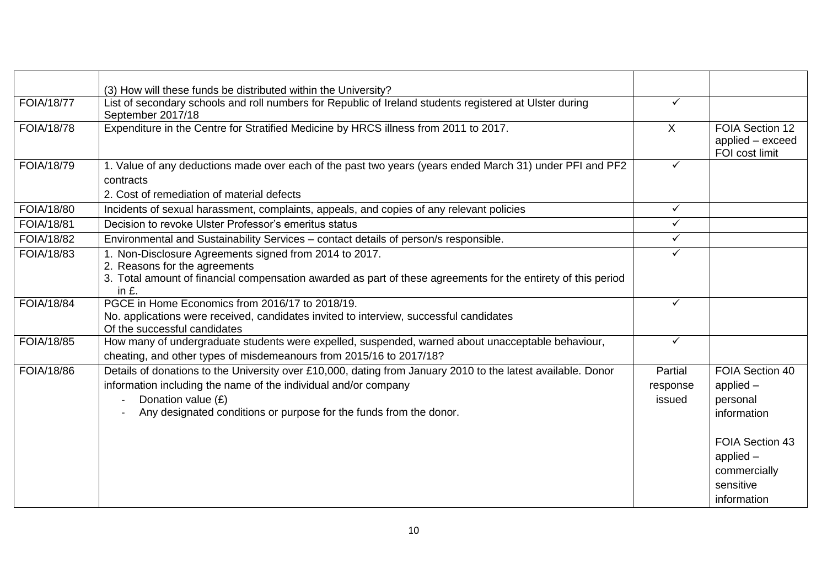|                   | (3) How will these funds be distributed within the University?                                                                                                                                                    |              |                                                                            |
|-------------------|-------------------------------------------------------------------------------------------------------------------------------------------------------------------------------------------------------------------|--------------|----------------------------------------------------------------------------|
| <b>FOIA/18/77</b> | List of secondary schools and roll numbers for Republic of Ireland students registered at Ulster during<br>September 2017/18                                                                                      | $\checkmark$ |                                                                            |
| <b>FOIA/18/78</b> | Expenditure in the Centre for Stratified Medicine by HRCS illness from 2011 to 2017.                                                                                                                              | $\sf X$      | FOIA Section 12<br>applied - exceed<br>FOI cost limit                      |
| FOIA/18/79        | 1. Value of any deductions made over each of the past two years (years ended March 31) under PFI and PF2<br>contracts<br>2. Cost of remediation of material defects                                               | $\checkmark$ |                                                                            |
| FOIA/18/80        | Incidents of sexual harassment, complaints, appeals, and copies of any relevant policies                                                                                                                          | $\checkmark$ |                                                                            |
| <b>FOIA/18/81</b> | Decision to revoke Ulster Professor's emeritus status                                                                                                                                                             | $\checkmark$ |                                                                            |
| FOIA/18/82        | Environmental and Sustainability Services - contact details of person/s responsible.                                                                                                                              | $\checkmark$ |                                                                            |
| FOIA/18/83        | 1. Non-Disclosure Agreements signed from 2014 to 2017.<br>2. Reasons for the agreements<br>3. Total amount of financial compensation awarded as part of these agreements for the entirety of this period<br>in £. | $\checkmark$ |                                                                            |
| <b>FOIA/18/84</b> | PGCE in Home Economics from 2016/17 to 2018/19.<br>No. applications were received, candidates invited to interview, successful candidates<br>Of the successful candidates                                         | $\checkmark$ |                                                                            |
| FOIA/18/85        | How many of undergraduate students were expelled, suspended, warned about unacceptable behaviour,<br>cheating, and other types of misdemeanours from 2015/16 to 2017/18?                                          | $\checkmark$ |                                                                            |
| FOIA/18/86        | Details of donations to the University over £10,000, dating from January 2010 to the latest available. Donor                                                                                                      | Partial      | FOIA Section 40                                                            |
|                   | information including the name of the individual and/or company                                                                                                                                                   | response     | $applied -$                                                                |
|                   | Donation value (£)                                                                                                                                                                                                | issued       | personal                                                                   |
|                   | Any designated conditions or purpose for the funds from the donor.                                                                                                                                                |              | information                                                                |
|                   |                                                                                                                                                                                                                   |              | FOIA Section 43<br>applied $-$<br>commercially<br>sensitive<br>information |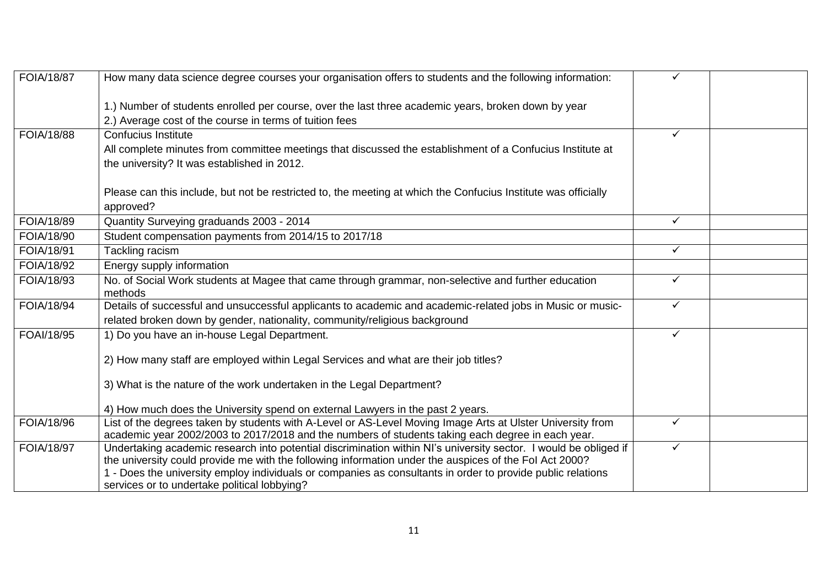| <b>FOIA/18/87</b> | How many data science degree courses your organisation offers to students and the following information:         | ✓            |  |
|-------------------|------------------------------------------------------------------------------------------------------------------|--------------|--|
|                   | 1.) Number of students enrolled per course, over the last three academic years, broken down by year              |              |  |
|                   | 2.) Average cost of the course in terms of tuition fees                                                          |              |  |
| FOIA/18/88        | Confucius Institute                                                                                              | ✓            |  |
|                   | All complete minutes from committee meetings that discussed the establishment of a Confucius Institute at        |              |  |
|                   | the university? It was established in 2012.                                                                      |              |  |
|                   |                                                                                                                  |              |  |
|                   | Please can this include, but not be restricted to, the meeting at which the Confucius Institute was officially   |              |  |
|                   | approved?                                                                                                        |              |  |
| FOIA/18/89        | Quantity Surveying graduands 2003 - 2014                                                                         | $\checkmark$ |  |
| FOIA/18/90        | Student compensation payments from 2014/15 to 2017/18                                                            |              |  |
| FOIA/18/91        | Tackling racism                                                                                                  | $\checkmark$ |  |
| FOIA/18/92        | Energy supply information                                                                                        |              |  |
| FOIA/18/93        | No. of Social Work students at Magee that came through grammar, non-selective and further education              | ✓            |  |
|                   | methods                                                                                                          |              |  |
| FOIA/18/94        | Details of successful and unsuccessful applicants to academic and academic-related jobs in Music or music-       | $\checkmark$ |  |
|                   | related broken down by gender, nationality, community/religious background                                       |              |  |
| FOAI/18/95        | 1) Do you have an in-house Legal Department.                                                                     | $\checkmark$ |  |
|                   | 2) How many staff are employed within Legal Services and what are their job titles?                              |              |  |
|                   |                                                                                                                  |              |  |
|                   | 3) What is the nature of the work undertaken in the Legal Department?                                            |              |  |
|                   | 4) How much does the University spend on external Lawyers in the past 2 years.                                   |              |  |
| FOIA/18/96        | List of the degrees taken by students with A-Level or AS-Level Moving Image Arts at Ulster University from       | $\checkmark$ |  |
|                   | academic year 2002/2003 to 2017/2018 and the numbers of students taking each degree in each year.                |              |  |
| FOIA/18/97        | Undertaking academic research into potential discrimination within NI's university sector. I would be obliged if | $\checkmark$ |  |
|                   | the university could provide me with the following information under the auspices of the Fol Act 2000?           |              |  |
|                   | 1 - Does the university employ individuals or companies as consultants in order to provide public relations      |              |  |
|                   | services or to undertake political lobbying?                                                                     |              |  |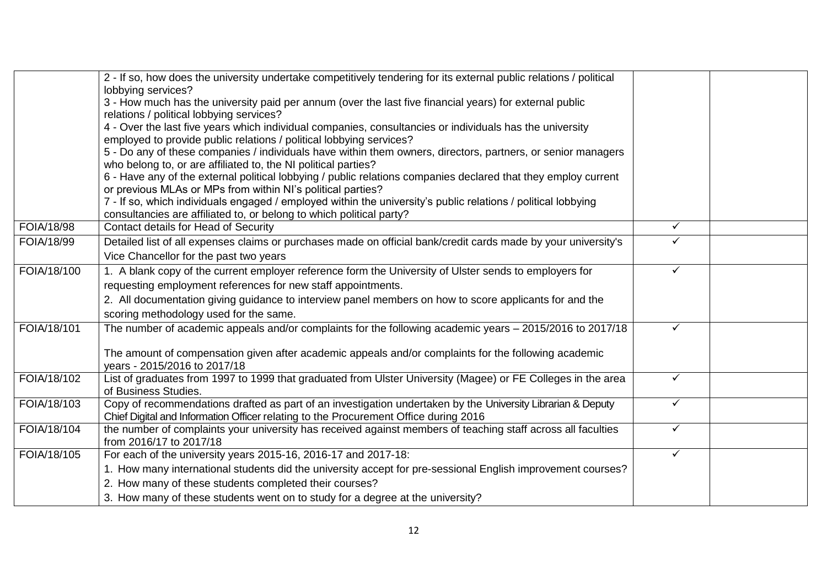|             | 2 - If so, how does the university undertake competitively tendering for its external public relations / political                                                              |              |  |
|-------------|---------------------------------------------------------------------------------------------------------------------------------------------------------------------------------|--------------|--|
|             | lobbying services?                                                                                                                                                              |              |  |
|             | 3 - How much has the university paid per annum (over the last five financial years) for external public                                                                         |              |  |
|             | relations / political lobbying services?                                                                                                                                        |              |  |
|             | 4 - Over the last five years which individual companies, consultancies or individuals has the university<br>employed to provide public relations / political lobbying services? |              |  |
|             | 5 - Do any of these companies / individuals have within them owners, directors, partners, or senior managers                                                                    |              |  |
|             | who belong to, or are affiliated to, the NI political parties?                                                                                                                  |              |  |
|             | 6 - Have any of the external political lobbying / public relations companies declared that they employ current                                                                  |              |  |
|             | or previous MLAs or MPs from within NI's political parties?                                                                                                                     |              |  |
|             | 7 - If so, which individuals engaged / employed within the university's public relations / political lobbying                                                                   |              |  |
|             | consultancies are affiliated to, or belong to which political party?                                                                                                            |              |  |
| FOIA/18/98  | <b>Contact details for Head of Security</b>                                                                                                                                     | $\checkmark$ |  |
| FOIA/18/99  | Detailed list of all expenses claims or purchases made on official bank/credit cards made by your university's                                                                  | ✓            |  |
|             | Vice Chancellor for the past two years                                                                                                                                          |              |  |
| FOIA/18/100 | 1. A blank copy of the current employer reference form the University of Ulster sends to employers for                                                                          | ✓            |  |
|             | requesting employment references for new staff appointments.                                                                                                                    |              |  |
|             | 2. All documentation giving guidance to interview panel members on how to score applicants for and the                                                                          |              |  |
|             | scoring methodology used for the same.                                                                                                                                          |              |  |
| FOIA/18/101 | The number of academic appeals and/or complaints for the following academic years – 2015/2016 to 2017/18                                                                        | ✓            |  |
|             |                                                                                                                                                                                 |              |  |
|             | The amount of compensation given after academic appeals and/or complaints for the following academic<br>years - 2015/2016 to 2017/18                                            |              |  |
| FOIA/18/102 | List of graduates from 1997 to 1999 that graduated from Ulster University (Magee) or FE Colleges in the area                                                                    | $\checkmark$ |  |
|             | of Business Studies.                                                                                                                                                            |              |  |
| FOIA/18/103 | Copy of recommendations drafted as part of an investigation undertaken by the University Librarian & Deputy                                                                     | $\checkmark$ |  |
|             | Chief Digital and Information Officer relating to the Procurement Office during 2016                                                                                            |              |  |
| FOIA/18/104 | the number of complaints your university has received against members of teaching staff across all faculties                                                                    | $\checkmark$ |  |
|             | from 2016/17 to 2017/18                                                                                                                                                         |              |  |
| FOIA/18/105 | For each of the university years 2015-16, 2016-17 and 2017-18:                                                                                                                  | $\checkmark$ |  |
|             | 1. How many international students did the university accept for pre-sessional English improvement courses?                                                                     |              |  |
|             | 2. How many of these students completed their courses?                                                                                                                          |              |  |
|             | 3. How many of these students went on to study for a degree at the university?                                                                                                  |              |  |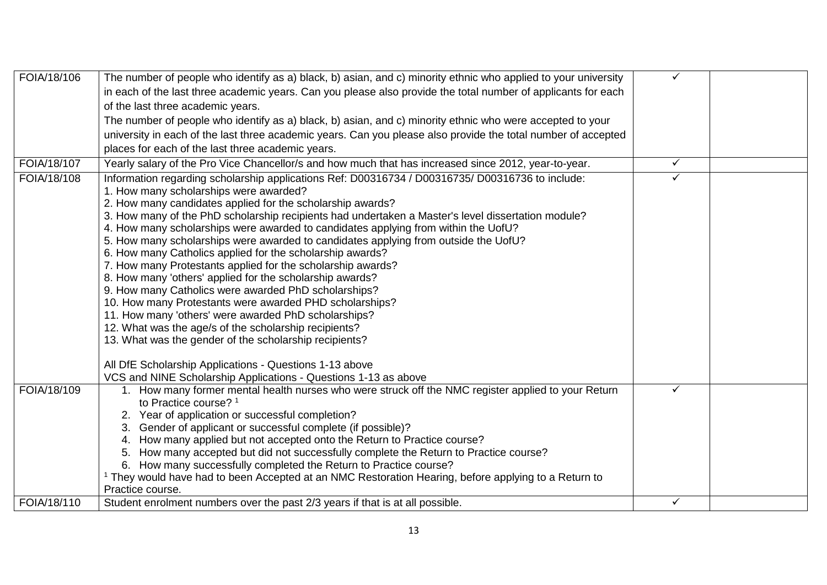| FOIA/18/106 | The number of people who identify as a) black, b) asian, and c) minority ethnic who applied to your university  | $\checkmark$ |  |
|-------------|-----------------------------------------------------------------------------------------------------------------|--------------|--|
|             | in each of the last three academic years. Can you please also provide the total number of applicants for each   |              |  |
|             | of the last three academic years.                                                                               |              |  |
|             | The number of people who identify as a) black, b) asian, and c) minority ethnic who were accepted to your       |              |  |
|             | university in each of the last three academic years. Can you please also provide the total number of accepted   |              |  |
|             | places for each of the last three academic years.                                                               |              |  |
| FOIA/18/107 | Yearly salary of the Pro Vice Chancellor/s and how much that has increased since 2012, year-to-year.            | $\checkmark$ |  |
| FOIA/18/108 | Information regarding scholarship applications Ref: D00316734 / D00316735/ D00316736 to include:                | $\checkmark$ |  |
|             | 1. How many scholarships were awarded?                                                                          |              |  |
|             | 2. How many candidates applied for the scholarship awards?                                                      |              |  |
|             | 3. How many of the PhD scholarship recipients had undertaken a Master's level dissertation module?              |              |  |
|             | 4. How many scholarships were awarded to candidates applying from within the UofU?                              |              |  |
|             | 5. How many scholarships were awarded to candidates applying from outside the UofU?                             |              |  |
|             | 6. How many Catholics applied for the scholarship awards?                                                       |              |  |
|             | 7. How many Protestants applied for the scholarship awards?                                                     |              |  |
|             | 8. How many 'others' applied for the scholarship awards?                                                        |              |  |
|             | 9. How many Catholics were awarded PhD scholarships?                                                            |              |  |
|             | 10. How many Protestants were awarded PHD scholarships?                                                         |              |  |
|             | 11. How many 'others' were awarded PhD scholarships?                                                            |              |  |
|             | 12. What was the age/s of the scholarship recipients?                                                           |              |  |
|             | 13. What was the gender of the scholarship recipients?                                                          |              |  |
|             | All DfE Scholarship Applications - Questions 1-13 above                                                         |              |  |
|             | VCS and NINE Scholarship Applications - Questions 1-13 as above                                                 |              |  |
| FOIA/18/109 | 1. How many former mental health nurses who were struck off the NMC register applied to your Return             | ✓            |  |
|             | to Practice course? <sup>1</sup>                                                                                |              |  |
|             | 2. Year of application or successful completion?                                                                |              |  |
|             | 3. Gender of applicant or successful complete (if possible)?                                                    |              |  |
|             | 4. How many applied but not accepted onto the Return to Practice course?                                        |              |  |
|             | How many accepted but did not successfully complete the Return to Practice course?<br>5.                        |              |  |
|             | 6. How many successfully completed the Return to Practice course?                                               |              |  |
|             | <sup>1</sup> They would have had to been Accepted at an NMC Restoration Hearing, before applying to a Return to |              |  |
|             | Practice course.                                                                                                |              |  |
| FOIA/18/110 | Student enrolment numbers over the past 2/3 years if that is at all possible.                                   | ✓            |  |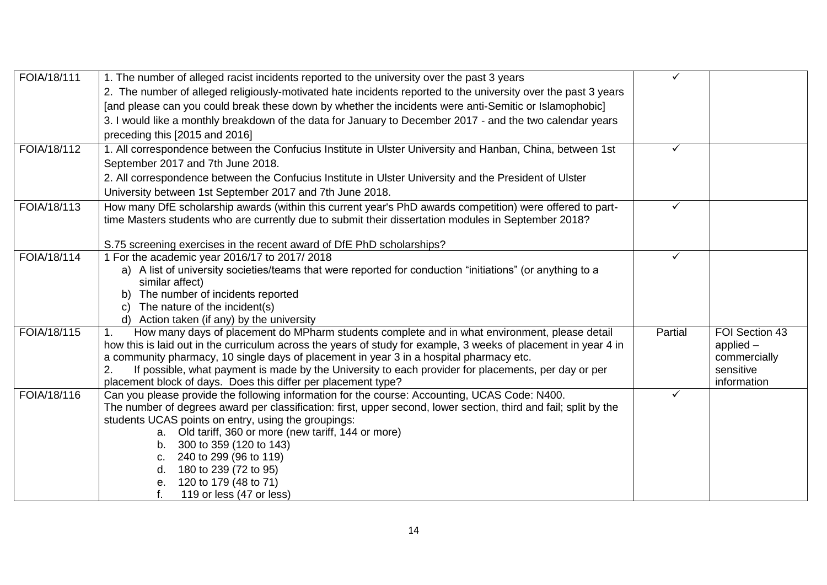| FOIA/18/111 | 1. The number of alleged racist incidents reported to the university over the past 3 years                                                                                                                             | $\checkmark$ |                               |
|-------------|------------------------------------------------------------------------------------------------------------------------------------------------------------------------------------------------------------------------|--------------|-------------------------------|
|             | 2. The number of alleged religiously-motivated hate incidents reported to the university over the past 3 years                                                                                                         |              |                               |
|             | [and please can you could break these down by whether the incidents were anti-Semitic or Islamophobic]                                                                                                                 |              |                               |
|             | 3. I would like a monthly breakdown of the data for January to December 2017 - and the two calendar years                                                                                                              |              |                               |
|             | preceding this [2015 and 2016]                                                                                                                                                                                         |              |                               |
| FOIA/18/112 | 1. All correspondence between the Confucius Institute in Ulster University and Hanban, China, between 1st                                                                                                              | ✓            |                               |
|             | September 2017 and 7th June 2018.                                                                                                                                                                                      |              |                               |
|             | 2. All correspondence between the Confucius Institute in Ulster University and the President of Ulster                                                                                                                 |              |                               |
|             | University between 1st September 2017 and 7th June 2018.                                                                                                                                                               |              |                               |
| FOIA/18/113 | How many DfE scholarship awards (within this current year's PhD awards competition) were offered to part-                                                                                                              | ✓            |                               |
|             | time Masters students who are currently due to submit their dissertation modules in September 2018?                                                                                                                    |              |                               |
|             |                                                                                                                                                                                                                        |              |                               |
|             | S.75 screening exercises in the recent award of DfE PhD scholarships?                                                                                                                                                  |              |                               |
| FOIA/18/114 | 1 For the academic year 2016/17 to 2017/ 2018                                                                                                                                                                          | ✓            |                               |
|             | a) A list of university societies/teams that were reported for conduction "initiations" (or anything to a                                                                                                              |              |                               |
|             | similar affect)                                                                                                                                                                                                        |              |                               |
|             | The number of incidents reported                                                                                                                                                                                       |              |                               |
|             | The nature of the incident(s)<br>C)                                                                                                                                                                                    |              |                               |
|             | d) Action taken (if any) by the university                                                                                                                                                                             |              |                               |
| FOIA/18/115 | How many days of placement do MPharm students complete and in what environment, please detail<br>1.<br>how this is laid out in the curriculum across the years of study for example, 3 weeks of placement in year 4 in | Partial      | FOI Section 43<br>applied $-$ |
|             | a community pharmacy, 10 single days of placement in year 3 in a hospital pharmacy etc.                                                                                                                                |              | commercially                  |
|             | If possible, what payment is made by the University to each provider for placements, per day or per<br>2.                                                                                                              |              | sensitive                     |
|             | placement block of days. Does this differ per placement type?                                                                                                                                                          |              | information                   |
| FOIA/18/116 | Can you please provide the following information for the course: Accounting, UCAS Code: N400.                                                                                                                          | ✓            |                               |
|             | The number of degrees award per classification: first, upper second, lower section, third and fail; split by the                                                                                                       |              |                               |
|             | students UCAS points on entry, using the groupings:                                                                                                                                                                    |              |                               |
|             | a. Old tariff, 360 or more (new tariff, 144 or more)                                                                                                                                                                   |              |                               |
|             | 300 to 359 (120 to 143)<br>b.                                                                                                                                                                                          |              |                               |
|             | 240 to 299 (96 to 119)<br>c.                                                                                                                                                                                           |              |                               |
|             | 180 to 239 (72 to 95)<br>d.                                                                                                                                                                                            |              |                               |
|             | 120 to 179 (48 to 71)<br>е.                                                                                                                                                                                            |              |                               |
|             | f.<br>119 or less (47 or less)                                                                                                                                                                                         |              |                               |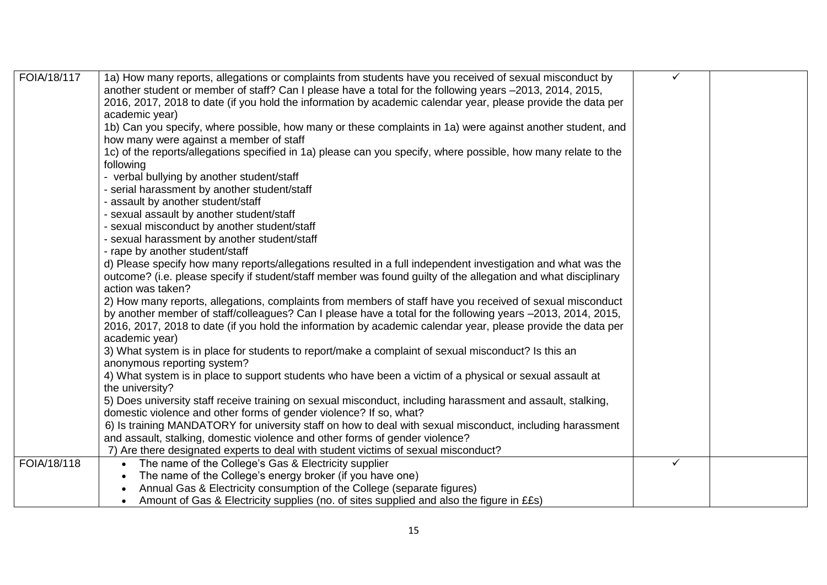| FOIA/18/117 | 1a) How many reports, allegations or complaints from students have you received of sexual misconduct by        | $\checkmark$ |  |
|-------------|----------------------------------------------------------------------------------------------------------------|--------------|--|
|             | another student or member of staff? Can I please have a total for the following years -2013, 2014, 2015,       |              |  |
|             | 2016, 2017, 2018 to date (if you hold the information by academic calendar year, please provide the data per   |              |  |
|             | academic year)                                                                                                 |              |  |
|             | 1b) Can you specify, where possible, how many or these complaints in 1a) were against another student, and     |              |  |
|             | how many were against a member of staff                                                                        |              |  |
|             | 1c) of the reports/allegations specified in 1a) please can you specify, where possible, how many relate to the |              |  |
|             | following                                                                                                      |              |  |
|             | - verbal bullying by another student/staff                                                                     |              |  |
|             | - serial harassment by another student/staff                                                                   |              |  |
|             | - assault by another student/staff                                                                             |              |  |
|             | - sexual assault by another student/staff                                                                      |              |  |
|             | - sexual misconduct by another student/staff                                                                   |              |  |
|             | - sexual harassment by another student/staff                                                                   |              |  |
|             | - rape by another student/staff                                                                                |              |  |
|             | d) Please specify how many reports/allegations resulted in a full independent investigation and what was the   |              |  |
|             | outcome? (i.e. please specify if student/staff member was found guilty of the allegation and what disciplinary |              |  |
|             | action was taken?                                                                                              |              |  |
|             | 2) How many reports, allegations, complaints from members of staff have you received of sexual misconduct      |              |  |
|             | by another member of staff/colleagues? Can I please have a total for the following years -2013, 2014, 2015,    |              |  |
|             | 2016, 2017, 2018 to date (if you hold the information by academic calendar year, please provide the data per   |              |  |
|             | academic year)                                                                                                 |              |  |
|             | 3) What system is in place for students to report/make a complaint of sexual misconduct? Is this an            |              |  |
|             | anonymous reporting system?                                                                                    |              |  |
|             | 4) What system is in place to support students who have been a victim of a physical or sexual assault at       |              |  |
|             | the university?                                                                                                |              |  |
|             | 5) Does university staff receive training on sexual misconduct, including harassment and assault, stalking,    |              |  |
|             | domestic violence and other forms of gender violence? If so, what?                                             |              |  |
|             | 6) Is training MANDATORY for university staff on how to deal with sexual misconduct, including harassment      |              |  |
|             | and assault, stalking, domestic violence and other forms of gender violence?                                   |              |  |
|             | 7) Are there designated experts to deal with student victims of sexual misconduct?                             |              |  |
| FOIA/18/118 | The name of the College's Gas & Electricity supplier<br>$\bullet$                                              | $\checkmark$ |  |
|             | The name of the College's energy broker (if you have one)                                                      |              |  |
|             | Annual Gas & Electricity consumption of the College (separate figures)                                         |              |  |
|             | Amount of Gas & Electricity supplies (no. of sites supplied and also the figure in ££s)                        |              |  |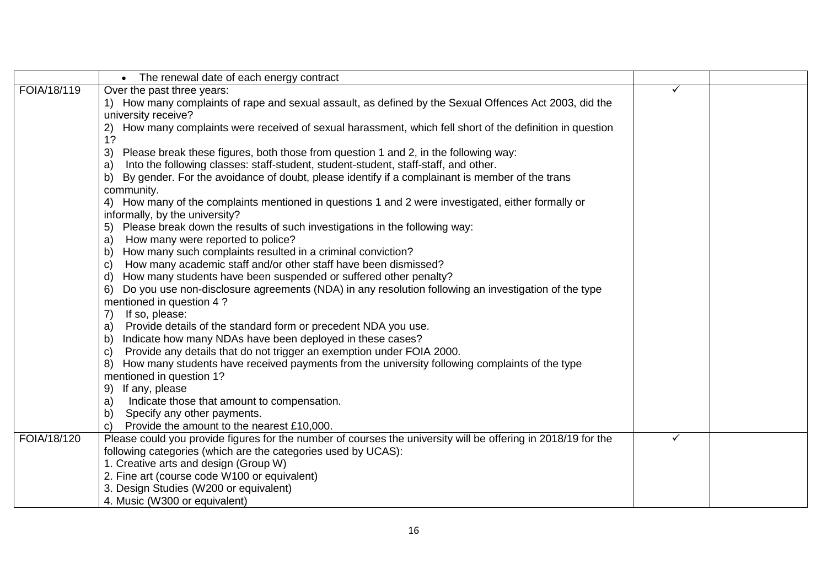|             | The renewal date of each energy contract                                                                      |   |  |
|-------------|---------------------------------------------------------------------------------------------------------------|---|--|
| FOIA/18/119 | Over the past three years:                                                                                    | ✓ |  |
|             | 1) How many complaints of rape and sexual assault, as defined by the Sexual Offences Act 2003, did the        |   |  |
|             | university receive?                                                                                           |   |  |
|             | How many complaints were received of sexual harassment, which fell short of the definition in question<br>2)  |   |  |
|             | 1?                                                                                                            |   |  |
|             | Please break these figures, both those from question 1 and 2, in the following way:<br>3)                     |   |  |
|             | Into the following classes: staff-student, student-student, staff-staff, and other.<br>a)                     |   |  |
|             | By gender. For the avoidance of doubt, please identify if a complainant is member of the trans                |   |  |
|             | community.                                                                                                    |   |  |
|             | 4) How many of the complaints mentioned in questions 1 and 2 were investigated, either formally or            |   |  |
|             | informally, by the university?                                                                                |   |  |
|             | Please break down the results of such investigations in the following way:<br>5)                              |   |  |
|             | How many were reported to police?<br>a)                                                                       |   |  |
|             | How many such complaints resulted in a criminal conviction?<br>$\mathsf{b}$                                   |   |  |
|             | How many academic staff and/or other staff have been dismissed?<br>$\mathbf{C}$                               |   |  |
|             | How many students have been suspended or suffered other penalty?<br>d)                                        |   |  |
|             | Do you use non-disclosure agreements (NDA) in any resolution following an investigation of the type<br>6)     |   |  |
|             | mentioned in question 4?                                                                                      |   |  |
|             | If so, please:<br>7)                                                                                          |   |  |
|             | Provide details of the standard form or precedent NDA you use.<br>a)                                          |   |  |
|             | Indicate how many NDAs have been deployed in these cases?<br>$\mathsf{b}$                                     |   |  |
|             | Provide any details that do not trigger an exemption under FOIA 2000.<br>$\mathbf{C}$                         |   |  |
|             | How many students have received payments from the university following complaints of the type<br>8)           |   |  |
|             | mentioned in question 1?                                                                                      |   |  |
|             | If any, please<br>9)                                                                                          |   |  |
|             | Indicate those that amount to compensation.<br>a)                                                             |   |  |
|             | Specify any other payments.<br>b)                                                                             |   |  |
|             | Provide the amount to the nearest £10,000.<br>$\mathbf{C}$                                                    |   |  |
| FOIA/18/120 | Please could you provide figures for the number of courses the university will be offering in 2018/19 for the | ✓ |  |
|             | following categories (which are the categories used by UCAS):                                                 |   |  |
|             | 1. Creative arts and design (Group W)                                                                         |   |  |
|             | 2. Fine art (course code W100 or equivalent)                                                                  |   |  |
|             | 3. Design Studies (W200 or equivalent)                                                                        |   |  |
|             | 4. Music (W300 or equivalent)                                                                                 |   |  |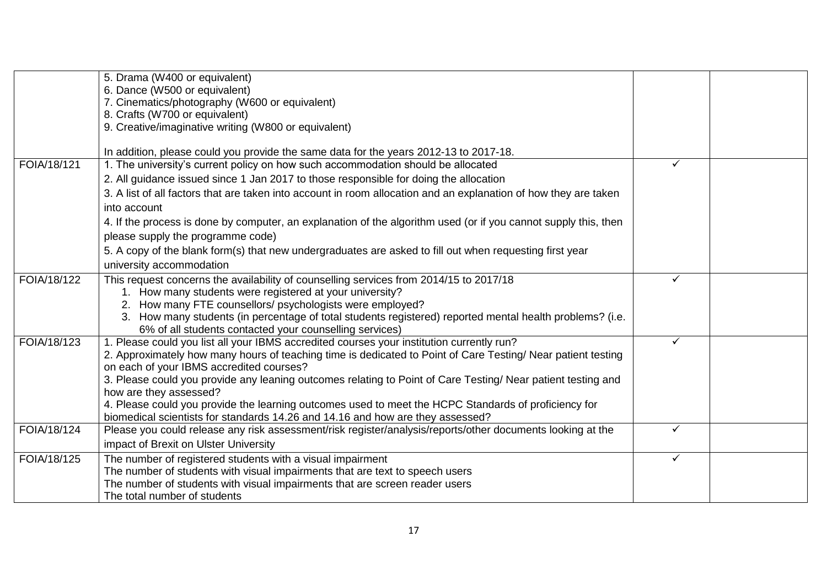|             | 5. Drama (W400 or equivalent)                                                                                                                                                                             |              |  |
|-------------|-----------------------------------------------------------------------------------------------------------------------------------------------------------------------------------------------------------|--------------|--|
|             | 6. Dance (W500 or equivalent)                                                                                                                                                                             |              |  |
|             | 7. Cinematics/photography (W600 or equivalent)                                                                                                                                                            |              |  |
|             | 8. Crafts (W700 or equivalent)                                                                                                                                                                            |              |  |
|             | 9. Creative/imaginative writing (W800 or equivalent)                                                                                                                                                      |              |  |
|             | In addition, please could you provide the same data for the years 2012-13 to 2017-18.                                                                                                                     |              |  |
| FOIA/18/121 | 1. The university's current policy on how such accommodation should be allocated                                                                                                                          | ✓            |  |
|             | 2. All guidance issued since 1 Jan 2017 to those responsible for doing the allocation                                                                                                                     |              |  |
|             | 3. A list of all factors that are taken into account in room allocation and an explanation of how they are taken                                                                                          |              |  |
|             | into account                                                                                                                                                                                              |              |  |
|             | 4. If the process is done by computer, an explanation of the algorithm used (or if you cannot supply this, then                                                                                           |              |  |
|             | please supply the programme code)                                                                                                                                                                         |              |  |
|             | 5. A copy of the blank form(s) that new undergraduates are asked to fill out when requesting first year                                                                                                   |              |  |
|             | university accommodation                                                                                                                                                                                  |              |  |
| FOIA/18/122 | This request concerns the availability of counselling services from 2014/15 to 2017/18                                                                                                                    | ✓            |  |
|             | 1. How many students were registered at your university?                                                                                                                                                  |              |  |
|             | 2. How many FTE counsellors/ psychologists were employed?                                                                                                                                                 |              |  |
|             | 3. How many students (in percentage of total students registered) reported mental health problems? (i.e.                                                                                                  |              |  |
| FOIA/18/123 | 6% of all students contacted your counselling services)                                                                                                                                                   | ✓            |  |
|             | 1. Please could you list all your IBMS accredited courses your institution currently run?<br>2. Approximately how many hours of teaching time is dedicated to Point of Care Testing/ Near patient testing |              |  |
|             | on each of your IBMS accredited courses?                                                                                                                                                                  |              |  |
|             | 3. Please could you provide any leaning outcomes relating to Point of Care Testing/ Near patient testing and                                                                                              |              |  |
|             | how are they assessed?                                                                                                                                                                                    |              |  |
|             | 4. Please could you provide the learning outcomes used to meet the HCPC Standards of proficiency for                                                                                                      |              |  |
|             | biomedical scientists for standards 14.26 and 14.16 and how are they assessed?                                                                                                                            |              |  |
| FOIA/18/124 | Please you could release any risk assessment/risk register/analysis/reports/other documents looking at the                                                                                                | ✓            |  |
|             | impact of Brexit on Ulster University                                                                                                                                                                     |              |  |
| FOIA/18/125 | The number of registered students with a visual impairment                                                                                                                                                | $\checkmark$ |  |
|             | The number of students with visual impairments that are text to speech users                                                                                                                              |              |  |
|             | The number of students with visual impairments that are screen reader users                                                                                                                               |              |  |
|             | The total number of students                                                                                                                                                                              |              |  |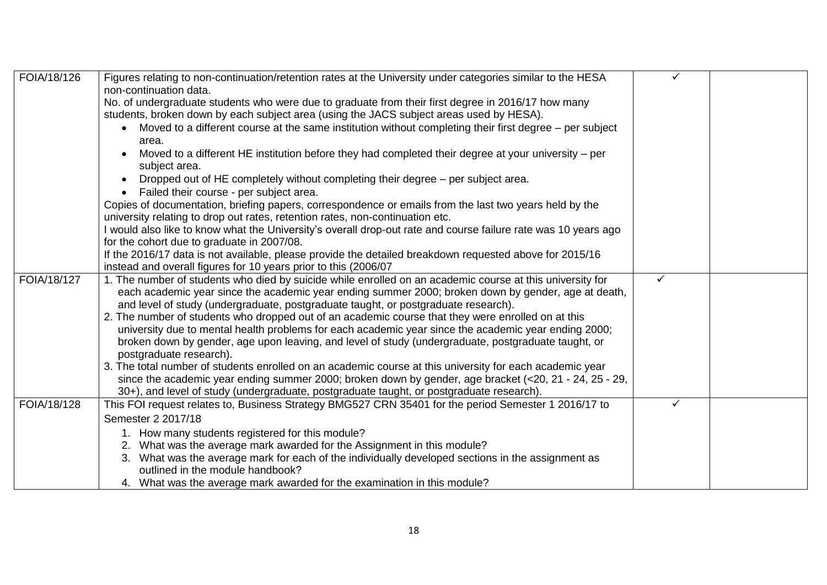| FOIA/18/126 | Figures relating to non-continuation/retention rates at the University under categories similar to the HESA<br>non-continuation data.                                                                                                                                                                                                        |   |  |
|-------------|----------------------------------------------------------------------------------------------------------------------------------------------------------------------------------------------------------------------------------------------------------------------------------------------------------------------------------------------|---|--|
|             | No. of undergraduate students who were due to graduate from their first degree in 2016/17 how many                                                                                                                                                                                                                                           |   |  |
|             | students, broken down by each subject area (using the JACS subject areas used by HESA).                                                                                                                                                                                                                                                      |   |  |
|             | Moved to a different course at the same institution without completing their first degree – per subject<br>area.                                                                                                                                                                                                                             |   |  |
|             | Moved to a different HE institution before they had completed their degree at your university – per<br>subject area.                                                                                                                                                                                                                         |   |  |
|             | Dropped out of HE completely without completing their degree - per subject area.                                                                                                                                                                                                                                                             |   |  |
|             | Failed their course - per subject area.                                                                                                                                                                                                                                                                                                      |   |  |
|             | Copies of documentation, briefing papers, correspondence or emails from the last two years held by the<br>university relating to drop out rates, retention rates, non-continuation etc.                                                                                                                                                      |   |  |
|             | I would also like to know what the University's overall drop-out rate and course failure rate was 10 years ago<br>for the cohort due to graduate in 2007/08.                                                                                                                                                                                 |   |  |
|             | If the 2016/17 data is not available, please provide the detailed breakdown requested above for 2015/16<br>instead and overall figures for 10 years prior to this (2006/07                                                                                                                                                                   |   |  |
| FOIA/18/127 | 1. The number of students who died by suicide while enrolled on an academic course at this university for<br>each academic year since the academic year ending summer 2000; broken down by gender, age at death,<br>and level of study (undergraduate, postgraduate taught, or postgraduate research).                                       | ✓ |  |
|             | 2. The number of students who dropped out of an academic course that they were enrolled on at this<br>university due to mental health problems for each academic year since the academic year ending 2000;<br>broken down by gender, age upon leaving, and level of study (undergraduate, postgraduate taught, or<br>postgraduate research). |   |  |
|             | 3. The total number of students enrolled on an academic course at this university for each academic year<br>since the academic year ending summer 2000; broken down by gender, age bracket $(<20, 21 - 24, 25 - 29,$<br>30+), and level of study (undergraduate, postgraduate taught, or postgraduate research).                             |   |  |
| FOIA/18/128 | This FOI request relates to, Business Strategy BMG527 CRN 35401 for the period Semester 1 2016/17 to                                                                                                                                                                                                                                         | ✓ |  |
|             | Semester 2 2017/18                                                                                                                                                                                                                                                                                                                           |   |  |
|             | 1. How many students registered for this module?                                                                                                                                                                                                                                                                                             |   |  |
|             | 2. What was the average mark awarded for the Assignment in this module?                                                                                                                                                                                                                                                                      |   |  |
|             | 3. What was the average mark for each of the individually developed sections in the assignment as<br>outlined in the module handbook?                                                                                                                                                                                                        |   |  |
|             | 4. What was the average mark awarded for the examination in this module?                                                                                                                                                                                                                                                                     |   |  |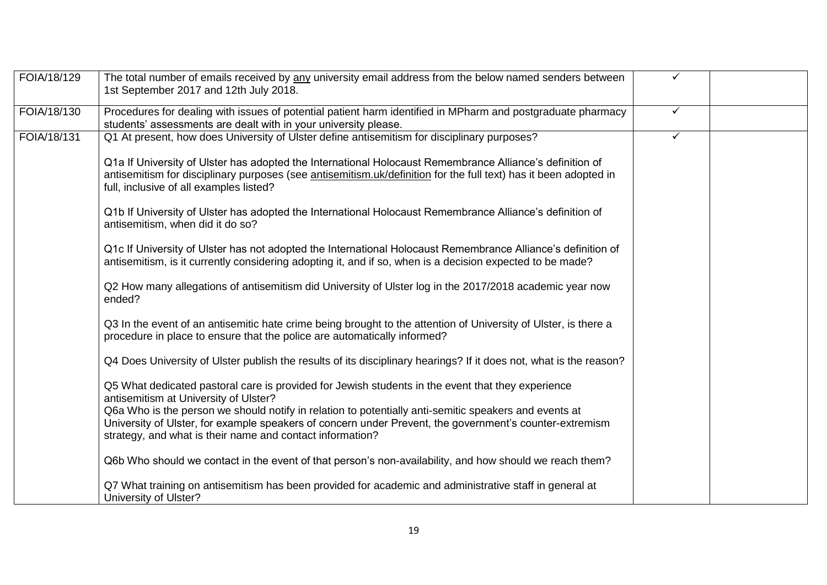| FOIA/18/129 | The total number of emails received by any university email address from the below named senders between<br>1st September 2017 and 12th July 2018.                                                                                                                            | ✓            |  |
|-------------|-------------------------------------------------------------------------------------------------------------------------------------------------------------------------------------------------------------------------------------------------------------------------------|--------------|--|
| FOIA/18/130 | Procedures for dealing with issues of potential patient harm identified in MPharm and postgraduate pharmacy<br>students' assessments are dealt with in your university please.                                                                                                | $\checkmark$ |  |
| FOIA/18/131 | Q1 At present, how does University of Ulster define antisemitism for disciplinary purposes?                                                                                                                                                                                   | $\checkmark$ |  |
|             | Q1a If University of Ulster has adopted the International Holocaust Remembrance Alliance's definition of<br>antisemitism for disciplinary purposes (see antisemitism.uk/definition for the full text) has it been adopted in<br>full, inclusive of all examples listed?       |              |  |
|             | Q1b If University of Ulster has adopted the International Holocaust Remembrance Alliance's definition of<br>antisemitism, when did it do so?                                                                                                                                  |              |  |
|             | Q1c If University of Ulster has not adopted the International Holocaust Remembrance Alliance's definition of<br>antisemitism, is it currently considering adopting it, and if so, when is a decision expected to be made?                                                     |              |  |
|             | Q2 How many allegations of antisemitism did University of Ulster log in the 2017/2018 academic year now<br>ended?                                                                                                                                                             |              |  |
|             | Q3 In the event of an antisemitic hate crime being brought to the attention of University of Ulster, is there a<br>procedure in place to ensure that the police are automatically informed?                                                                                   |              |  |
|             | Q4 Does University of Ulster publish the results of its disciplinary hearings? If it does not, what is the reason?                                                                                                                                                            |              |  |
|             | Q5 What dedicated pastoral care is provided for Jewish students in the event that they experience<br>antisemitism at University of Ulster?                                                                                                                                    |              |  |
|             | Q6a Who is the person we should notify in relation to potentially anti-semitic speakers and events at<br>University of Ulster, for example speakers of concern under Prevent, the government's counter-extremism<br>strategy, and what is their name and contact information? |              |  |
|             | Q6b Who should we contact in the event of that person's non-availability, and how should we reach them?                                                                                                                                                                       |              |  |
|             | Q7 What training on antisemitism has been provided for academic and administrative staff in general at<br>University of Ulster?                                                                                                                                               |              |  |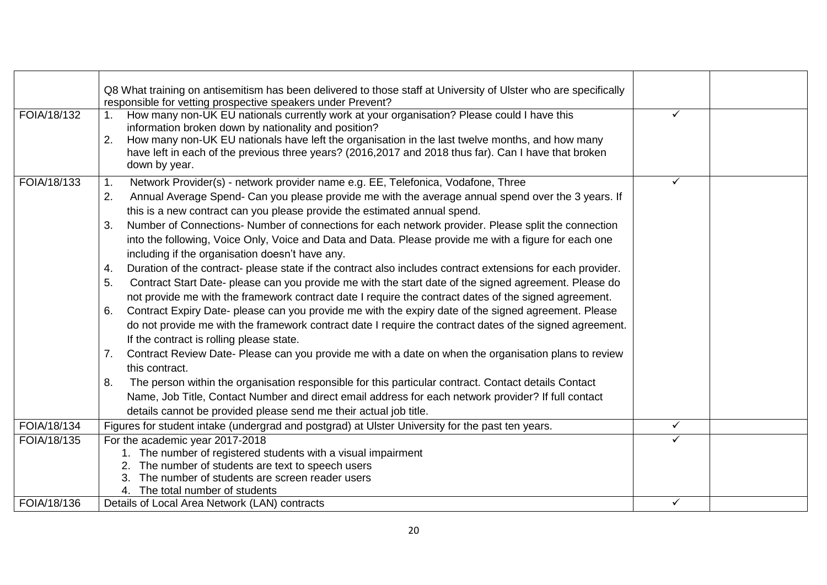|             | Q8 What training on antisemitism has been delivered to those staff at University of Ulster who are specifically              |              |  |
|-------------|------------------------------------------------------------------------------------------------------------------------------|--------------|--|
|             | responsible for vetting prospective speakers under Prevent?                                                                  |              |  |
| FOIA/18/132 | How many non-UK EU nationals currently work at your organisation? Please could I have this                                   | ✓            |  |
|             | information broken down by nationality and position?                                                                         |              |  |
|             | 2.<br>How many non-UK EU nationals have left the organisation in the last twelve months, and how many                        |              |  |
|             | have left in each of the previous three years? (2016,2017 and 2018 thus far). Can I have that broken                         |              |  |
|             | down by year.                                                                                                                |              |  |
| FOIA/18/133 | Network Provider(s) - network provider name e.g. EE, Telefonica, Vodafone, Three<br>$\mathbf 1$ .                            | $\checkmark$ |  |
|             | Annual Average Spend- Can you please provide me with the average annual spend over the 3 years. If<br>2.                     |              |  |
|             | this is a new contract can you please provide the estimated annual spend.                                                    |              |  |
|             | Number of Connections- Number of connections for each network provider. Please split the connection<br>3.                    |              |  |
|             | into the following, Voice Only, Voice and Data and Data. Please provide me with a figure for each one                        |              |  |
|             | including if the organisation doesn't have any.                                                                              |              |  |
|             | Duration of the contract- please state if the contract also includes contract extensions for each provider.<br>4.            |              |  |
|             | Contract Start Date- please can you provide me with the start date of the signed agreement. Please do<br>5.                  |              |  |
|             | not provide me with the framework contract date I require the contract dates of the signed agreement.                        |              |  |
|             | Contract Expiry Date- please can you provide me with the expiry date of the signed agreement. Please<br>6.                   |              |  |
|             | do not provide me with the framework contract date I require the contract dates of the signed agreement.                     |              |  |
|             | If the contract is rolling please state.                                                                                     |              |  |
|             |                                                                                                                              |              |  |
|             | Contract Review Date- Please can you provide me with a date on when the organisation plans to review<br>7.<br>this contract. |              |  |
|             | The person within the organisation responsible for this particular contract. Contact details Contact<br>8.                   |              |  |
|             | Name, Job Title, Contact Number and direct email address for each network provider? If full contact                          |              |  |
|             | details cannot be provided please send me their actual job title.                                                            |              |  |
| FOIA/18/134 |                                                                                                                              | $\checkmark$ |  |
|             | Figures for student intake (undergrad and postgrad) at Ulster University for the past ten years.                             |              |  |
| FOIA/18/135 | For the academic year 2017-2018                                                                                              | ✓            |  |
|             | 1. The number of registered students with a visual impairment                                                                |              |  |
|             | The number of students are text to speech users                                                                              |              |  |
|             | The number of students are screen reader users<br>4. The total number of students                                            |              |  |
| FOIA/18/136 | Details of Local Area Network (LAN) contracts                                                                                | $\checkmark$ |  |
|             |                                                                                                                              |              |  |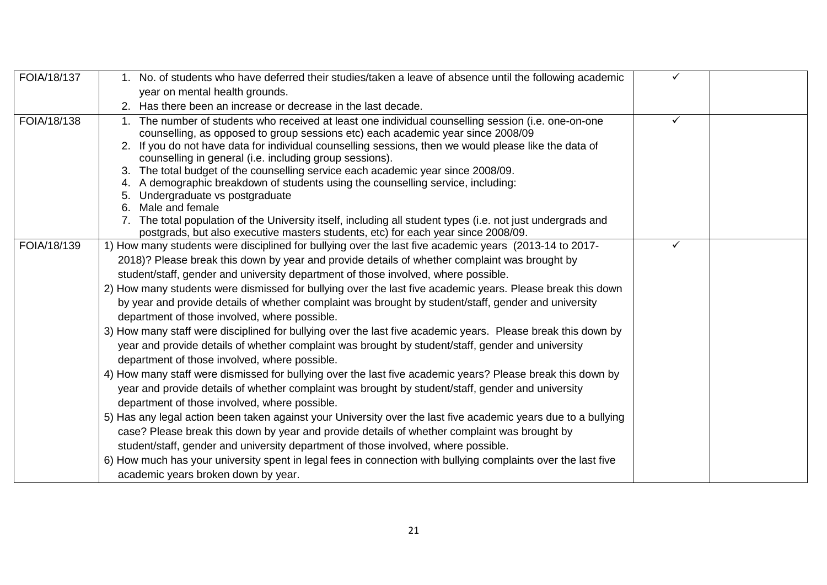| FOIA/18/137 | 1. No. of students who have deferred their studies/taken a leave of absence until the following academic                                                                                         | ✓ |  |
|-------------|--------------------------------------------------------------------------------------------------------------------------------------------------------------------------------------------------|---|--|
|             | year on mental health grounds.                                                                                                                                                                   |   |  |
|             | 2. Has there been an increase or decrease in the last decade.                                                                                                                                    |   |  |
| FOIA/18/138 | The number of students who received at least one individual counselling session (i.e. one-on-one<br>$1_{\cdot}$                                                                                  | ✓ |  |
|             | counselling, as opposed to group sessions etc) each academic year since 2008/09                                                                                                                  |   |  |
|             | 2. If you do not have data for individual counselling sessions, then we would please like the data of                                                                                            |   |  |
|             | counselling in general (i.e. including group sessions).                                                                                                                                          |   |  |
|             | 3. The total budget of the counselling service each academic year since 2008/09.                                                                                                                 |   |  |
|             | 4. A demographic breakdown of students using the counselling service, including:                                                                                                                 |   |  |
|             | 5. Undergraduate vs postgraduate                                                                                                                                                                 |   |  |
|             | 6. Male and female                                                                                                                                                                               |   |  |
|             | 7. The total population of the University itself, including all student types (i.e. not just undergrads and<br>postgrads, but also executive masters students, etc) for each year since 2008/09. |   |  |
| FOIA/18/139 | 1) How many students were disciplined for bullying over the last five academic years (2013-14 to 2017-                                                                                           | ✓ |  |
|             | 2018)? Please break this down by year and provide details of whether complaint was brought by                                                                                                    |   |  |
|             | student/staff, gender and university department of those involved, where possible.                                                                                                               |   |  |
|             | 2) How many students were dismissed for bullying over the last five academic years. Please break this down                                                                                       |   |  |
|             | by year and provide details of whether complaint was brought by student/staff, gender and university                                                                                             |   |  |
|             | department of those involved, where possible.                                                                                                                                                    |   |  |
|             | 3) How many staff were disciplined for bullying over the last five academic years. Please break this down by                                                                                     |   |  |
|             | year and provide details of whether complaint was brought by student/staff, gender and university                                                                                                |   |  |
|             | department of those involved, where possible.                                                                                                                                                    |   |  |
|             | 4) How many staff were dismissed for bullying over the last five academic years? Please break this down by                                                                                       |   |  |
|             | year and provide details of whether complaint was brought by student/staff, gender and university                                                                                                |   |  |
|             |                                                                                                                                                                                                  |   |  |
|             | department of those involved, where possible.                                                                                                                                                    |   |  |
|             | 5) Has any legal action been taken against your University over the last five academic years due to a bullying                                                                                   |   |  |
|             | case? Please break this down by year and provide details of whether complaint was brought by                                                                                                     |   |  |
|             | student/staff, gender and university department of those involved, where possible.                                                                                                               |   |  |
|             | 6) How much has your university spent in legal fees in connection with bullying complaints over the last five                                                                                    |   |  |
|             | academic years broken down by year.                                                                                                                                                              |   |  |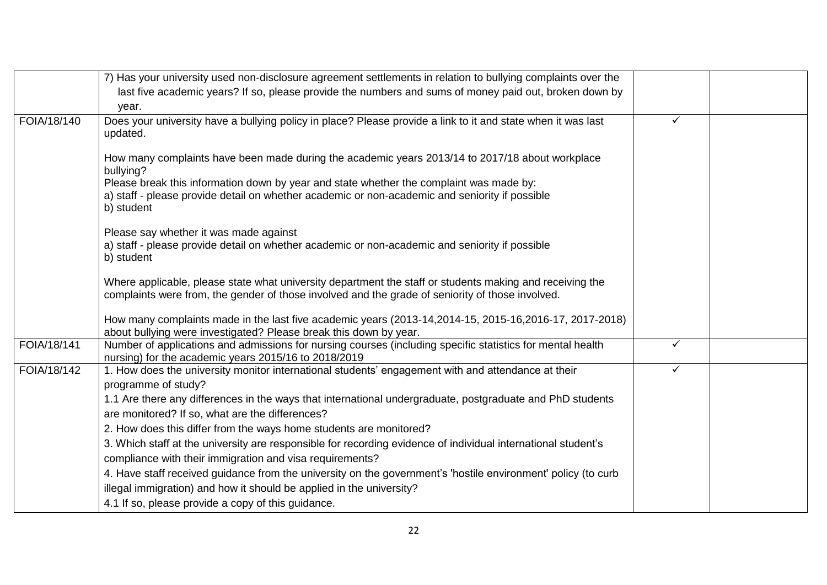|             | 7) Has your university used non-disclosure agreement settlements in relation to bullying complaints over the                                                                  |   |  |
|-------------|-------------------------------------------------------------------------------------------------------------------------------------------------------------------------------|---|--|
|             | last five academic years? If so, please provide the numbers and sums of money paid out, broken down by                                                                        |   |  |
|             | year.                                                                                                                                                                         |   |  |
| FOIA/18/140 | Does your university have a bullying policy in place? Please provide a link to it and state when it was last<br>updated.                                                      | ✓ |  |
|             | How many complaints have been made during the academic years 2013/14 to 2017/18 about workplace<br>bullying?                                                                  |   |  |
|             | Please break this information down by year and state whether the complaint was made by:                                                                                       |   |  |
|             | a) staff - please provide detail on whether academic or non-academic and seniority if possible<br>b) student                                                                  |   |  |
|             | Please say whether it was made against                                                                                                                                        |   |  |
|             | a) staff - please provide detail on whether academic or non-academic and seniority if possible<br>b) student                                                                  |   |  |
|             | Where applicable, please state what university department the staff or students making and receiving the                                                                      |   |  |
|             | complaints were from, the gender of those involved and the grade of seniority of those involved.                                                                              |   |  |
|             | How many complaints made in the last five academic years (2013-14, 2014-15, 2015-16, 2016-17, 2017-2018)<br>about bullying were investigated? Please break this down by year. |   |  |
| FOIA/18/141 | Number of applications and admissions for nursing courses (including specific statistics for mental health<br>nursing) for the academic years 2015/16 to 2018/2019            | ✓ |  |
| FOIA/18/142 | 1. How does the university monitor international students' engagement with and attendance at their                                                                            | ✓ |  |
|             | programme of study?                                                                                                                                                           |   |  |
|             | 1.1 Are there any differences in the ways that international undergraduate, postgraduate and PhD students                                                                     |   |  |
|             | are monitored? If so, what are the differences?                                                                                                                               |   |  |
|             | 2. How does this differ from the ways home students are monitored?                                                                                                            |   |  |
|             | 3. Which staff at the university are responsible for recording evidence of individual international student's                                                                 |   |  |
|             | compliance with their immigration and visa requirements?                                                                                                                      |   |  |
|             | 4. Have staff received guidance from the university on the government's 'hostile environment' policy (to curb                                                                 |   |  |
|             | illegal immigration) and how it should be applied in the university?                                                                                                          |   |  |
|             | 4.1 If so, please provide a copy of this guidance.                                                                                                                            |   |  |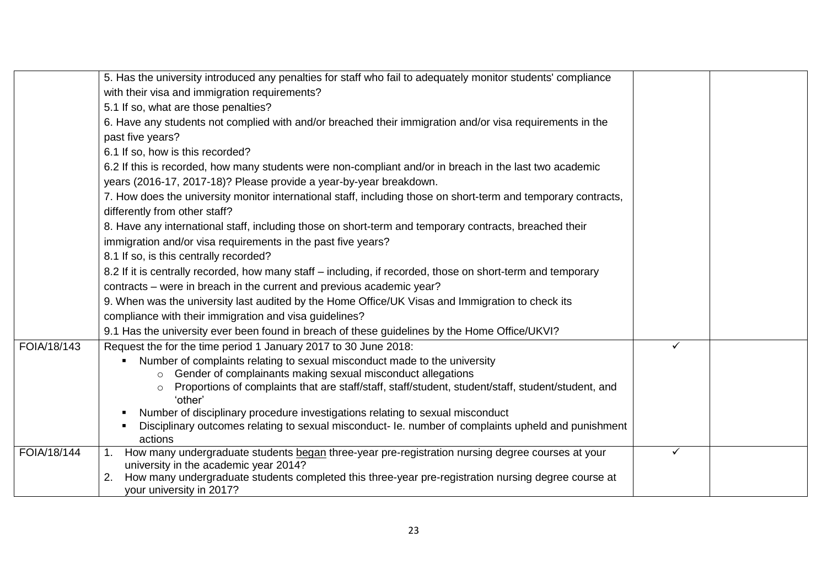|             | 5. Has the university introduced any penalties for staff who fail to adequately monitor students' compliance                                                                         |   |  |
|-------------|--------------------------------------------------------------------------------------------------------------------------------------------------------------------------------------|---|--|
|             | with their visa and immigration requirements?                                                                                                                                        |   |  |
|             | 5.1 If so, what are those penalties?                                                                                                                                                 |   |  |
|             | 6. Have any students not complied with and/or breached their immigration and/or visa requirements in the                                                                             |   |  |
|             | past five years?                                                                                                                                                                     |   |  |
|             | 6.1 If so, how is this recorded?                                                                                                                                                     |   |  |
|             | 6.2 If this is recorded, how many students were non-compliant and/or in breach in the last two academic                                                                              |   |  |
|             | years (2016-17, 2017-18)? Please provide a year-by-year breakdown.                                                                                                                   |   |  |
|             | 7. How does the university monitor international staff, including those on short-term and temporary contracts,                                                                       |   |  |
|             | differently from other staff?                                                                                                                                                        |   |  |
|             | 8. Have any international staff, including those on short-term and temporary contracts, breached their                                                                               |   |  |
|             | immigration and/or visa requirements in the past five years?                                                                                                                         |   |  |
|             | 8.1 If so, is this centrally recorded?                                                                                                                                               |   |  |
|             | 8.2 If it is centrally recorded, how many staff – including, if recorded, those on short-term and temporary                                                                          |   |  |
|             | contracts – were in breach in the current and previous academic year?                                                                                                                |   |  |
|             | 9. When was the university last audited by the Home Office/UK Visas and Immigration to check its                                                                                     |   |  |
|             | compliance with their immigration and visa guidelines?                                                                                                                               |   |  |
|             | 9.1 Has the university ever been found in breach of these guidelines by the Home Office/UKVI?                                                                                        |   |  |
| FOIA/18/143 | Request the for the time period 1 January 2017 to 30 June 2018:                                                                                                                      | ✓ |  |
|             | Number of complaints relating to sexual misconduct made to the university                                                                                                            |   |  |
|             | Gender of complainants making sexual misconduct allegations                                                                                                                          |   |  |
|             | Proportions of complaints that are staff/staff, staff/student, student/staff, student/student, and<br>$\circ$                                                                        |   |  |
|             | 'other'                                                                                                                                                                              |   |  |
|             | Number of disciplinary procedure investigations relating to sexual misconduct<br>Disciplinary outcomes relating to sexual misconduct- le. number of complaints upheld and punishment |   |  |
|             | actions                                                                                                                                                                              |   |  |
| FOIA/18/144 | How many undergraduate students began three-year pre-registration nursing degree courses at your<br>1.                                                                               | ✓ |  |
|             | university in the academic year 2014?                                                                                                                                                |   |  |
|             | How many undergraduate students completed this three-year pre-registration nursing degree course at<br>2.                                                                            |   |  |
|             | your university in 2017?                                                                                                                                                             |   |  |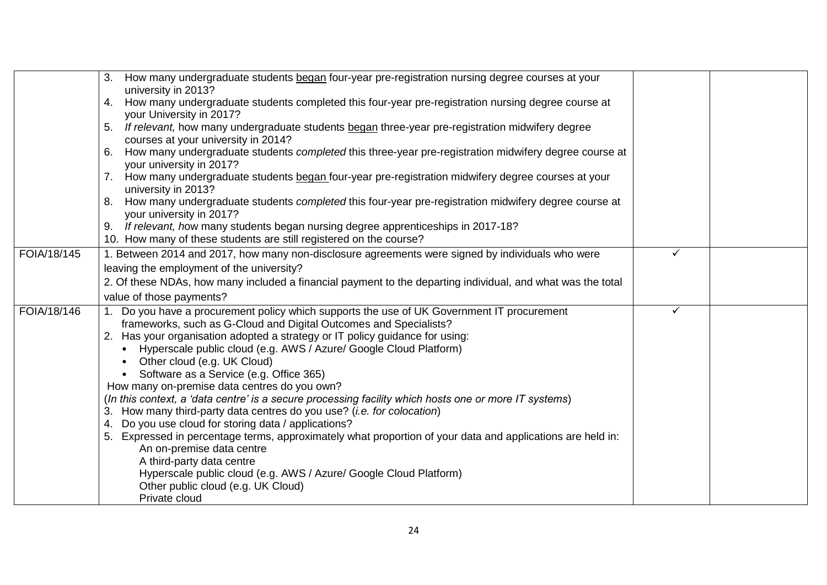|             | How many undergraduate students began four-year pre-registration nursing degree courses at your<br>3.<br>university in 2013?<br>How many undergraduate students completed this four-year pre-registration nursing degree course at<br>4.<br>your University in 2017?<br>If relevant, how many undergraduate students began three-year pre-registration midwifery degree<br>5.<br>courses at your university in 2014?<br>How many undergraduate students <i>completed</i> this three-year pre-registration midwifery degree course at<br>6.<br>your university in 2017?                                                                                                                                                                                                                                                                                                                                                                                                                                               |  |
|-------------|----------------------------------------------------------------------------------------------------------------------------------------------------------------------------------------------------------------------------------------------------------------------------------------------------------------------------------------------------------------------------------------------------------------------------------------------------------------------------------------------------------------------------------------------------------------------------------------------------------------------------------------------------------------------------------------------------------------------------------------------------------------------------------------------------------------------------------------------------------------------------------------------------------------------------------------------------------------------------------------------------------------------|--|
|             | How many undergraduate students began four-year pre-registration midwifery degree courses at your<br>university in 2013?<br>How many undergraduate students <i>completed</i> this four-year pre-registration midwifery degree course at<br>8.<br>your university in 2017?<br>If relevant, how many students began nursing degree apprenticeships in 2017-18?<br>9.<br>10. How many of these students are still registered on the course?                                                                                                                                                                                                                                                                                                                                                                                                                                                                                                                                                                             |  |
| FOIA/18/145 | 1. Between 2014 and 2017, how many non-disclosure agreements were signed by individuals who were<br>$\checkmark$<br>leaving the employment of the university?<br>2. Of these NDAs, how many included a financial payment to the departing individual, and what was the total<br>value of those payments?                                                                                                                                                                                                                                                                                                                                                                                                                                                                                                                                                                                                                                                                                                             |  |
| FOIA/18/146 | 1. Do you have a procurement policy which supports the use of UK Government IT procurement<br>✓<br>frameworks, such as G-Cloud and Digital Outcomes and Specialists?<br>2. Has your organisation adopted a strategy or IT policy guidance for using:<br>• Hyperscale public cloud (e.g. AWS / Azure/ Google Cloud Platform)<br>• Other cloud (e.g. UK Cloud)<br>• Software as a Service (e.g. Office 365)<br>How many on-premise data centres do you own?<br>(In this context, a 'data centre' is a secure processing facility which hosts one or more IT systems)<br>3. How many third-party data centres do you use? ( <i>i.e. for colocation</i> )<br>Do you use cloud for storing data / applications?<br>4.<br>5. Expressed in percentage terms, approximately what proportion of your data and applications are held in:<br>An on-premise data centre<br>A third-party data centre<br>Hyperscale public cloud (e.g. AWS / Azure/ Google Cloud Platform)<br>Other public cloud (e.g. UK Cloud)<br>Private cloud |  |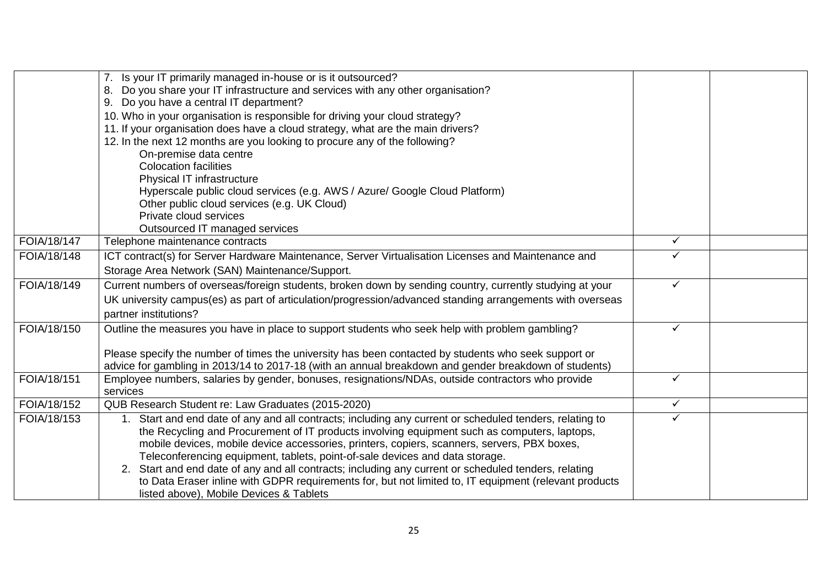|             | Is your IT primarily managed in-house or is it outsourced?                                                                                                                                                 |              |  |
|-------------|------------------------------------------------------------------------------------------------------------------------------------------------------------------------------------------------------------|--------------|--|
|             | Do you share your IT infrastructure and services with any other organisation?<br>8.                                                                                                                        |              |  |
|             | Do you have a central IT department?<br>9.                                                                                                                                                                 |              |  |
|             | 10. Who in your organisation is responsible for driving your cloud strategy?                                                                                                                               |              |  |
|             | 11. If your organisation does have a cloud strategy, what are the main drivers?                                                                                                                            |              |  |
|             | 12. In the next 12 months are you looking to procure any of the following?                                                                                                                                 |              |  |
|             | On-premise data centre                                                                                                                                                                                     |              |  |
|             | <b>Colocation facilities</b>                                                                                                                                                                               |              |  |
|             | Physical IT infrastructure                                                                                                                                                                                 |              |  |
|             | Hyperscale public cloud services (e.g. AWS / Azure/ Google Cloud Platform)                                                                                                                                 |              |  |
|             | Other public cloud services (e.g. UK Cloud)                                                                                                                                                                |              |  |
|             | Private cloud services                                                                                                                                                                                     |              |  |
|             | Outsourced IT managed services                                                                                                                                                                             |              |  |
| FOIA/18/147 | Telephone maintenance contracts                                                                                                                                                                            | ✓            |  |
| FOIA/18/148 | ICT contract(s) for Server Hardware Maintenance, Server Virtualisation Licenses and Maintenance and                                                                                                        | ✓            |  |
|             | Storage Area Network (SAN) Maintenance/Support.                                                                                                                                                            |              |  |
| FOIA/18/149 | Current numbers of overseas/foreign students, broken down by sending country, currently studying at your                                                                                                   | ✓            |  |
|             | UK university campus(es) as part of articulation/progression/advanced standing arrangements with overseas                                                                                                  |              |  |
|             | partner institutions?                                                                                                                                                                                      |              |  |
| FOIA/18/150 | Outline the measures you have in place to support students who seek help with problem gambling?                                                                                                            | ✓            |  |
|             |                                                                                                                                                                                                            |              |  |
|             | Please specify the number of times the university has been contacted by students who seek support or                                                                                                       |              |  |
| FOIA/18/151 | advice for gambling in 2013/14 to 2017-18 (with an annual breakdown and gender breakdown of students)<br>Employee numbers, salaries by gender, bonuses, resignations/NDAs, outside contractors who provide | ✓            |  |
|             | services                                                                                                                                                                                                   |              |  |
| FOIA/18/152 | QUB Research Student re: Law Graduates (2015-2020)                                                                                                                                                         | $\checkmark$ |  |
| FOIA/18/153 | 1. Start and end date of any and all contracts; including any current or scheduled tenders, relating to                                                                                                    | ✓            |  |
|             | the Recycling and Procurement of IT products involving equipment such as computers, laptops,                                                                                                               |              |  |
|             | mobile devices, mobile device accessories, printers, copiers, scanners, servers, PBX boxes,                                                                                                                |              |  |
|             | Teleconferencing equipment, tablets, point-of-sale devices and data storage.                                                                                                                               |              |  |
|             | 2. Start and end date of any and all contracts; including any current or scheduled tenders, relating                                                                                                       |              |  |
|             | to Data Eraser inline with GDPR requirements for, but not limited to, IT equipment (relevant products                                                                                                      |              |  |
|             | listed above), Mobile Devices & Tablets                                                                                                                                                                    |              |  |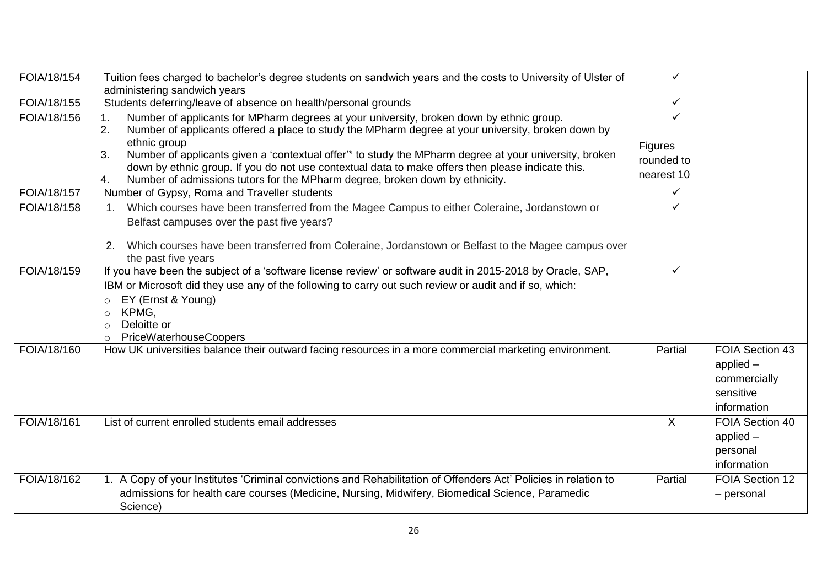| FOIA/18/154 | Tuition fees charged to bachelor's degree students on sandwich years and the costs to University of Ulster of                                                                                                            | ✓            |                 |
|-------------|--------------------------------------------------------------------------------------------------------------------------------------------------------------------------------------------------------------------------|--------------|-----------------|
|             | administering sandwich years                                                                                                                                                                                             |              |                 |
| FOIA/18/155 | Students deferring/leave of absence on health/personal grounds                                                                                                                                                           | $\checkmark$ |                 |
| FOIA/18/156 | Number of applicants for MPharm degrees at your university, broken down by ethnic group.<br>$\overline{1}$ .<br>Number of applicants offered a place to study the MPharm degree at your university, broken down by<br>2. | ✓            |                 |
|             | ethnic group                                                                                                                                                                                                             | Figures      |                 |
|             | Number of applicants given a 'contextual offer'* to study the MPharm degree at your university, broken<br>3.                                                                                                             | rounded to   |                 |
|             | down by ethnic group. If you do not use contextual data to make offers then please indicate this.                                                                                                                        |              |                 |
|             | Number of admissions tutors for the MPharm degree, broken down by ethnicity.<br>4.                                                                                                                                       | nearest 10   |                 |
| FOIA/18/157 | Number of Gypsy, Roma and Traveller students                                                                                                                                                                             | ✓            |                 |
| FOIA/18/158 | Which courses have been transferred from the Magee Campus to either Coleraine, Jordanstown or<br>1.                                                                                                                      | ✓            |                 |
|             | Belfast campuses over the past five years?                                                                                                                                                                               |              |                 |
|             |                                                                                                                                                                                                                          |              |                 |
|             | Which courses have been transferred from Coleraine, Jordanstown or Belfast to the Magee campus over<br>2.                                                                                                                |              |                 |
|             | the past five years                                                                                                                                                                                                      |              |                 |
| FOIA/18/159 | If you have been the subject of a 'software license review' or software audit in 2015-2018 by Oracle, SAP,                                                                                                               | ✓            |                 |
|             | IBM or Microsoft did they use any of the following to carry out such review or audit and if so, which:                                                                                                                   |              |                 |
|             | EY (Ernst & Young)<br>$\circ$                                                                                                                                                                                            |              |                 |
|             | KPMG,<br>$\circ$                                                                                                                                                                                                         |              |                 |
|             | Deloitte or<br>$\Omega$                                                                                                                                                                                                  |              |                 |
|             | <b>PriceWaterhouseCoopers</b><br>$\circ$                                                                                                                                                                                 |              |                 |
| FOIA/18/160 | How UK universities balance their outward facing resources in a more commercial marketing environment.                                                                                                                   | Partial      | FOIA Section 43 |
|             |                                                                                                                                                                                                                          |              | applied $-$     |
|             |                                                                                                                                                                                                                          |              | commercially    |
|             |                                                                                                                                                                                                                          |              | sensitive       |
|             |                                                                                                                                                                                                                          |              | information     |
| FOIA/18/161 | List of current enrolled students email addresses                                                                                                                                                                        | $\mathsf{X}$ | FOIA Section 40 |
|             |                                                                                                                                                                                                                          |              | applied $-$     |
|             |                                                                                                                                                                                                                          |              | personal        |
|             |                                                                                                                                                                                                                          |              | information     |
| FOIA/18/162 | 1. A Copy of your Institutes 'Criminal convictions and Rehabilitation of Offenders Act' Policies in relation to                                                                                                          | Partial      | FOIA Section 12 |
|             | admissions for health care courses (Medicine, Nursing, Midwifery, Biomedical Science, Paramedic                                                                                                                          |              | - personal      |
|             | Science)                                                                                                                                                                                                                 |              |                 |
|             |                                                                                                                                                                                                                          |              |                 |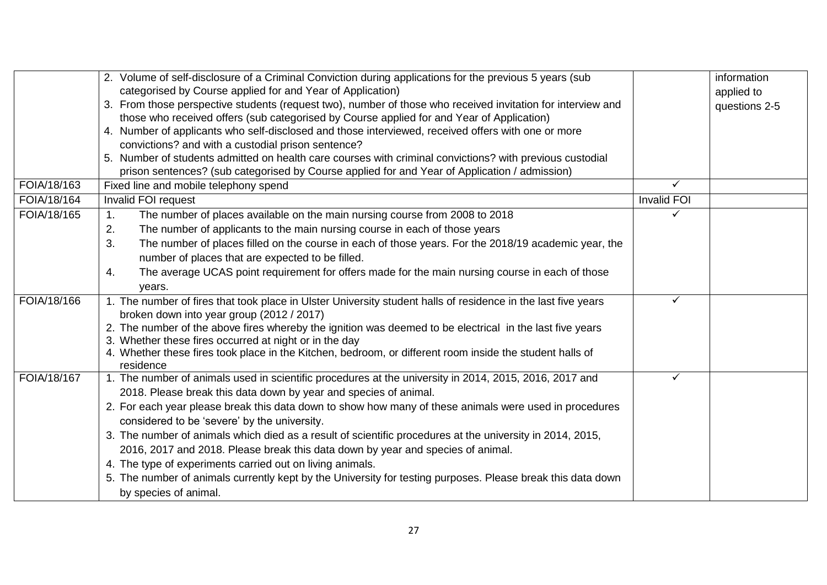|             | 2. Volume of self-disclosure of a Criminal Conviction during applications for the previous 5 years (sub               |                    | information   |
|-------------|-----------------------------------------------------------------------------------------------------------------------|--------------------|---------------|
|             | categorised by Course applied for and Year of Application)                                                            |                    | applied to    |
|             | 3. From those perspective students (request two), number of those who received invitation for interview and           |                    | questions 2-5 |
|             | those who received offers (sub categorised by Course applied for and Year of Application)                             |                    |               |
|             | 4. Number of applicants who self-disclosed and those interviewed, received offers with one or more                    |                    |               |
|             | convictions? and with a custodial prison sentence?                                                                    |                    |               |
|             | 5. Number of students admitted on health care courses with criminal convictions? with previous custodial              |                    |               |
|             | prison sentences? (sub categorised by Course applied for and Year of Application / admission)                         |                    |               |
| FOIA/18/163 | Fixed line and mobile telephony spend                                                                                 | ✓                  |               |
| FOIA/18/164 | Invalid FOI request                                                                                                   | <b>Invalid FOI</b> |               |
| FOIA/18/165 | The number of places available on the main nursing course from 2008 to 2018<br>$\mathbf{1}$ .                         | $\checkmark$       |               |
|             | The number of applicants to the main nursing course in each of those years<br>2.                                      |                    |               |
|             | 3.<br>The number of places filled on the course in each of those years. For the 2018/19 academic year, the            |                    |               |
|             | number of places that are expected to be filled.                                                                      |                    |               |
|             | The average UCAS point requirement for offers made for the main nursing course in each of those<br>4.                 |                    |               |
|             | years.                                                                                                                |                    |               |
| FOIA/18/166 | 1. The number of fires that took place in Ulster University student halls of residence in the last five years         | $\checkmark$       |               |
|             | broken down into year group (2012 / 2017)                                                                             |                    |               |
|             | 2. The number of the above fires whereby the ignition was deemed to be electrical in the last five years              |                    |               |
|             | 3. Whether these fires occurred at night or in the day                                                                |                    |               |
|             | 4. Whether these fires took place in the Kitchen, bedroom, or different room inside the student halls of<br>residence |                    |               |
| FOIA/18/167 | 1. The number of animals used in scientific procedures at the university in 2014, 2015, 2016, 2017 and                | ✓                  |               |
|             | 2018. Please break this data down by year and species of animal.                                                      |                    |               |
|             | 2. For each year please break this data down to show how many of these animals were used in procedures                |                    |               |
|             | considered to be 'severe' by the university.                                                                          |                    |               |
|             | 3. The number of animals which died as a result of scientific procedures at the university in 2014, 2015,             |                    |               |
|             | 2016, 2017 and 2018. Please break this data down by year and species of animal.                                       |                    |               |
|             | 4. The type of experiments carried out on living animals.                                                             |                    |               |
|             | 5. The number of animals currently kept by the University for testing purposes. Please break this data down           |                    |               |
|             | by species of animal.                                                                                                 |                    |               |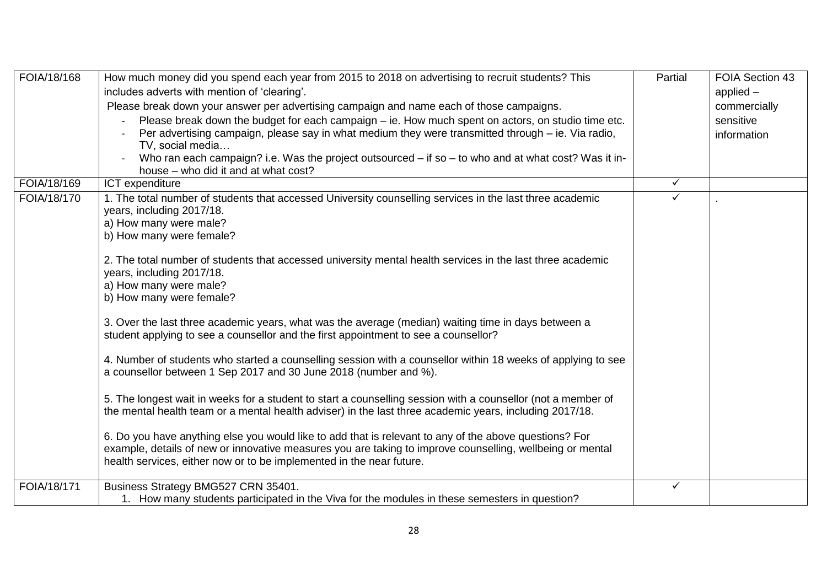| FOIA/18/168 | How much money did you spend each year from 2015 to 2018 on advertising to recruit students? This<br>includes adverts with mention of 'clearing'.<br>Please break down your answer per advertising campaign and name each of those campaigns.                                               | Partial      | FOIA Section 43<br>applied $-$<br>commercially |
|-------------|---------------------------------------------------------------------------------------------------------------------------------------------------------------------------------------------------------------------------------------------------------------------------------------------|--------------|------------------------------------------------|
|             | Please break down the budget for each campaign - ie. How much spent on actors, on studio time etc.                                                                                                                                                                                          |              | sensitive                                      |
|             | Per advertising campaign, please say in what medium they were transmitted through – ie. Via radio,<br>TV, social media                                                                                                                                                                      |              | information                                    |
|             | Who ran each campaign? i.e. Was the project outsourced – if so – to who and at what cost? Was it in-<br>house - who did it and at what cost?                                                                                                                                                |              |                                                |
| FOIA/18/169 | ICT expenditure                                                                                                                                                                                                                                                                             | $\checkmark$ |                                                |
| FOIA/18/170 | 1. The total number of students that accessed University counselling services in the last three academic<br>years, including 2017/18.<br>a) How many were male?<br>b) How many were female?                                                                                                 | $\checkmark$ |                                                |
|             | 2. The total number of students that accessed university mental health services in the last three academic<br>years, including 2017/18.<br>a) How many were male?<br>b) How many were female?                                                                                               |              |                                                |
|             | 3. Over the last three academic years, what was the average (median) waiting time in days between a<br>student applying to see a counsellor and the first appointment to see a counsellor?                                                                                                  |              |                                                |
|             | 4. Number of students who started a counselling session with a counsellor within 18 weeks of applying to see<br>a counsellor between 1 Sep 2017 and 30 June 2018 (number and %).                                                                                                            |              |                                                |
|             | 5. The longest wait in weeks for a student to start a counselling session with a counsellor (not a member of<br>the mental health team or a mental health adviser) in the last three academic years, including 2017/18.                                                                     |              |                                                |
|             | 6. Do you have anything else you would like to add that is relevant to any of the above questions? For<br>example, details of new or innovative measures you are taking to improve counselling, wellbeing or mental<br>health services, either now or to be implemented in the near future. |              |                                                |
| FOIA/18/171 | Business Strategy BMG527 CRN 35401.<br>1. How many students participated in the Viva for the modules in these semesters in question?                                                                                                                                                        | $\checkmark$ |                                                |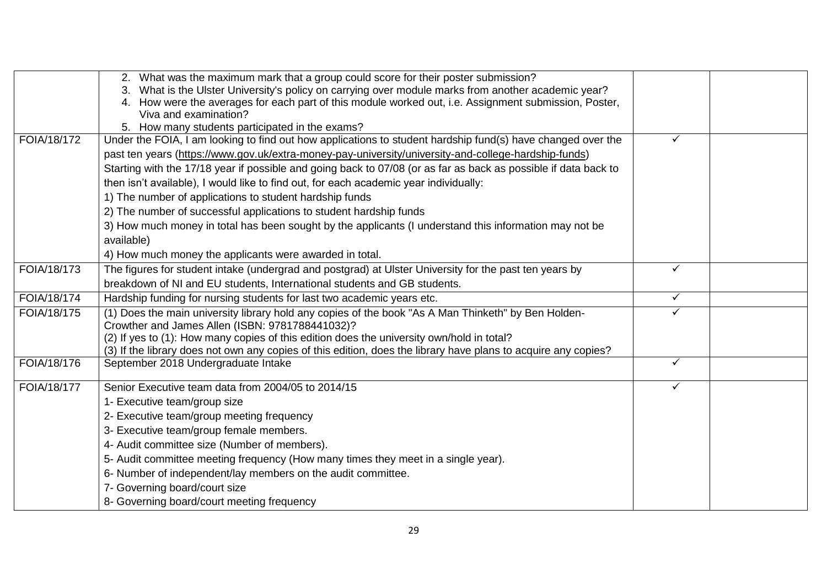|             | 2. What was the maximum mark that a group could score for their poster submission?                                                                    |              |  |
|-------------|-------------------------------------------------------------------------------------------------------------------------------------------------------|--------------|--|
|             | What is the Ulster University's policy on carrying over module marks from another academic year?                                                      |              |  |
|             | 4. How were the averages for each part of this module worked out, i.e. Assignment submission, Poster,                                                 |              |  |
|             | Viva and examination?                                                                                                                                 |              |  |
|             | 5. How many students participated in the exams?                                                                                                       | ✓            |  |
| FOIA/18/172 | Under the FOIA, I am looking to find out how applications to student hardship fund(s) have changed over the                                           |              |  |
|             | past ten years (https://www.gov.uk/extra-money-pay-university/university-and-college-hardship-funds)                                                  |              |  |
|             | Starting with the 17/18 year if possible and going back to 07/08 (or as far as back as possible if data back to                                       |              |  |
|             | then isn't available), I would like to find out, for each academic year individually:                                                                 |              |  |
|             | 1) The number of applications to student hardship funds                                                                                               |              |  |
|             | 2) The number of successful applications to student hardship funds                                                                                    |              |  |
|             | 3) How much money in total has been sought by the applicants (I understand this information may not be                                                |              |  |
|             | available)                                                                                                                                            |              |  |
|             | 4) How much money the applicants were awarded in total.                                                                                               |              |  |
| FOIA/18/173 | The figures for student intake (undergrad and postgrad) at Ulster University for the past ten years by                                                | $\checkmark$ |  |
|             | breakdown of NI and EU students, International students and GB students.                                                                              |              |  |
| FOIA/18/174 | Hardship funding for nursing students for last two academic years etc.                                                                                | $\checkmark$ |  |
| FOIA/18/175 | (1) Does the main university library hold any copies of the book "As A Man Thinketh" by Ben Holden-                                                   | $\checkmark$ |  |
|             | Crowther and James Allen (ISBN: 9781788441032)?                                                                                                       |              |  |
|             | (2) If yes to (1): How many copies of this edition does the university own/hold in total?                                                             |              |  |
| FOIA/18/176 | (3) If the library does not own any copies of this edition, does the library have plans to acquire any copies?<br>September 2018 Undergraduate Intake | $\checkmark$ |  |
|             |                                                                                                                                                       |              |  |
| FOIA/18/177 | Senior Executive team data from 2004/05 to 2014/15                                                                                                    | $\checkmark$ |  |
|             | 1- Executive team/group size                                                                                                                          |              |  |
|             | 2- Executive team/group meeting frequency                                                                                                             |              |  |
|             | 3- Executive team/group female members.                                                                                                               |              |  |
|             | 4- Audit committee size (Number of members).                                                                                                          |              |  |
|             | 5- Audit committee meeting frequency (How many times they meet in a single year).                                                                     |              |  |
|             | 6- Number of independent/lay members on the audit committee.                                                                                          |              |  |
|             | 7- Governing board/court size                                                                                                                         |              |  |
|             | 8- Governing board/court meeting frequency                                                                                                            |              |  |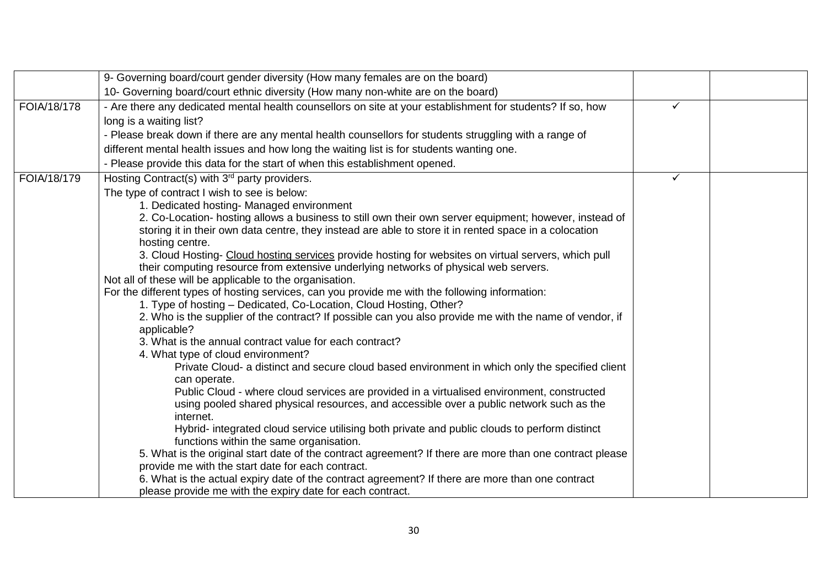|             | 9- Governing board/court gender diversity (How many females are on the board)                                                         |   |  |
|-------------|---------------------------------------------------------------------------------------------------------------------------------------|---|--|
|             | 10- Governing board/court ethnic diversity (How many non-white are on the board)                                                      |   |  |
| FOIA/18/178 | - Are there any dedicated mental health counsellors on site at your establishment for students? If so, how                            | ✓ |  |
|             | long is a waiting list?                                                                                                               |   |  |
|             | - Please break down if there are any mental health counsellors for students struggling with a range of                                |   |  |
|             | different mental health issues and how long the waiting list is for students wanting one.                                             |   |  |
|             | - Please provide this data for the start of when this establishment opened.                                                           |   |  |
| FOIA/18/179 | Hosting Contract(s) with 3 <sup>rd</sup> party providers.                                                                             | ✓ |  |
|             | The type of contract I wish to see is below:                                                                                          |   |  |
|             | 1. Dedicated hosting- Managed environment                                                                                             |   |  |
|             | 2. Co-Location- hosting allows a business to still own their own server equipment; however, instead of                                |   |  |
|             | storing it in their own data centre, they instead are able to store it in rented space in a colocation                                |   |  |
|             | hosting centre.                                                                                                                       |   |  |
|             | 3. Cloud Hosting- Cloud hosting services provide hosting for websites on virtual servers, which pull                                  |   |  |
|             | their computing resource from extensive underlying networks of physical web servers.                                                  |   |  |
|             | Not all of these will be applicable to the organisation.                                                                              |   |  |
|             | For the different types of hosting services, can you provide me with the following information:                                       |   |  |
|             | 1. Type of hosting - Dedicated, Co-Location, Cloud Hosting, Other?                                                                    |   |  |
|             | 2. Who is the supplier of the contract? If possible can you also provide me with the name of vendor, if                               |   |  |
|             | applicable?                                                                                                                           |   |  |
|             | 3. What is the annual contract value for each contract?                                                                               |   |  |
|             | 4. What type of cloud environment?<br>Private Cloud- a distinct and secure cloud based environment in which only the specified client |   |  |
|             | can operate.                                                                                                                          |   |  |
|             | Public Cloud - where cloud services are provided in a virtualised environment, constructed                                            |   |  |
|             | using pooled shared physical resources, and accessible over a public network such as the                                              |   |  |
|             | internet.                                                                                                                             |   |  |
|             | Hybrid- integrated cloud service utilising both private and public clouds to perform distinct                                         |   |  |
|             | functions within the same organisation.                                                                                               |   |  |
|             | 5. What is the original start date of the contract agreement? If there are more than one contract please                              |   |  |
|             | provide me with the start date for each contract.                                                                                     |   |  |
|             | 6. What is the actual expiry date of the contract agreement? If there are more than one contract                                      |   |  |
|             | please provide me with the expiry date for each contract.                                                                             |   |  |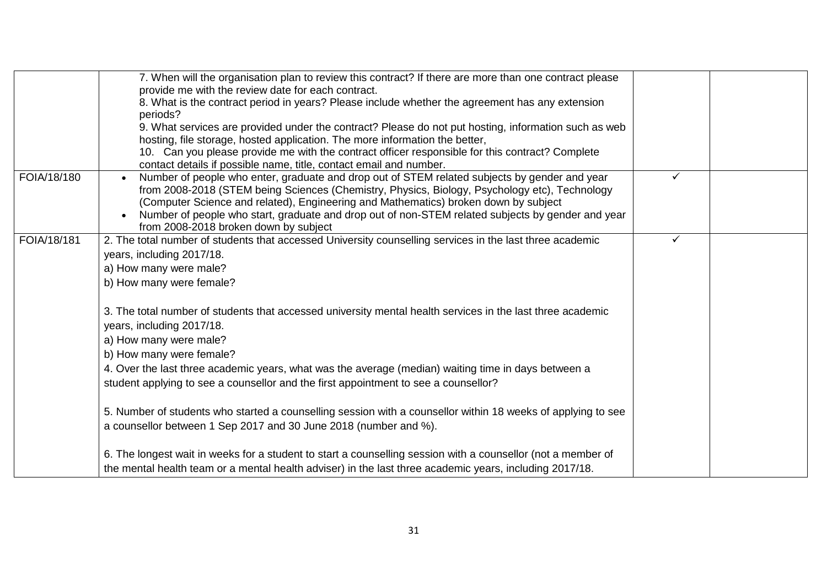|             | 7. When will the organisation plan to review this contract? If there are more than one contract please<br>provide me with the review date for each contract.<br>8. What is the contract period in years? Please include whether the agreement has any extension<br>periods?<br>9. What services are provided under the contract? Please do not put hosting, information such as web<br>hosting, file storage, hosted application. The more information the better,<br>10. Can you please provide me with the contract officer responsible for this contract? Complete<br>contact details if possible name, title, contact email and number. |              |  |
|-------------|---------------------------------------------------------------------------------------------------------------------------------------------------------------------------------------------------------------------------------------------------------------------------------------------------------------------------------------------------------------------------------------------------------------------------------------------------------------------------------------------------------------------------------------------------------------------------------------------------------------------------------------------|--------------|--|
| FOIA/18/180 | Number of people who enter, graduate and drop out of STEM related subjects by gender and year<br>from 2008-2018 (STEM being Sciences (Chemistry, Physics, Biology, Psychology etc), Technology<br>(Computer Science and related), Engineering and Mathematics) broken down by subject<br>Number of people who start, graduate and drop out of non-STEM related subjects by gender and year<br>from 2008-2018 broken down by subject                                                                                                                                                                                                         | $\checkmark$ |  |
| FOIA/18/181 | 2. The total number of students that accessed University counselling services in the last three academic<br>years, including 2017/18.<br>a) How many were male?<br>b) How many were female?                                                                                                                                                                                                                                                                                                                                                                                                                                                 | $\checkmark$ |  |
|             | 3. The total number of students that accessed university mental health services in the last three academic<br>years, including 2017/18.<br>a) How many were male?<br>b) How many were female?<br>4. Over the last three academic years, what was the average (median) waiting time in days between a<br>student applying to see a counsellor and the first appointment to see a counsellor?                                                                                                                                                                                                                                                 |              |  |
|             | 5. Number of students who started a counselling session with a counsellor within 18 weeks of applying to see<br>a counsellor between 1 Sep 2017 and 30 June 2018 (number and %).                                                                                                                                                                                                                                                                                                                                                                                                                                                            |              |  |
|             | 6. The longest wait in weeks for a student to start a counselling session with a counsellor (not a member of<br>the mental health team or a mental health adviser) in the last three academic years, including 2017/18.                                                                                                                                                                                                                                                                                                                                                                                                                     |              |  |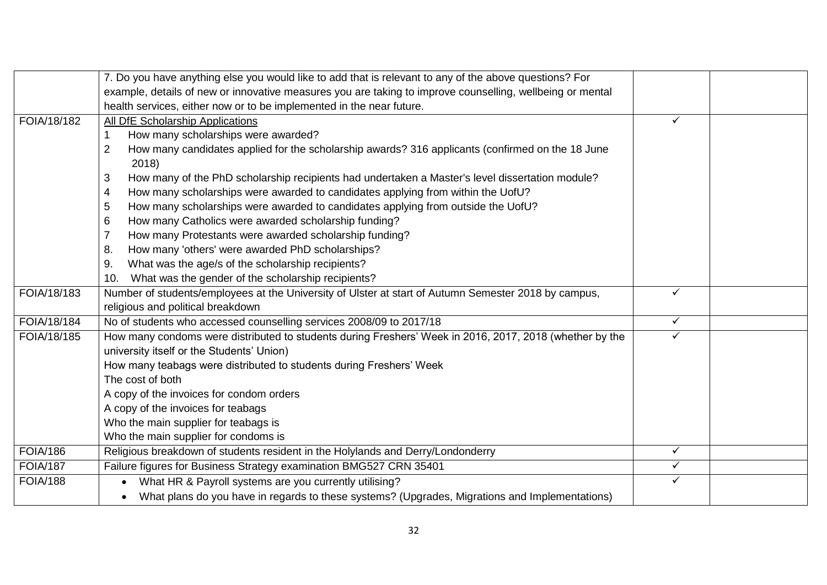|                 | 7. Do you have anything else you would like to add that is relevant to any of the above questions? For    |              |  |
|-----------------|-----------------------------------------------------------------------------------------------------------|--------------|--|
|                 | example, details of new or innovative measures you are taking to improve counselling, wellbeing or mental |              |  |
|                 | health services, either now or to be implemented in the near future.                                      |              |  |
| FOIA/18/182     | All DfE Scholarship Applications                                                                          | ✓            |  |
|                 | How many scholarships were awarded?                                                                       |              |  |
|                 | How many candidates applied for the scholarship awards? 316 applicants (confirmed on the 18 June<br>2     |              |  |
|                 | 2018)                                                                                                     |              |  |
|                 | How many of the PhD scholarship recipients had undertaken a Master's level dissertation module?<br>3      |              |  |
|                 | How many scholarships were awarded to candidates applying from within the UofU?<br>4                      |              |  |
|                 | How many scholarships were awarded to candidates applying from outside the UofU?<br>5                     |              |  |
|                 | How many Catholics were awarded scholarship funding?<br>6                                                 |              |  |
|                 | How many Protestants were awarded scholarship funding?                                                    |              |  |
|                 | How many 'others' were awarded PhD scholarships?<br>8.                                                    |              |  |
|                 | What was the age/s of the scholarship recipients?<br>9.                                                   |              |  |
|                 | What was the gender of the scholarship recipients?<br>10.                                                 |              |  |
| FOIA/18/183     | Number of students/employees at the University of Ulster at start of Autumn Semester 2018 by campus,      | ✓            |  |
|                 | religious and political breakdown                                                                         |              |  |
| FOIA/18/184     | No of students who accessed counselling services 2008/09 to 2017/18                                       | $\checkmark$ |  |
| FOIA/18/185     | How many condoms were distributed to students during Freshers' Week in 2016, 2017, 2018 (whether by the   | $\checkmark$ |  |
|                 | university itself or the Students' Union)                                                                 |              |  |
|                 | How many teabags were distributed to students during Freshers' Week                                       |              |  |
|                 | The cost of both                                                                                          |              |  |
|                 | A copy of the invoices for condom orders                                                                  |              |  |
|                 | A copy of the invoices for teabags                                                                        |              |  |
|                 | Who the main supplier for teabags is                                                                      |              |  |
|                 | Who the main supplier for condoms is                                                                      |              |  |
| <b>FOIA/186</b> | Religious breakdown of students resident in the Holylands and Derry/Londonderry                           | ✓            |  |
| <b>FOIA/187</b> | Failure figures for Business Strategy examination BMG527 CRN 35401                                        | $\checkmark$ |  |
| <b>FOIA/188</b> | What HR & Payroll systems are you currently utilising?                                                    | ✓            |  |
|                 | What plans do you have in regards to these systems? (Upgrades, Migrations and Implementations)            |              |  |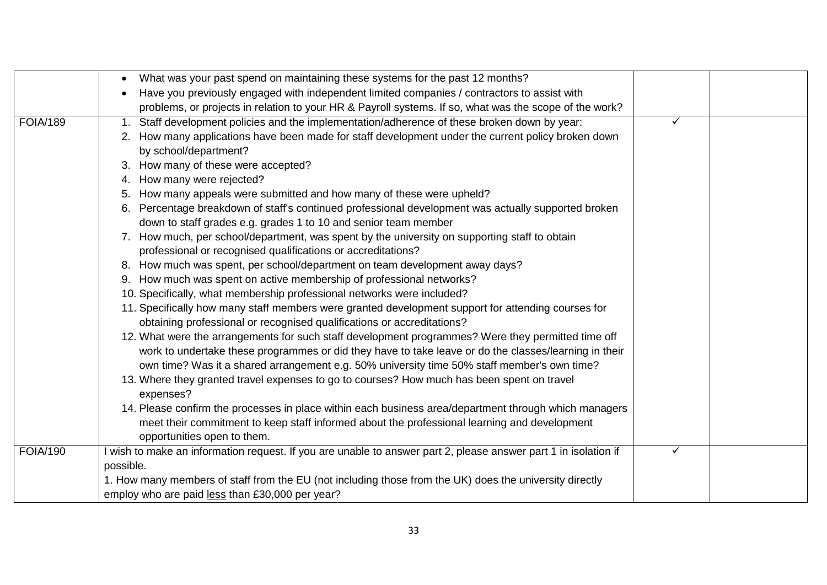|                 | What was your past spend on maintaining these systems for the past 12 months?                                   |   |  |
|-----------------|-----------------------------------------------------------------------------------------------------------------|---|--|
|                 | Have you previously engaged with independent limited companies / contractors to assist with                     |   |  |
|                 | problems, or projects in relation to your HR & Payroll systems. If so, what was the scope of the work?          |   |  |
| <b>FOIA/189</b> | Staff development policies and the implementation/adherence of these broken down by year:<br>1.                 | ✓ |  |
|                 | 2. How many applications have been made for staff development under the current policy broken down              |   |  |
|                 | by school/department?                                                                                           |   |  |
|                 | How many of these were accepted?                                                                                |   |  |
|                 | How many were rejected?<br>4.                                                                                   |   |  |
|                 | How many appeals were submitted and how many of these were upheld?                                              |   |  |
|                 | Percentage breakdown of staff's continued professional development was actually supported broken                |   |  |
|                 | down to staff grades e.g. grades 1 to 10 and senior team member                                                 |   |  |
|                 | 7. How much, per school/department, was spent by the university on supporting staff to obtain                   |   |  |
|                 | professional or recognised qualifications or accreditations?                                                    |   |  |
|                 | 8. How much was spent, per school/department on team development away days?                                     |   |  |
|                 | 9. How much was spent on active membership of professional networks?                                            |   |  |
|                 | 10. Specifically, what membership professional networks were included?                                          |   |  |
|                 | 11. Specifically how many staff members were granted development support for attending courses for              |   |  |
|                 | obtaining professional or recognised qualifications or accreditations?                                          |   |  |
|                 | 12. What were the arrangements for such staff development programmes? Were they permitted time off              |   |  |
|                 | work to undertake these programmes or did they have to take leave or do the classes/learning in their           |   |  |
|                 | own time? Was it a shared arrangement e.g. 50% university time 50% staff member's own time?                     |   |  |
|                 | 13. Where they granted travel expenses to go to courses? How much has been spent on travel<br>expenses?         |   |  |
|                 | 14. Please confirm the processes in place within each business area/department through which managers           |   |  |
|                 | meet their commitment to keep staff informed about the professional learning and development                    |   |  |
|                 | opportunities open to them.                                                                                     |   |  |
| <b>FOIA/190</b> | I wish to make an information request. If you are unable to answer part 2, please answer part 1 in isolation if | ✓ |  |
|                 | possible.                                                                                                       |   |  |
|                 | 1. How many members of staff from the EU (not including those from the UK) does the university directly         |   |  |
|                 | employ who are paid less than £30,000 per year?                                                                 |   |  |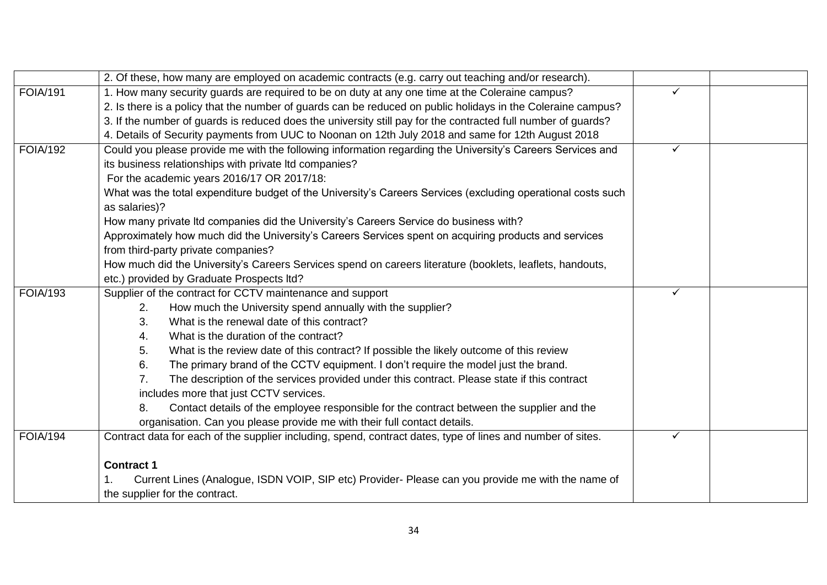|                 | 2. Of these, how many are employed on academic contracts (e.g. carry out teaching and/or research).           |              |  |
|-----------------|---------------------------------------------------------------------------------------------------------------|--------------|--|
| <b>FOIA/191</b> | 1. How many security guards are required to be on duty at any one time at the Coleraine campus?               | ✓            |  |
|                 | 2. Is there is a policy that the number of guards can be reduced on public holidays in the Coleraine campus?  |              |  |
|                 | 3. If the number of guards is reduced does the university still pay for the contracted full number of guards? |              |  |
|                 | 4. Details of Security payments from UUC to Noonan on 12th July 2018 and same for 12th August 2018            |              |  |
| <b>FOIA/192</b> | Could you please provide me with the following information regarding the University's Careers Services and    | $\checkmark$ |  |
|                 | its business relationships with private Itd companies?                                                        |              |  |
|                 | For the academic years 2016/17 OR 2017/18:                                                                    |              |  |
|                 | What was the total expenditure budget of the University's Careers Services (excluding operational costs such  |              |  |
|                 | as salaries)?                                                                                                 |              |  |
|                 | How many private Itd companies did the University's Careers Service do business with?                         |              |  |
|                 | Approximately how much did the University's Careers Services spent on acquiring products and services         |              |  |
|                 | from third-party private companies?                                                                           |              |  |
|                 | How much did the University's Careers Services spend on careers literature (booklets, leaflets, handouts,     |              |  |
|                 | etc.) provided by Graduate Prospects ltd?                                                                     |              |  |
| <b>FOIA/193</b> | Supplier of the contract for CCTV maintenance and support                                                     | $\checkmark$ |  |
|                 | How much the University spend annually with the supplier?<br>2.                                               |              |  |
|                 | What is the renewal date of this contract?<br>3.                                                              |              |  |
|                 | What is the duration of the contract?<br>4.                                                                   |              |  |
|                 | What is the review date of this contract? If possible the likely outcome of this review<br>5.                 |              |  |
|                 | The primary brand of the CCTV equipment. I don't require the model just the brand.<br>6.                      |              |  |
|                 | The description of the services provided under this contract. Please state if this contract<br>7.             |              |  |
|                 | includes more that just CCTV services.                                                                        |              |  |
|                 | Contact details of the employee responsible for the contract between the supplier and the<br>8.               |              |  |
|                 | organisation. Can you please provide me with their full contact details.                                      |              |  |
| <b>FOIA/194</b> | Contract data for each of the supplier including, spend, contract dates, type of lines and number of sites.   | ✓            |  |
|                 |                                                                                                               |              |  |
|                 | <b>Contract 1</b>                                                                                             |              |  |
|                 | Current Lines (Analogue, ISDN VOIP, SIP etc) Provider- Please can you provide me with the name of             |              |  |
|                 | the supplier for the contract.                                                                                |              |  |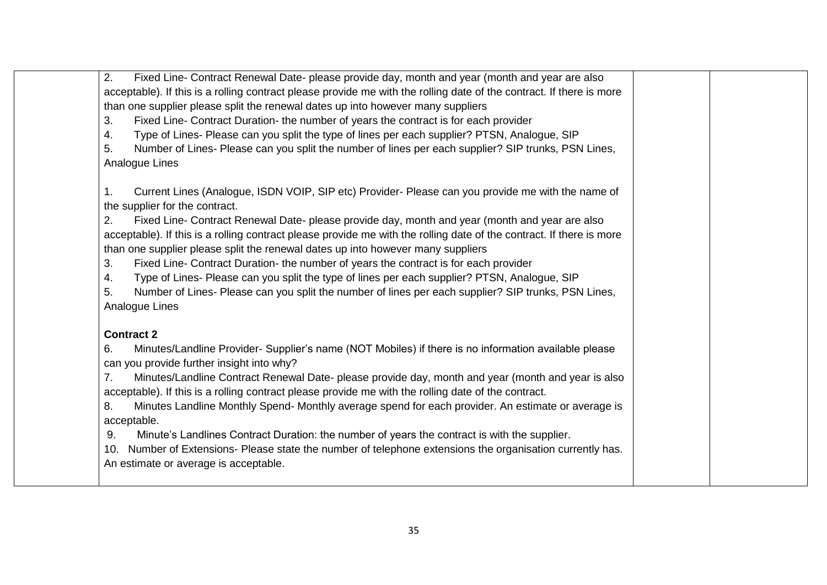| 2.  | Fixed Line- Contract Renewal Date- please provide day, month and year (month and year are also                                                                                                                                                                                                            |  |
|-----|-----------------------------------------------------------------------------------------------------------------------------------------------------------------------------------------------------------------------------------------------------------------------------------------------------------|--|
|     | acceptable). If this is a rolling contract please provide me with the rolling date of the contract. If there is more                                                                                                                                                                                      |  |
|     | than one supplier please split the renewal dates up into however many suppliers                                                                                                                                                                                                                           |  |
| 3.  | Fixed Line- Contract Duration- the number of years the contract is for each provider                                                                                                                                                                                                                      |  |
| 4.  | Type of Lines- Please can you split the type of lines per each supplier? PTSN, Analogue, SIP                                                                                                                                                                                                              |  |
| 5.  | Number of Lines- Please can you split the number of lines per each supplier? SIP trunks, PSN Lines,<br>Analogue Lines                                                                                                                                                                                     |  |
| 1.  | Current Lines (Analogue, ISDN VOIP, SIP etc) Provider- Please can you provide me with the name of<br>the supplier for the contract.                                                                                                                                                                       |  |
| 2.  | Fixed Line- Contract Renewal Date- please provide day, month and year (month and year are also<br>acceptable). If this is a rolling contract please provide me with the rolling date of the contract. If there is more<br>than one supplier please split the renewal dates up into however many suppliers |  |
| 3.  | Fixed Line- Contract Duration- the number of years the contract is for each provider                                                                                                                                                                                                                      |  |
| 4.  | Type of Lines- Please can you split the type of lines per each supplier? PTSN, Analogue, SIP                                                                                                                                                                                                              |  |
| 5.  | Number of Lines- Please can you split the number of lines per each supplier? SIP trunks, PSN Lines,                                                                                                                                                                                                       |  |
|     | Analogue Lines                                                                                                                                                                                                                                                                                            |  |
|     | <b>Contract 2</b>                                                                                                                                                                                                                                                                                         |  |
| 6.  | Minutes/Landline Provider- Supplier's name (NOT Mobiles) if there is no information available please<br>can you provide further insight into why?                                                                                                                                                         |  |
| 7.  | Minutes/Landline Contract Renewal Date- please provide day, month and year (month and year is also<br>acceptable). If this is a rolling contract please provide me with the rolling date of the contract.                                                                                                 |  |
| 8.  | Minutes Landline Monthly Spend-Monthly average spend for each provider. An estimate or average is<br>acceptable.                                                                                                                                                                                          |  |
| 9.  | Minute's Landlines Contract Duration: the number of years the contract is with the supplier.                                                                                                                                                                                                              |  |
| 10. | Number of Extensions- Please state the number of telephone extensions the organisation currently has.                                                                                                                                                                                                     |  |
|     | An estimate or average is acceptable.                                                                                                                                                                                                                                                                     |  |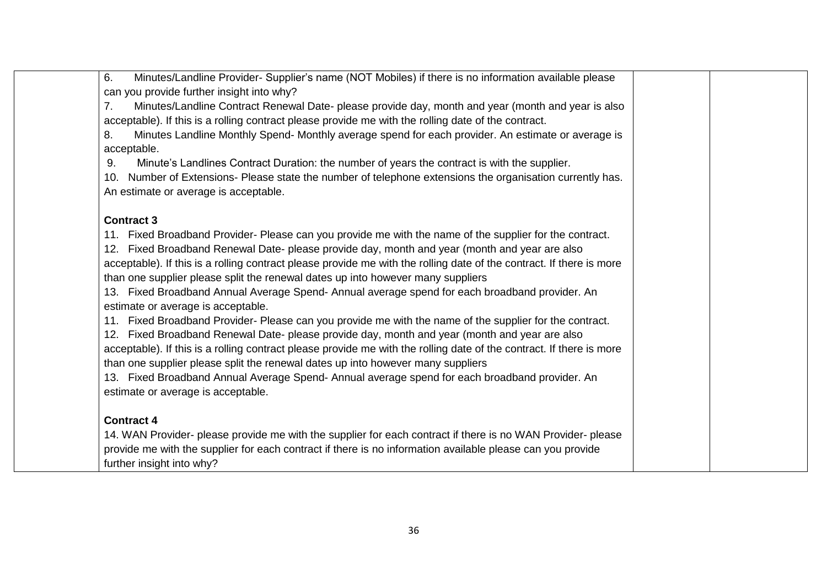| Minutes/Landline Provider- Supplier's name (NOT Mobiles) if there is no information available please<br>6.           |  |
|----------------------------------------------------------------------------------------------------------------------|--|
| can you provide further insight into why?                                                                            |  |
| Minutes/Landline Contract Renewal Date- please provide day, month and year (month and year is also<br>7.             |  |
| acceptable). If this is a rolling contract please provide me with the rolling date of the contract.                  |  |
| Minutes Landline Monthly Spend- Monthly average spend for each provider. An estimate or average is<br>8.             |  |
| acceptable.                                                                                                          |  |
| Minute's Landlines Contract Duration: the number of years the contract is with the supplier.<br>9.                   |  |
| Number of Extensions- Please state the number of telephone extensions the organisation currently has.<br>10.         |  |
| An estimate or average is acceptable.                                                                                |  |
| <b>Contract 3</b>                                                                                                    |  |
| Fixed Broadband Provider- Please can you provide me with the name of the supplier for the contract.<br>11.           |  |
| 12. Fixed Broadband Renewal Date- please provide day, month and year (month and year are also                        |  |
| acceptable). If this is a rolling contract please provide me with the rolling date of the contract. If there is more |  |
| than one supplier please split the renewal dates up into however many suppliers                                      |  |
| 13. Fixed Broadband Annual Average Spend- Annual average spend for each broadband provider. An                       |  |
| estimate or average is acceptable.                                                                                   |  |
| Fixed Broadband Provider- Please can you provide me with the name of the supplier for the contract.<br>11.           |  |
| 12. Fixed Broadband Renewal Date- please provide day, month and year (month and year are also                        |  |
| acceptable). If this is a rolling contract please provide me with the rolling date of the contract. If there is more |  |
| than one supplier please split the renewal dates up into however many suppliers                                      |  |
| 13. Fixed Broadband Annual Average Spend- Annual average spend for each broadband provider. An                       |  |
| estimate or average is acceptable.                                                                                   |  |
|                                                                                                                      |  |
| <b>Contract 4</b>                                                                                                    |  |
| 14. WAN Provider- please provide me with the supplier for each contract if there is no WAN Provider- please          |  |
| provide me with the supplier for each contract if there is no information available please can you provide           |  |
| further insight into why?                                                                                            |  |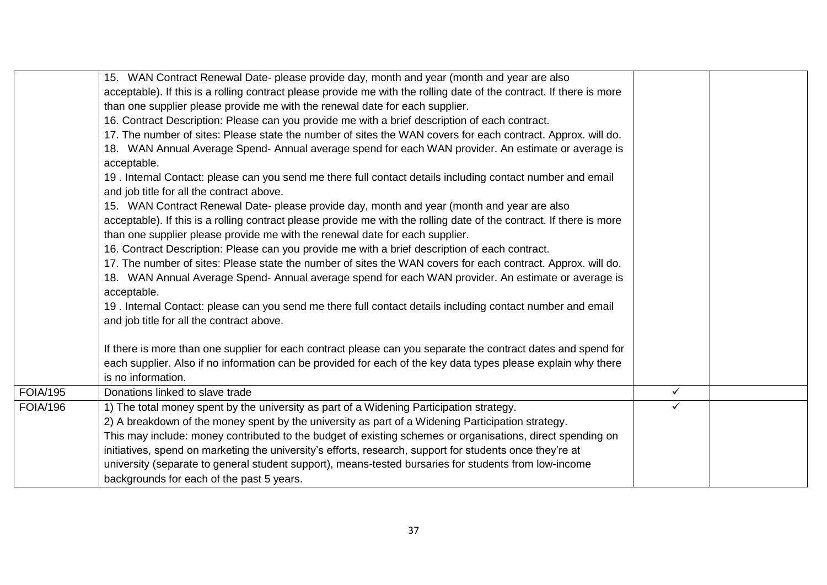|                        | 15. WAN Contract Renewal Date- please provide day, month and year (month and year are also                                                                                                           |              |  |
|------------------------|------------------------------------------------------------------------------------------------------------------------------------------------------------------------------------------------------|--------------|--|
|                        | acceptable). If this is a rolling contract please provide me with the rolling date of the contract. If there is more                                                                                 |              |  |
|                        | than one supplier please provide me with the renewal date for each supplier.                                                                                                                         |              |  |
|                        | 16. Contract Description: Please can you provide me with a brief description of each contract.                                                                                                       |              |  |
|                        | 17. The number of sites: Please state the number of sites the WAN covers for each contract. Approx. will do.                                                                                         |              |  |
|                        | 18. WAN Annual Average Spend- Annual average spend for each WAN provider. An estimate or average is<br>acceptable.                                                                                   |              |  |
|                        | 19. Internal Contact: please can you send me there full contact details including contact number and email<br>and job title for all the contract above.                                              |              |  |
|                        | 15. WAN Contract Renewal Date- please provide day, month and year (month and year are also                                                                                                           |              |  |
|                        | acceptable). If this is a rolling contract please provide me with the rolling date of the contract. If there is more<br>than one supplier please provide me with the renewal date for each supplier. |              |  |
|                        | 16. Contract Description: Please can you provide me with a brief description of each contract.                                                                                                       |              |  |
|                        | 17. The number of sites: Please state the number of sites the WAN covers for each contract. Approx. will do.                                                                                         |              |  |
|                        | 18. WAN Annual Average Spend-Annual average spend for each WAN provider. An estimate or average is                                                                                                   |              |  |
|                        | acceptable.                                                                                                                                                                                          |              |  |
|                        | 19. Internal Contact: please can you send me there full contact details including contact number and email<br>and job title for all the contract above.                                              |              |  |
|                        |                                                                                                                                                                                                      |              |  |
|                        | If there is more than one supplier for each contract please can you separate the contract dates and spend for                                                                                        |              |  |
|                        | each supplier. Also if no information can be provided for each of the key data types please explain why there                                                                                        |              |  |
|                        | is no information.                                                                                                                                                                                   |              |  |
| $\overline{FOI}$ A/195 | Donations linked to slave trade                                                                                                                                                                      | $\checkmark$ |  |
| <b>FOIA/196</b>        | 1) The total money spent by the university as part of a Widening Participation strategy.                                                                                                             | ✓            |  |
|                        | 2) A breakdown of the money spent by the university as part of a Widening Participation strategy.                                                                                                    |              |  |
|                        | This may include: money contributed to the budget of existing schemes or organisations, direct spending on                                                                                           |              |  |
|                        | initiatives, spend on marketing the university's efforts, research, support for students once they're at                                                                                             |              |  |
|                        | university (separate to general student support), means-tested bursaries for students from low-income                                                                                                |              |  |
|                        | backgrounds for each of the past 5 years.                                                                                                                                                            |              |  |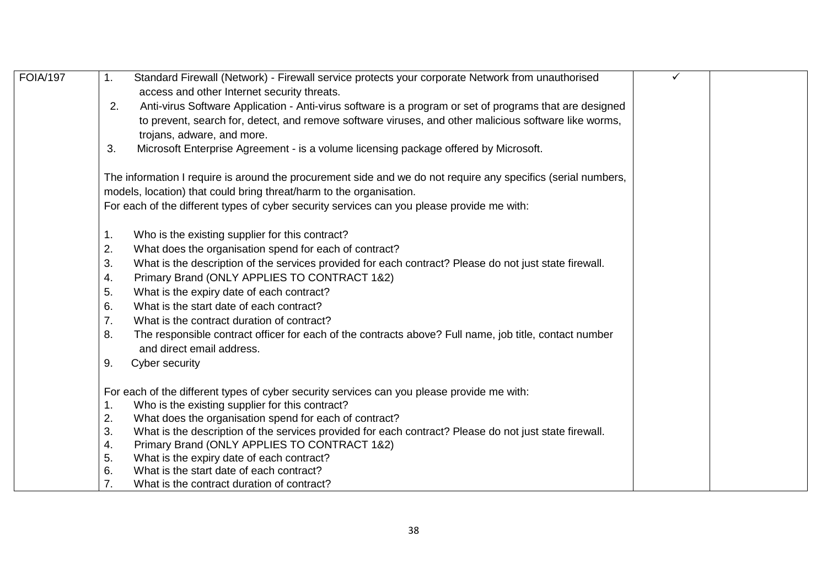| <b>FOIA/197</b> | Standard Firewall (Network) - Firewall service protects your corporate Network from unauthorised<br>1.                                    | ✓ |  |
|-----------------|-------------------------------------------------------------------------------------------------------------------------------------------|---|--|
|                 | access and other Internet security threats.                                                                                               |   |  |
|                 | Anti-virus Software Application - Anti-virus software is a program or set of programs that are designed<br>2.                             |   |  |
|                 | to prevent, search for, detect, and remove software viruses, and other malicious software like worms,                                     |   |  |
|                 | trojans, adware, and more.                                                                                                                |   |  |
|                 | Microsoft Enterprise Agreement - is a volume licensing package offered by Microsoft.<br>3.                                                |   |  |
|                 | The information I require is around the procurement side and we do not require any specifics (serial numbers,                             |   |  |
|                 | models, location) that could bring threat/harm to the organisation.                                                                       |   |  |
|                 | For each of the different types of cyber security services can you please provide me with:                                                |   |  |
|                 | Who is the existing supplier for this contract?<br>1.                                                                                     |   |  |
|                 | What does the organisation spend for each of contract?<br>2.                                                                              |   |  |
|                 | 3.<br>What is the description of the services provided for each contract? Please do not just state firewall.                              |   |  |
|                 | Primary Brand (ONLY APPLIES TO CONTRACT 1&2)<br>4.                                                                                        |   |  |
|                 | 5.<br>What is the expiry date of each contract?                                                                                           |   |  |
|                 | 6.<br>What is the start date of each contract?                                                                                            |   |  |
|                 | 7.<br>What is the contract duration of contract?                                                                                          |   |  |
|                 | The responsible contract officer for each of the contracts above? Full name, job title, contact number<br>8.<br>and direct email address. |   |  |
|                 | 9.<br>Cyber security                                                                                                                      |   |  |
|                 | For each of the different types of cyber security services can you please provide me with:                                                |   |  |
|                 | Who is the existing supplier for this contract?<br>$\mathbf 1$ .                                                                          |   |  |
|                 | 2.<br>What does the organisation spend for each of contract?                                                                              |   |  |
|                 | 3.<br>What is the description of the services provided for each contract? Please do not just state firewall.                              |   |  |
|                 | Primary Brand (ONLY APPLIES TO CONTRACT 1&2)<br>4.                                                                                        |   |  |
|                 | 5.<br>What is the expiry date of each contract?                                                                                           |   |  |
|                 | What is the start date of each contract?<br>6.                                                                                            |   |  |
|                 | 7.<br>What is the contract duration of contract?                                                                                          |   |  |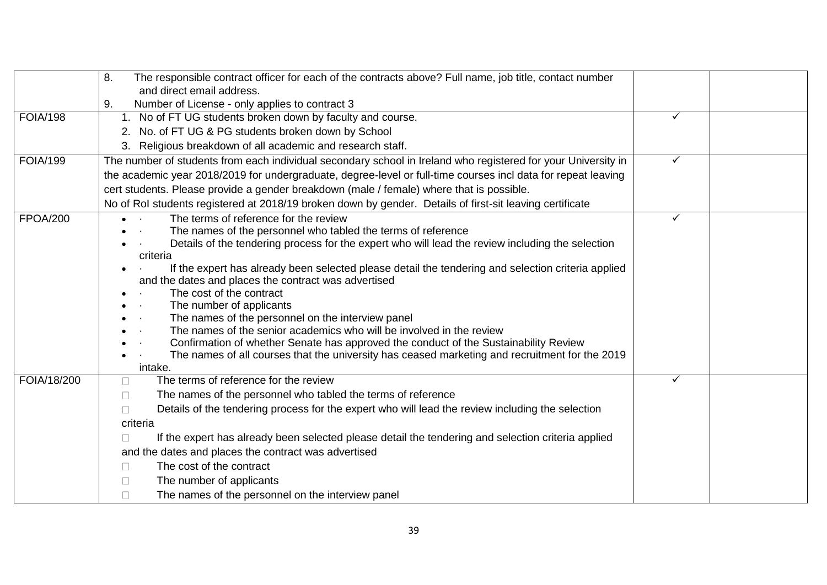|                 | 8.<br>The responsible contract officer for each of the contracts above? Full name, job title, contact number  |              |  |
|-----------------|---------------------------------------------------------------------------------------------------------------|--------------|--|
|                 | and direct email address.                                                                                     |              |  |
|                 | Number of License - only applies to contract 3<br>9.                                                          |              |  |
| <b>FOIA/198</b> | No of FT UG students broken down by faculty and course.                                                       | ✓            |  |
|                 | 2. No. of FT UG & PG students broken down by School                                                           |              |  |
|                 | 3. Religious breakdown of all academic and research staff.                                                    |              |  |
| <b>FOIA/199</b> | The number of students from each individual secondary school in Ireland who registered for your University in | $\checkmark$ |  |
|                 | the academic year 2018/2019 for undergraduate, degree-level or full-time courses incl data for repeat leaving |              |  |
|                 | cert students. Please provide a gender breakdown (male / female) where that is possible.                      |              |  |
|                 | No of Rol students registered at 2018/19 broken down by gender. Details of first-sit leaving certificate      |              |  |
| <b>FPOA/200</b> | The terms of reference for the review                                                                         | $\checkmark$ |  |
|                 | The names of the personnel who tabled the terms of reference                                                  |              |  |
|                 | Details of the tendering process for the expert who will lead the review including the selection              |              |  |
|                 | criteria                                                                                                      |              |  |
|                 | If the expert has already been selected please detail the tendering and selection criteria applied            |              |  |
|                 | and the dates and places the contract was advertised<br>The cost of the contract                              |              |  |
|                 | The number of applicants<br>$\sim$ $\sim$                                                                     |              |  |
|                 | The names of the personnel on the interview panel                                                             |              |  |
|                 | The names of the senior academics who will be involved in the review                                          |              |  |
|                 | Confirmation of whether Senate has approved the conduct of the Sustainability Review                          |              |  |
|                 | The names of all courses that the university has ceased marketing and recruitment for the 2019                |              |  |
|                 | intake.                                                                                                       |              |  |
| FOIA/18/200     | The terms of reference for the review<br>$\Box$                                                               | ✓            |  |
|                 | The names of the personnel who tabled the terms of reference<br>$\Box$                                        |              |  |
|                 | Details of the tendering process for the expert who will lead the review including the selection<br>$\Box$    |              |  |
|                 | criteria                                                                                                      |              |  |
|                 | If the expert has already been selected please detail the tendering and selection criteria applied<br>$\perp$ |              |  |
|                 | and the dates and places the contract was advertised                                                          |              |  |
|                 | The cost of the contract<br>П                                                                                 |              |  |
|                 | The number of applicants<br>$\Box$                                                                            |              |  |
|                 | The names of the personnel on the interview panel                                                             |              |  |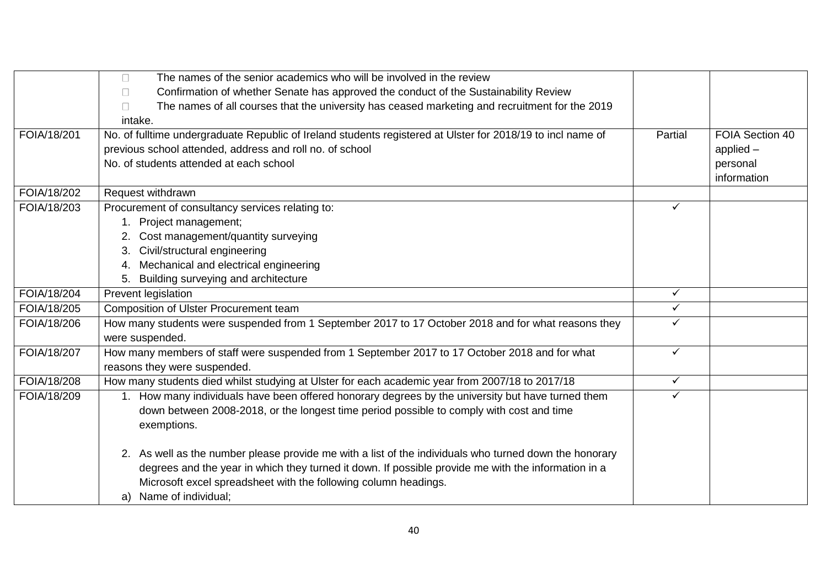|             | The names of the senior academics who will be involved in the review<br>П                                   |              |                 |
|-------------|-------------------------------------------------------------------------------------------------------------|--------------|-----------------|
|             | Confirmation of whether Senate has approved the conduct of the Sustainability Review<br>$\Box$              |              |                 |
|             | The names of all courses that the university has ceased marketing and recruitment for the 2019<br>$\Box$    |              |                 |
|             | intake.                                                                                                     |              |                 |
| FOIA/18/201 | No. of fulltime undergraduate Republic of Ireland students registered at Ulster for 2018/19 to incl name of | Partial      | FOIA Section 40 |
|             | previous school attended, address and roll no. of school                                                    |              | applied $-$     |
|             | No. of students attended at each school                                                                     |              | personal        |
|             |                                                                                                             |              | information     |
| FOIA/18/202 | Request withdrawn                                                                                           |              |                 |
| FOIA/18/203 | Procurement of consultancy services relating to:                                                            | $\checkmark$ |                 |
|             | 1. Project management;                                                                                      |              |                 |
|             | 2. Cost management/quantity surveying                                                                       |              |                 |
|             | 3. Civil/structural engineering                                                                             |              |                 |
|             | 4. Mechanical and electrical engineering                                                                    |              |                 |
|             | 5. Building surveying and architecture                                                                      |              |                 |
| FOIA/18/204 | Prevent legislation                                                                                         | $\checkmark$ |                 |
| FOIA/18/205 | Composition of Ulster Procurement team                                                                      | $\checkmark$ |                 |
| FOIA/18/206 | How many students were suspended from 1 September 2017 to 17 October 2018 and for what reasons they         | $\checkmark$ |                 |
|             | were suspended.                                                                                             |              |                 |
| FOIA/18/207 | How many members of staff were suspended from 1 September 2017 to 17 October 2018 and for what              | $\checkmark$ |                 |
|             | reasons they were suspended.                                                                                |              |                 |
| FOIA/18/208 | How many students died whilst studying at Ulster for each academic year from 2007/18 to 2017/18             | $\checkmark$ |                 |
| FOIA/18/209 | 1. How many individuals have been offered honorary degrees by the university but have turned them           | $\checkmark$ |                 |
|             | down between 2008-2018, or the longest time period possible to comply with cost and time                    |              |                 |
|             | exemptions.                                                                                                 |              |                 |
|             |                                                                                                             |              |                 |
|             | 2. As well as the number please provide me with a list of the individuals who turned down the honorary      |              |                 |
|             | degrees and the year in which they turned it down. If possible provide me with the information in a         |              |                 |
|             | Microsoft excel spreadsheet with the following column headings.                                             |              |                 |
|             | Name of individual;<br>a)                                                                                   |              |                 |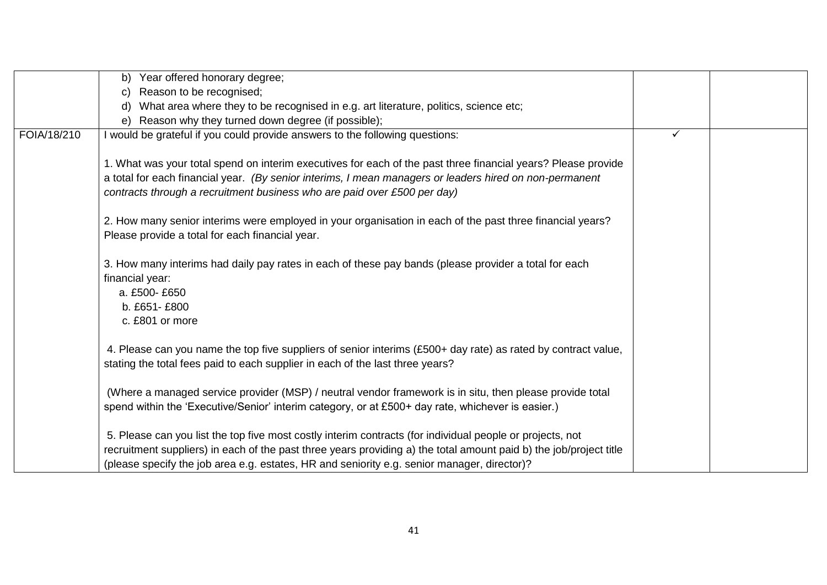|             | Year offered honorary degree;<br>b)                                                                                |   |  |
|-------------|--------------------------------------------------------------------------------------------------------------------|---|--|
|             | Reason to be recognised;                                                                                           |   |  |
|             | What area where they to be recognised in e.g. art literature, politics, science etc;                               |   |  |
|             | e) Reason why they turned down degree (if possible);                                                               |   |  |
| FOIA/18/210 | I would be grateful if you could provide answers to the following questions:                                       | ✓ |  |
|             |                                                                                                                    |   |  |
|             | 1. What was your total spend on interim executives for each of the past three financial years? Please provide      |   |  |
|             | a total for each financial year. (By senior interims, I mean managers or leaders hired on non-permanent            |   |  |
|             | contracts through a recruitment business who are paid over £500 per day)                                           |   |  |
|             |                                                                                                                    |   |  |
|             | 2. How many senior interims were employed in your organisation in each of the past three financial years?          |   |  |
|             | Please provide a total for each financial year.                                                                    |   |  |
|             |                                                                                                                    |   |  |
|             | 3. How many interims had daily pay rates in each of these pay bands (please provider a total for each              |   |  |
|             | financial year:                                                                                                    |   |  |
|             | a. £500-£650                                                                                                       |   |  |
|             | b. £651-£800                                                                                                       |   |  |
|             | c. £801 or more                                                                                                    |   |  |
|             |                                                                                                                    |   |  |
|             | 4. Please can you name the top five suppliers of senior interims (£500+ day rate) as rated by contract value,      |   |  |
|             | stating the total fees paid to each supplier in each of the last three years?                                      |   |  |
|             |                                                                                                                    |   |  |
|             | (Where a managed service provider (MSP) / neutral vendor framework is in situ, then please provide total           |   |  |
|             | spend within the 'Executive/Senior' interim category, or at £500+ day rate, whichever is easier.)                  |   |  |
|             |                                                                                                                    |   |  |
|             | 5. Please can you list the top five most costly interim contracts (for individual people or projects, not          |   |  |
|             | recruitment suppliers) in each of the past three years providing a) the total amount paid b) the job/project title |   |  |
|             | (please specify the job area e.g. estates, HR and seniority e.g. senior manager, director)?                        |   |  |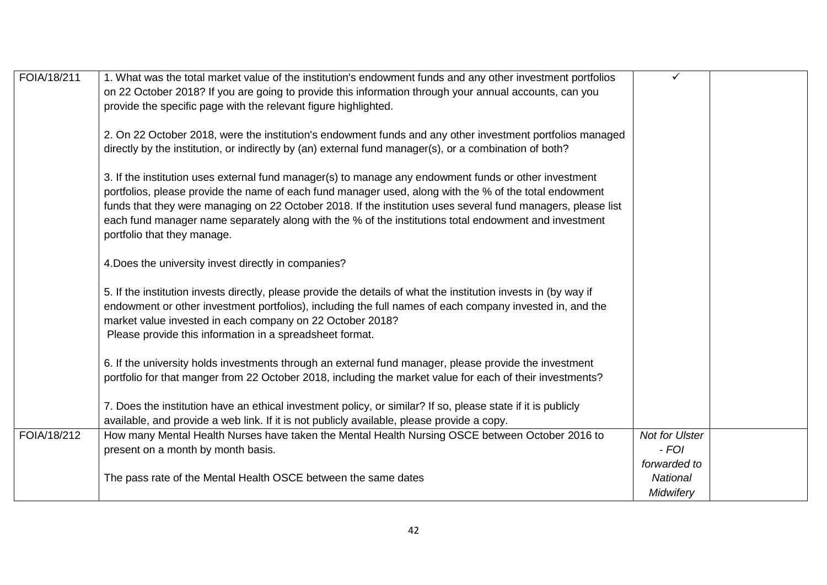| FOIA/18/211 | 1. What was the total market value of the institution's endowment funds and any other investment portfolios      | $\checkmark$          |  |
|-------------|------------------------------------------------------------------------------------------------------------------|-----------------------|--|
|             | on 22 October 2018? If you are going to provide this information through your annual accounts, can you           |                       |  |
|             | provide the specific page with the relevant figure highlighted.                                                  |                       |  |
|             |                                                                                                                  |                       |  |
|             | 2. On 22 October 2018, were the institution's endowment funds and any other investment portfolios managed        |                       |  |
|             | directly by the institution, or indirectly by (an) external fund manager(s), or a combination of both?           |                       |  |
|             |                                                                                                                  |                       |  |
|             | 3. If the institution uses external fund manager(s) to manage any endowment funds or other investment            |                       |  |
|             | portfolios, please provide the name of each fund manager used, along with the % of the total endowment           |                       |  |
|             | funds that they were managing on 22 October 2018. If the institution uses several fund managers, please list     |                       |  |
|             | each fund manager name separately along with the % of the institutions total endowment and investment            |                       |  |
|             | portfolio that they manage.                                                                                      |                       |  |
|             |                                                                                                                  |                       |  |
|             | 4. Does the university invest directly in companies?                                                             |                       |  |
|             |                                                                                                                  |                       |  |
|             | 5. If the institution invests directly, please provide the details of what the institution invests in (by way if |                       |  |
|             | endowment or other investment portfolios), including the full names of each company invested in, and the         |                       |  |
|             | market value invested in each company on 22 October 2018?                                                        |                       |  |
|             | Please provide this information in a spreadsheet format.                                                         |                       |  |
|             |                                                                                                                  |                       |  |
|             | 6. If the university holds investments through an external fund manager, please provide the investment           |                       |  |
|             | portfolio for that manger from 22 October 2018, including the market value for each of their investments?        |                       |  |
|             |                                                                                                                  |                       |  |
|             | 7. Does the institution have an ethical investment policy, or similar? If so, please state if it is publicly     |                       |  |
|             | available, and provide a web link. If it is not publicly available, please provide a copy.                       |                       |  |
| FOIA/18/212 | How many Mental Health Nurses have taken the Mental Health Nursing OSCE between October 2016 to                  | <b>Not for Ulster</b> |  |
|             | present on a month by month basis.                                                                               | $-FOI$                |  |
|             |                                                                                                                  | forwarded to          |  |
|             | The pass rate of the Mental Health OSCE between the same dates                                                   | National              |  |
|             |                                                                                                                  | Midwifery             |  |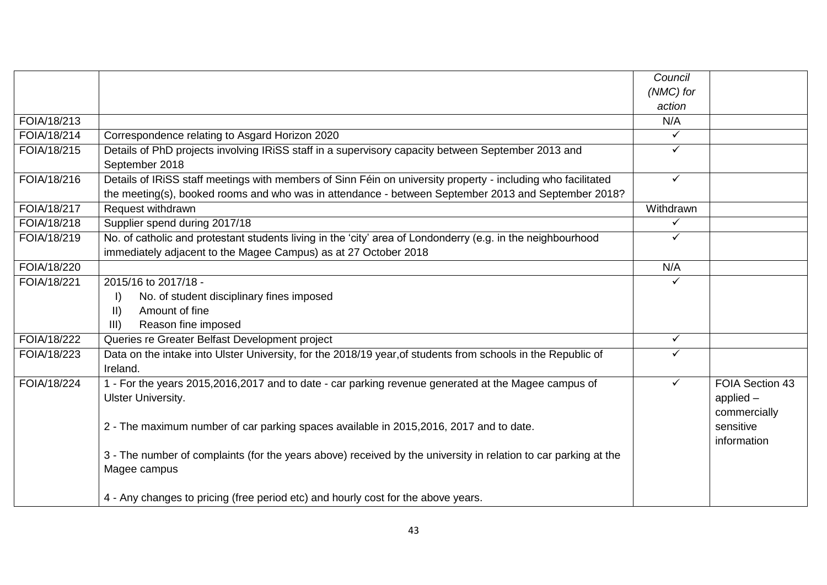|             |                                                                                                                                                                                                                     | Council      |                                                |
|-------------|---------------------------------------------------------------------------------------------------------------------------------------------------------------------------------------------------------------------|--------------|------------------------------------------------|
|             |                                                                                                                                                                                                                     | (NMC) for    |                                                |
|             |                                                                                                                                                                                                                     | action       |                                                |
| FOIA/18/213 |                                                                                                                                                                                                                     | N/A          |                                                |
| FOIA/18/214 | Correspondence relating to Asgard Horizon 2020                                                                                                                                                                      | ✓            |                                                |
| FOIA/18/215 | Details of PhD projects involving IRiSS staff in a supervisory capacity between September 2013 and<br>September 2018                                                                                                | ✓            |                                                |
| FOIA/18/216 | Details of IRiSS staff meetings with members of Sinn Féin on university property - including who facilitated<br>the meeting(s), booked rooms and who was in attendance - between September 2013 and September 2018? | $\checkmark$ |                                                |
| FOIA/18/217 | Request withdrawn                                                                                                                                                                                                   | Withdrawn    |                                                |
| FOIA/18/218 | Supplier spend during 2017/18                                                                                                                                                                                       | $\checkmark$ |                                                |
| FOIA/18/219 | No. of catholic and protestant students living in the 'city' area of Londonderry (e.g. in the neighbourhood<br>immediately adjacent to the Magee Campus) as at 27 October 2018                                      | ✓            |                                                |
| FOIA/18/220 |                                                                                                                                                                                                                     | N/A          |                                                |
| FOIA/18/221 | 2015/16 to 2017/18 -                                                                                                                                                                                                | ✓            |                                                |
|             | No. of student disciplinary fines imposed<br>I)                                                                                                                                                                     |              |                                                |
|             | $\vert \vert$<br>Amount of fine                                                                                                                                                                                     |              |                                                |
|             | III)<br>Reason fine imposed                                                                                                                                                                                         |              |                                                |
| FOIA/18/222 | Queries re Greater Belfast Development project                                                                                                                                                                      | $\checkmark$ |                                                |
| FOIA/18/223 | Data on the intake into Ulster University, for the 2018/19 year, of students from schools in the Republic of<br>Ireland.                                                                                            | ✓            |                                                |
| FOIA/18/224 | 1 - For the years 2015,2016,2017 and to date - car parking revenue generated at the Magee campus of<br><b>Ulster University.</b>                                                                                    | $\checkmark$ | FOIA Section 43<br>applied $-$<br>commercially |
|             | 2 - The maximum number of car parking spaces available in 2015, 2016, 2017 and to date.                                                                                                                             |              | sensitive<br>information                       |
|             | 3 - The number of complaints (for the years above) received by the university in relation to car parking at the<br>Magee campus                                                                                     |              |                                                |
|             | 4 - Any changes to pricing (free period etc) and hourly cost for the above years.                                                                                                                                   |              |                                                |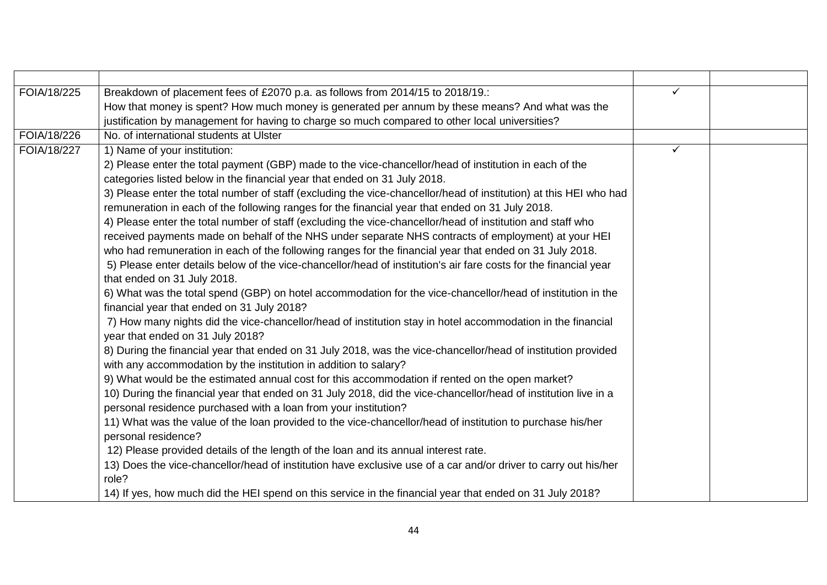| FOIA/18/225 | Breakdown of placement fees of £2070 p.a. as follows from 2014/15 to 2018/19.:                                    | ✓            |  |
|-------------|-------------------------------------------------------------------------------------------------------------------|--------------|--|
|             | How that money is spent? How much money is generated per annum by these means? And what was the                   |              |  |
|             | justification by management for having to charge so much compared to other local universities?                    |              |  |
| FOIA/18/226 | No. of international students at Ulster                                                                           |              |  |
| FOIA/18/227 | 1) Name of your institution:                                                                                      | $\checkmark$ |  |
|             | 2) Please enter the total payment (GBP) made to the vice-chancellor/head of institution in each of the            |              |  |
|             | categories listed below in the financial year that ended on 31 July 2018.                                         |              |  |
|             | 3) Please enter the total number of staff (excluding the vice-chancellor/head of institution) at this HEI who had |              |  |
|             | remuneration in each of the following ranges for the financial year that ended on 31 July 2018.                   |              |  |
|             | 4) Please enter the total number of staff (excluding the vice-chancellor/head of institution and staff who        |              |  |
|             | received payments made on behalf of the NHS under separate NHS contracts of employment) at your HEI               |              |  |
|             | who had remuneration in each of the following ranges for the financial year that ended on 31 July 2018.           |              |  |
|             | 5) Please enter details below of the vice-chancellor/head of institution's air fare costs for the financial year  |              |  |
|             | that ended on 31 July 2018.                                                                                       |              |  |
|             | 6) What was the total spend (GBP) on hotel accommodation for the vice-chancellor/head of institution in the       |              |  |
|             | financial year that ended on 31 July 2018?                                                                        |              |  |
|             | 7) How many nights did the vice-chancellor/head of institution stay in hotel accommodation in the financial       |              |  |
|             | year that ended on 31 July 2018?                                                                                  |              |  |
|             | 8) During the financial year that ended on 31 July 2018, was the vice-chancellor/head of institution provided     |              |  |
|             | with any accommodation by the institution in addition to salary?                                                  |              |  |
|             | 9) What would be the estimated annual cost for this accommodation if rented on the open market?                   |              |  |
|             | 10) During the financial year that ended on 31 July 2018, did the vice-chancellor/head of institution live in a   |              |  |
|             | personal residence purchased with a loan from your institution?                                                   |              |  |
|             | 11) What was the value of the loan provided to the vice-chancellor/head of institution to purchase his/her        |              |  |
|             | personal residence?                                                                                               |              |  |
|             | 12) Please provided details of the length of the loan and its annual interest rate.                               |              |  |
|             | 13) Does the vice-chancellor/head of institution have exclusive use of a car and/or driver to carry out his/her   |              |  |
|             | role?                                                                                                             |              |  |
|             | 14) If yes, how much did the HEI spend on this service in the financial year that ended on 31 July 2018?          |              |  |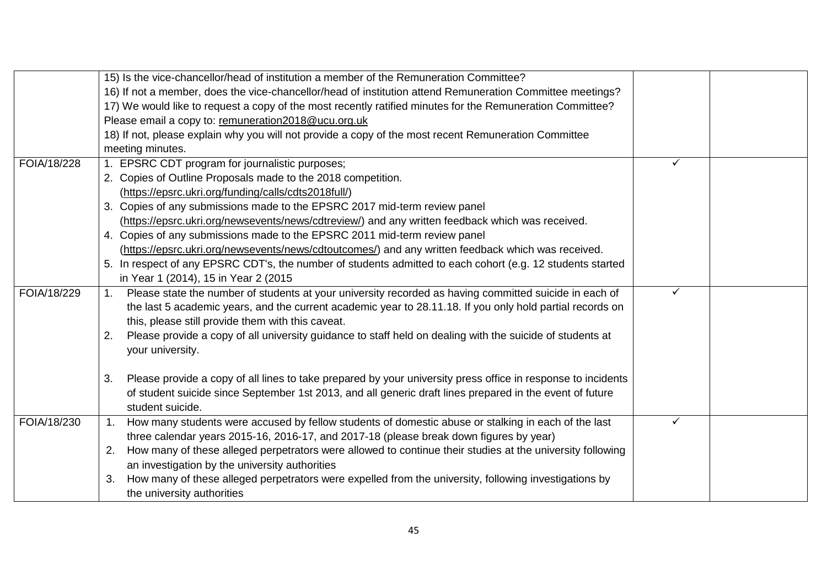|             | 15) Is the vice-chancellor/head of institution a member of the Remuneration Committee?                             |   |  |
|-------------|--------------------------------------------------------------------------------------------------------------------|---|--|
|             | 16) If not a member, does the vice-chancellor/head of institution attend Remuneration Committee meetings?          |   |  |
|             | 17) We would like to request a copy of the most recently ratified minutes for the Remuneration Committee?          |   |  |
|             | Please email a copy to: remuneration2018@ucu.org.uk                                                                |   |  |
|             | 18) If not, please explain why you will not provide a copy of the most recent Remuneration Committee               |   |  |
|             | meeting minutes.                                                                                                   |   |  |
| FOIA/18/228 | 1. EPSRC CDT program for journalistic purposes;                                                                    | ✓ |  |
|             | 2. Copies of Outline Proposals made to the 2018 competition.                                                       |   |  |
|             | (https://epsrc.ukri.org/funding/calls/cdts2018full/)                                                               |   |  |
|             | 3. Copies of any submissions made to the EPSRC 2017 mid-term review panel                                          |   |  |
|             | (https://epsrc.ukri.org/newsevents/news/cdtreview/) and any written feedback which was received.                   |   |  |
|             | 4. Copies of any submissions made to the EPSRC 2011 mid-term review panel                                          |   |  |
|             | (https://epsrc.ukri.org/newsevents/news/cdtoutcomes/) and any written feedback which was received.                 |   |  |
|             | 5. In respect of any EPSRC CDT's, the number of students admitted to each cohort (e.g. 12 students started         |   |  |
|             | in Year 1 (2014), 15 in Year 2 (2015                                                                               |   |  |
| FOIA/18/229 | Please state the number of students at your university recorded as having committed suicide in each of<br>1.       | ✓ |  |
|             | the last 5 academic years, and the current academic year to 28.11.18. If you only hold partial records on          |   |  |
|             | this, please still provide them with this caveat.                                                                  |   |  |
|             | Please provide a copy of all university guidance to staff held on dealing with the suicide of students at<br>2.    |   |  |
|             | your university.                                                                                                   |   |  |
|             | Please provide a copy of all lines to take prepared by your university press office in response to incidents<br>3. |   |  |
|             | of student suicide since September 1st 2013, and all generic draft lines prepared in the event of future           |   |  |
|             | student suicide.                                                                                                   |   |  |
| FOIA/18/230 | How many students were accused by fellow students of domestic abuse or stalking in each of the last<br>$1_{\cdot}$ | ✓ |  |
|             | three calendar years 2015-16, 2016-17, and 2017-18 (please break down figures by year)                             |   |  |
|             | How many of these alleged perpetrators were allowed to continue their studies at the university following<br>2.    |   |  |
|             | an investigation by the university authorities                                                                     |   |  |
|             | How many of these alleged perpetrators were expelled from the university, following investigations by<br>3.        |   |  |
|             | the university authorities                                                                                         |   |  |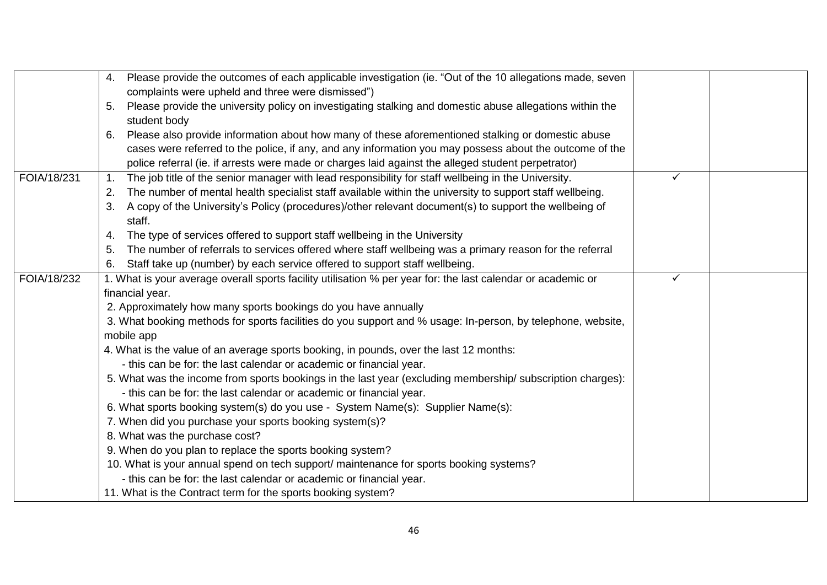|             | Please provide the outcomes of each applicable investigation (ie. "Out of the 10 allegations made, seven<br>4.        |              |  |
|-------------|-----------------------------------------------------------------------------------------------------------------------|--------------|--|
|             | complaints were upheld and three were dismissed")                                                                     |              |  |
|             | Please provide the university policy on investigating stalking and domestic abuse allegations within the<br>5.        |              |  |
|             | student body                                                                                                          |              |  |
|             | Please also provide information about how many of these aforementioned stalking or domestic abuse<br>6.               |              |  |
|             | cases were referred to the police, if any, and any information you may possess about the outcome of the               |              |  |
|             | police referral (ie. if arrests were made or charges laid against the alleged student perpetrator)                    |              |  |
| FOIA/18/231 | The job title of the senior manager with lead responsibility for staff wellbeing in the University.<br>$\mathbf{1}$ . | $\checkmark$ |  |
|             | The number of mental health specialist staff available within the university to support staff wellbeing.<br>2.        |              |  |
|             | A copy of the University's Policy (procedures)/other relevant document(s) to support the wellbeing of<br>3.<br>staff. |              |  |
|             | The type of services offered to support staff wellbeing in the University<br>4.                                       |              |  |
|             | The number of referrals to services offered where staff wellbeing was a primary reason for the referral<br>5.         |              |  |
|             | Staff take up (number) by each service offered to support staff wellbeing.<br>6.                                      |              |  |
| FOIA/18/232 | 1. What is your average overall sports facility utilisation % per year for: the last calendar or academic or          | $\checkmark$ |  |
|             | financial year.                                                                                                       |              |  |
|             | 2. Approximately how many sports bookings do you have annually                                                        |              |  |
|             | 3. What booking methods for sports facilities do you support and % usage: In-person, by telephone, website,           |              |  |
|             | mobile app                                                                                                            |              |  |
|             | 4. What is the value of an average sports booking, in pounds, over the last 12 months:                                |              |  |
|             | - this can be for: the last calendar or academic or financial year.                                                   |              |  |
|             | 5. What was the income from sports bookings in the last year (excluding membership/ subscription charges):            |              |  |
|             | - this can be for: the last calendar or academic or financial year.                                                   |              |  |
|             | 6. What sports booking system(s) do you use - System Name(s): Supplier Name(s):                                       |              |  |
|             | 7. When did you purchase your sports booking system(s)?                                                               |              |  |
|             | 8. What was the purchase cost?                                                                                        |              |  |
|             | 9. When do you plan to replace the sports booking system?                                                             |              |  |
|             | 10. What is your annual spend on tech support/ maintenance for sports booking systems?                                |              |  |
|             | - this can be for: the last calendar or academic or financial year.                                                   |              |  |
|             | 11. What is the Contract term for the sports booking system?                                                          |              |  |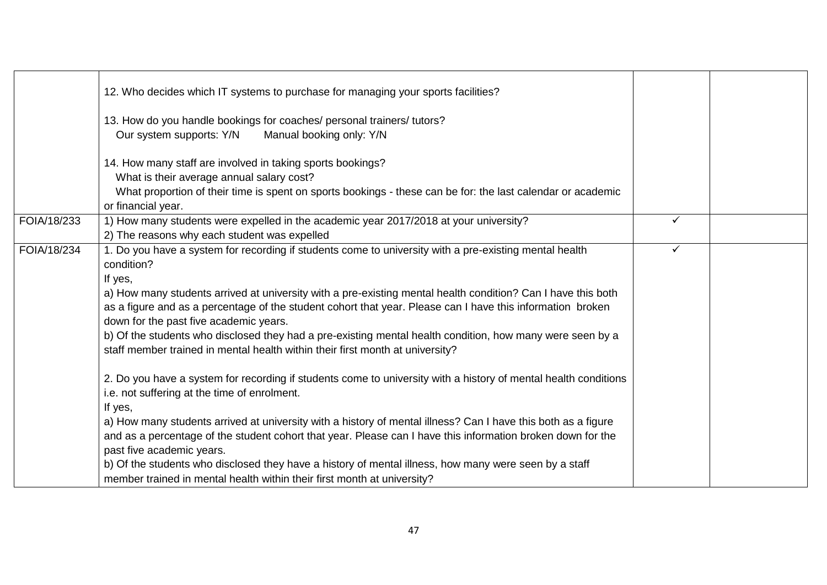|             | 12. Who decides which IT systems to purchase for managing your sports facilities?<br>13. How do you handle bookings for coaches/ personal trainers/ tutors?<br>Our system supports: Y/N<br>Manual booking only: Y/N<br>14. How many staff are involved in taking sports bookings?<br>What is their average annual salary cost?<br>What proportion of their time is spent on sports bookings - these can be for: the last calendar or academic<br>or financial year.                                                                                                                                                                                                                                                                                                                                                                                                                                                                                                                                                                                                                                                                                                                                                                  |              |  |
|-------------|--------------------------------------------------------------------------------------------------------------------------------------------------------------------------------------------------------------------------------------------------------------------------------------------------------------------------------------------------------------------------------------------------------------------------------------------------------------------------------------------------------------------------------------------------------------------------------------------------------------------------------------------------------------------------------------------------------------------------------------------------------------------------------------------------------------------------------------------------------------------------------------------------------------------------------------------------------------------------------------------------------------------------------------------------------------------------------------------------------------------------------------------------------------------------------------------------------------------------------------|--------------|--|
| FOIA/18/233 | 1) How many students were expelled in the academic year 2017/2018 at your university?<br>2) The reasons why each student was expelled                                                                                                                                                                                                                                                                                                                                                                                                                                                                                                                                                                                                                                                                                                                                                                                                                                                                                                                                                                                                                                                                                                | ✓            |  |
| FOIA/18/234 | 1. Do you have a system for recording if students come to university with a pre-existing mental health<br>condition?<br>If yes,<br>a) How many students arrived at university with a pre-existing mental health condition? Can I have this both<br>as a figure and as a percentage of the student cohort that year. Please can I have this information broken<br>down for the past five academic years.<br>b) Of the students who disclosed they had a pre-existing mental health condition, how many were seen by a<br>staff member trained in mental health within their first month at university?<br>2. Do you have a system for recording if students come to university with a history of mental health conditions<br>i.e. not suffering at the time of enrolment.<br>If yes,<br>a) How many students arrived at university with a history of mental illness? Can I have this both as a figure<br>and as a percentage of the student cohort that year. Please can I have this information broken down for the<br>past five academic years.<br>b) Of the students who disclosed they have a history of mental illness, how many were seen by a staff<br>member trained in mental health within their first month at university? | $\checkmark$ |  |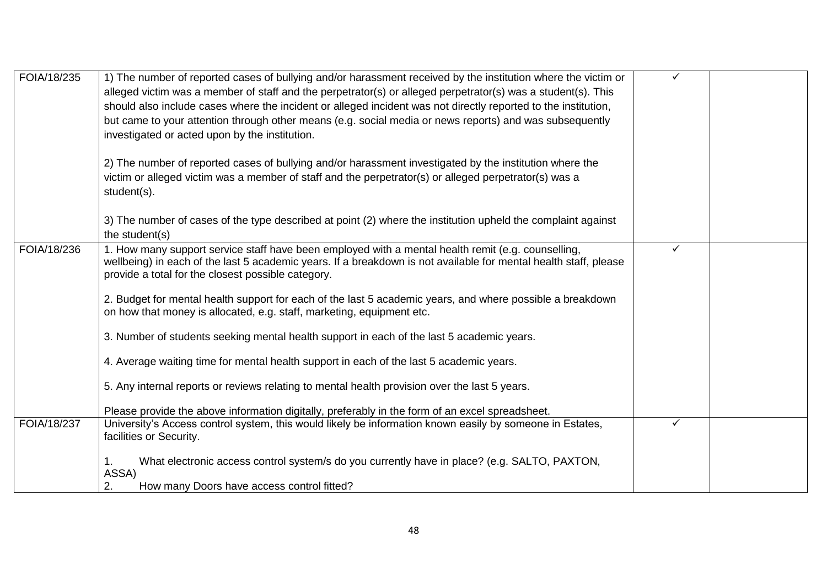| FOIA/18/235 | 1) The number of reported cases of bullying and/or harassment received by the institution where the victim or<br>alleged victim was a member of staff and the perpetrator(s) or alleged perpetrator(s) was a student(s). This<br>should also include cases where the incident or alleged incident was not directly reported to the institution,<br>but came to your attention through other means (e.g. social media or news reports) and was subsequently<br>investigated or acted upon by the institution. | ✓            |  |
|-------------|--------------------------------------------------------------------------------------------------------------------------------------------------------------------------------------------------------------------------------------------------------------------------------------------------------------------------------------------------------------------------------------------------------------------------------------------------------------------------------------------------------------|--------------|--|
|             | 2) The number of reported cases of bullying and/or harassment investigated by the institution where the<br>victim or alleged victim was a member of staff and the perpetrator(s) or alleged perpetrator(s) was a<br>student(s).                                                                                                                                                                                                                                                                              |              |  |
|             | 3) The number of cases of the type described at point (2) where the institution upheld the complaint against<br>the student(s)                                                                                                                                                                                                                                                                                                                                                                               |              |  |
| FOIA/18/236 | 1. How many support service staff have been employed with a mental health remit (e.g. counselling,<br>wellbeing) in each of the last 5 academic years. If a breakdown is not available for mental health staff, please<br>provide a total for the closest possible category.                                                                                                                                                                                                                                 | ✓            |  |
|             | 2. Budget for mental health support for each of the last 5 academic years, and where possible a breakdown<br>on how that money is allocated, e.g. staff, marketing, equipment etc.                                                                                                                                                                                                                                                                                                                           |              |  |
|             | 3. Number of students seeking mental health support in each of the last 5 academic years.                                                                                                                                                                                                                                                                                                                                                                                                                    |              |  |
|             | 4. Average waiting time for mental health support in each of the last 5 academic years.                                                                                                                                                                                                                                                                                                                                                                                                                      |              |  |
|             | 5. Any internal reports or reviews relating to mental health provision over the last 5 years.                                                                                                                                                                                                                                                                                                                                                                                                                |              |  |
|             | Please provide the above information digitally, preferably in the form of an excel spreadsheet.                                                                                                                                                                                                                                                                                                                                                                                                              |              |  |
| FOIA/18/237 | University's Access control system, this would likely be information known easily by someone in Estates,<br>facilities or Security.                                                                                                                                                                                                                                                                                                                                                                          | $\checkmark$ |  |
|             | What electronic access control system/s do you currently have in place? (e.g. SALTO, PAXTON,<br>1.<br>ASSA)<br>2.<br>How many Doors have access control fitted?                                                                                                                                                                                                                                                                                                                                              |              |  |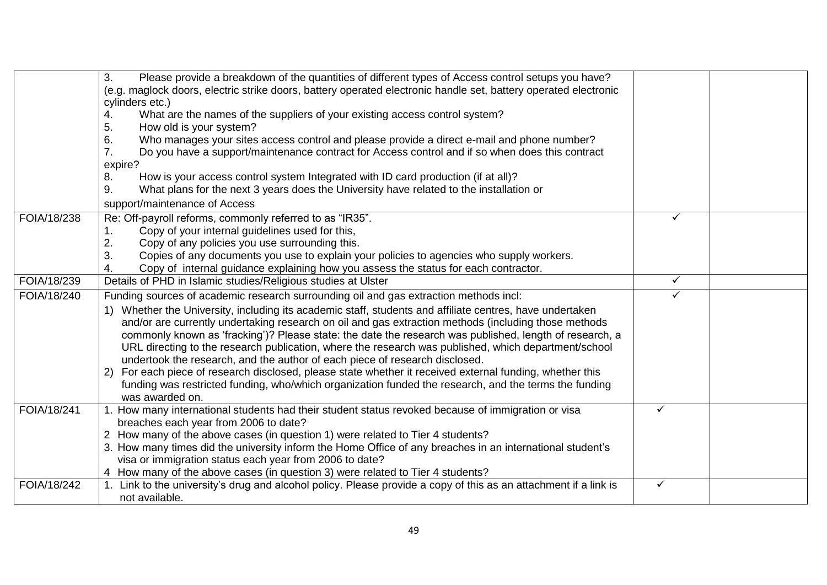|             | 3.<br>Please provide a breakdown of the quantities of different types of Access control setups you have?<br>(e.g. maglock doors, electric strike doors, battery operated electronic handle set, battery operated electronic<br>cylinders etc.)<br>What are the names of the suppliers of your existing access control system?<br>4.<br>5.<br>How old is your system?<br>6.<br>Who manages your sites access control and please provide a direct e-mail and phone number?<br>Do you have a support/maintenance contract for Access control and if so when does this contract<br>7.<br>expire?<br>How is your access control system Integrated with ID card production (if at all)?<br>8.<br>What plans for the next 3 years does the University have related to the installation or<br>9.<br>support/maintenance of Access                           |              |  |
|-------------|-----------------------------------------------------------------------------------------------------------------------------------------------------------------------------------------------------------------------------------------------------------------------------------------------------------------------------------------------------------------------------------------------------------------------------------------------------------------------------------------------------------------------------------------------------------------------------------------------------------------------------------------------------------------------------------------------------------------------------------------------------------------------------------------------------------------------------------------------------|--------------|--|
| FOIA/18/238 | Re: Off-payroll reforms, commonly referred to as "IR35".<br>Copy of your internal guidelines used for this,<br>1.<br>2.<br>Copy of any policies you use surrounding this.<br>Copies of any documents you use to explain your policies to agencies who supply workers.<br>3.<br>Copy of internal guidance explaining how you assess the status for each contractor.                                                                                                                                                                                                                                                                                                                                                                                                                                                                                  | ✓            |  |
| FOIA/18/239 | Details of PHD in Islamic studies/Religious studies at Ulster                                                                                                                                                                                                                                                                                                                                                                                                                                                                                                                                                                                                                                                                                                                                                                                       | $\checkmark$ |  |
| FOIA/18/240 | Funding sources of academic research surrounding oil and gas extraction methods incl:<br>1) Whether the University, including its academic staff, students and affiliate centres, have undertaken<br>and/or are currently undertaking research on oil and gas extraction methods (including those methods<br>commonly known as 'fracking')? Please state: the date the research was published, length of research, a<br>URL directing to the research publication, where the research was published, which department/school<br>undertook the research, and the author of each piece of research disclosed.<br>2) For each piece of research disclosed, please state whether it received external funding, whether this<br>funding was restricted funding, who/which organization funded the research, and the terms the funding<br>was awarded on. |              |  |
| FOIA/18/241 | 1. How many international students had their student status revoked because of immigration or visa<br>breaches each year from 2006 to date?<br>2 How many of the above cases (in question 1) were related to Tier 4 students?<br>3. How many times did the university inform the Home Office of any breaches in an international student's<br>visa or immigration status each year from 2006 to date?<br>4 How many of the above cases (in question 3) were related to Tier 4 students?                                                                                                                                                                                                                                                                                                                                                             | ✓            |  |
| FOIA/18/242 | 1. Link to the university's drug and alcohol policy. Please provide a copy of this as an attachment if a link is<br>not available.                                                                                                                                                                                                                                                                                                                                                                                                                                                                                                                                                                                                                                                                                                                  | ✓            |  |